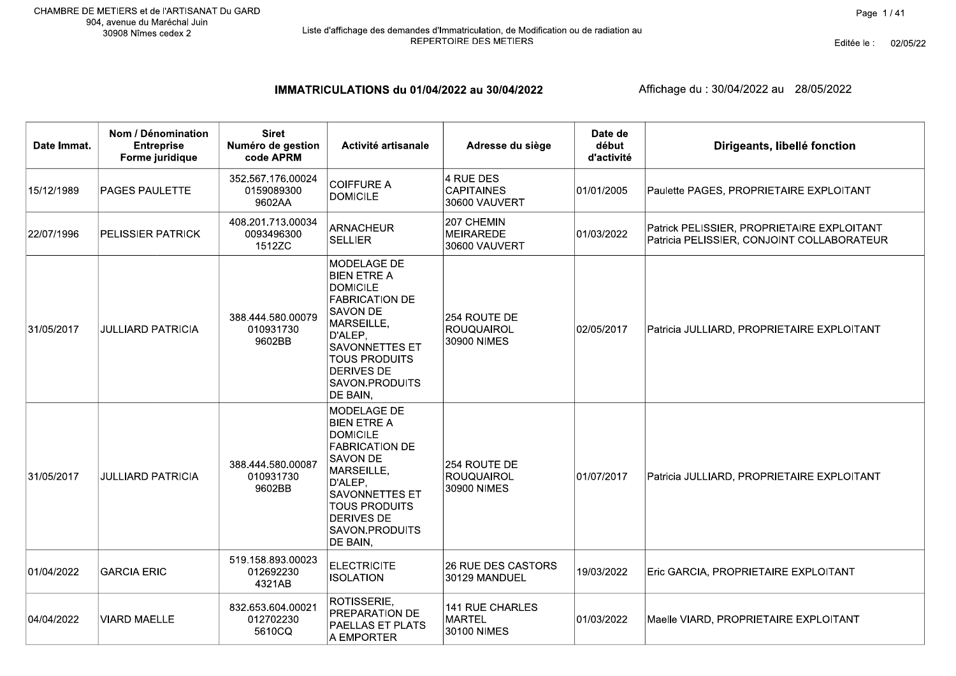#### IMMATRICULATIONS du 01/04/2022 au 30/04/2022

| Date Immat. | Nom / Dénomination<br><b>Entreprise</b><br>Forme juridique | <b>Siret</b><br>Numéro de gestion<br>code APRM | Activité artisanale                                                                                                                                                                                                    | Adresse du siège                                 | Date de<br>début<br>d'activité | Dirigeants, libellé fonction                                                             |
|-------------|------------------------------------------------------------|------------------------------------------------|------------------------------------------------------------------------------------------------------------------------------------------------------------------------------------------------------------------------|--------------------------------------------------|--------------------------------|------------------------------------------------------------------------------------------|
| 15/12/1989  | <b>PAGES PAULETTE</b>                                      | 352.567.176.00024<br>0159089300<br>9602AA      | <b>COIFFURE A</b><br><b>DOMICILE</b>                                                                                                                                                                                   | 4 RUE DES<br><b>CAPITAINES</b><br>30600 VAUVERT  | 01/01/2005                     | Paulette PAGES, PROPRIETAIRE EXPLOITANT                                                  |
| 22/07/1996  | PELISSIER PATRICK                                          | 408.201.713.00034<br>0093496300<br>1512ZC      | <b>ARNACHEUR</b><br><b>SELLIER</b>                                                                                                                                                                                     | 207 CHEMIN<br><b>MEIRAREDE</b><br>30600 VAUVERT  | 01/03/2022                     | Patrick PELISSIER, PROPRIETAIRE EXPLOITANT<br>Patricia PELISSIER, CONJOINT COLLABORATEUR |
| 31/05/2017  | <b>JULLIARD PATRICIA</b>                                   | 388.444.580.00079<br>010931730<br>9602BB       | MODELAGE DE<br><b>BIEN ETRE A</b><br><b>DOMICILE</b><br><b>FABRICATION DE</b><br>SAVON DE<br>MARSEILLE,<br>D'ALEP,<br><b>SAVONNETTES ET</b><br><b>TOUS PRODUITS</b><br><b>DERIVES DE</b><br>SAVON.PRODUITS<br>DE BAIN, | 254 ROUTE DE<br><b>ROUQUAIROL</b><br>30900 NIMES | 02/05/2017                     | Patricia JULLIARD, PROPRIETAIRE EXPLOITANT                                               |
| 31/05/2017  | <b>JULLIARD PATRICIA</b>                                   | 388.444.580.00087<br>010931730<br>9602BB       | MODELAGE DE<br><b>BIEN ETRE A</b><br><b>DOMICILE</b><br><b>FABRICATION DE</b><br>SAVON DE<br>MARSEILLE,<br>D'ALEP,<br>SAVONNETTES ET<br><b>TOUS PRODUITS</b><br>DERIVES DE<br>SAVON.PRODUITS<br>DE BAIN,               | 254 ROUTE DE<br><b>ROUQUAIROL</b><br>30900 NIMES | 01/07/2017                     | Patricia JULLIARD, PROPRIETAIRE EXPLOITANT                                               |
| 01/04/2022  | <b>GARCIA ERIC</b>                                         | 519.158.893.00023<br>012692230<br>4321AB       | <b>ELECTRICITE</b><br><b>ISOLATION</b>                                                                                                                                                                                 | <b>26 RUE DES CASTORS</b><br>30129 MANDUEL       | 19/03/2022                     | Eric GARCIA, PROPRIETAIRE EXPLOITANT                                                     |
| 04/04/2022  | <b>VIARD MAELLE</b>                                        | 832.653.604.00021<br>012702230<br>5610CQ       | ROTISSERIE,<br>PREPARATION DE<br>PAELLAS ET PLATS<br>A EMPORTER                                                                                                                                                        | 141 RUE CHARLES<br><b>MARTEL</b><br>30100 NIMES  | 01/03/2022                     | Maelle VIARD, PROPRIETAIRE EXPLOITANT                                                    |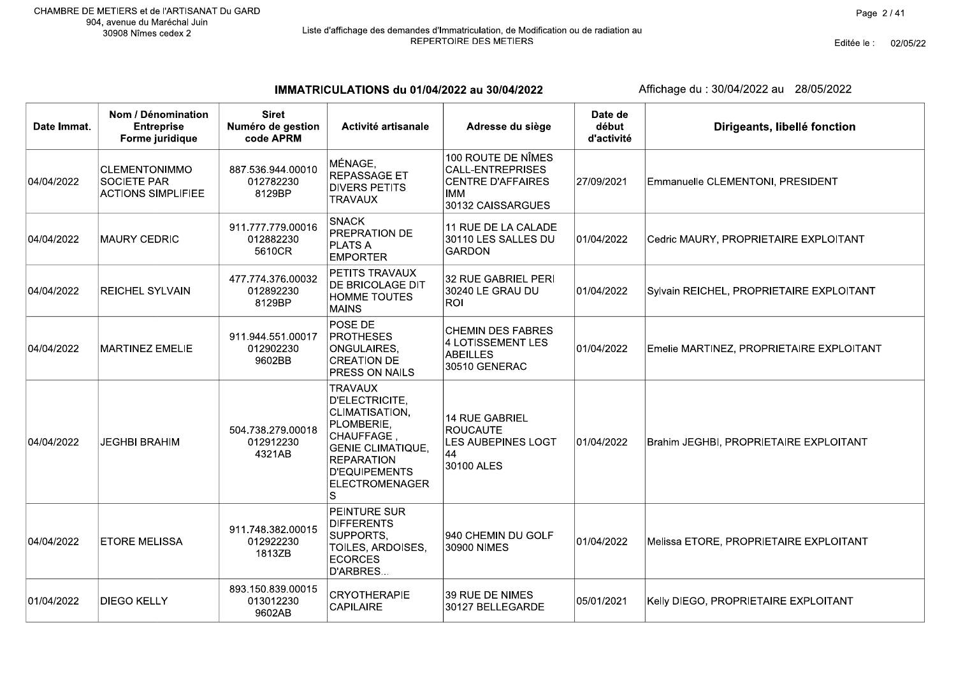# Liste d'affichage des demandes d'Immatriculation, de Modification ou de radiation au<br>REPERTOIRE DES METIERS

Editée le : 02/05/22

IMMATRICULATIONS du 01/04/2022 au 30/04/2022

| Date Immat. | Nom / Dénomination<br><b>Entreprise</b><br>Forme juridique              | <b>Siret</b><br>Numéro de gestion<br>code APRM | Activité artisanale                                                                                                                                                            | Adresse du siège                                                                                             | Date de<br>début<br>d'activité | Dirigeants, libellé fonction             |
|-------------|-------------------------------------------------------------------------|------------------------------------------------|--------------------------------------------------------------------------------------------------------------------------------------------------------------------------------|--------------------------------------------------------------------------------------------------------------|--------------------------------|------------------------------------------|
| 04/04/2022  | <b>CLEMENTONIMMO</b><br><b>SOCIETE PAR</b><br><b>ACTIONS SIMPLIFIEE</b> | 887.536.944.00010<br>012782230<br>8129BP       | MÉNAGE,<br><b>REPASSAGE ET</b><br><b>DIVERS PETITS</b><br><b>TRAVAUX</b>                                                                                                       | 100 ROUTE DE NÎMES<br><b>CALL-ENTREPRISES</b><br><b>CENTRE D'AFFAIRES</b><br><b>IMM</b><br>30132 CAISSARGUES | 27/09/2021                     | Emmanuelle CLEMENTONI, PRESIDENT         |
| 04/04/2022  | <b>MAURY CEDRIC</b>                                                     | 911.777.779.00016<br>012882230<br>5610CR       | <b>SNACK</b><br><b>PREPRATION DE</b><br><b>PLATS A</b><br><b>EMPORTER</b>                                                                                                      | 11 RUE DE LA CALADE<br>30110 LES SALLES DU<br><b>GARDON</b>                                                  | 01/04/2022                     | Cedric MAURY, PROPRIETAIRE EXPLOITANT    |
| 04/04/2022  | <b>REICHEL SYLVAIN</b>                                                  | 477.774.376.00032<br>012892230<br>8129BP       | PETITS TRAVAUX<br>DE BRICOLAGE DIT<br><b>HOMME TOUTES</b><br><b>MAINS</b>                                                                                                      | 32 RUE GABRIEL PERI<br>30240 LE GRAU DU<br><b>ROI</b>                                                        | 01/04/2022                     | Sylvain REICHEL, PROPRIETAIRE EXPLOITANT |
| 04/04/2022  | <b>MARTINEZ EMELIE</b>                                                  | 911.944.551.00017<br>012902230<br>9602BB       | POSE DE<br><b>PROTHESES</b><br>ONGULAIRES,<br><b>CREATION DE</b><br><b>PRESS ON NAILS</b>                                                                                      | <b>CHEMIN DES FABRES</b><br><b>4 LOTISSEMENT LES</b><br><b>ABEILLES</b><br>30510 GENERAC                     | 01/04/2022                     | Emelie MARTINEZ, PROPRIETAIRE EXPLOITANT |
| 04/04/2022  | <b>JEGHBI BRAHIM</b>                                                    | 504.738.279.00018<br>012912230<br>4321AB       | <b>TRAVAUX</b><br>D'ELECTRICITE,<br>CLIMATISATION,<br>PLOMBERIE,<br>CHAUFFAGE,<br><b>GENIE CLIMATIQUE,</b><br><b>REPARATION</b><br><b>D'EQUIPEMENTS</b><br>ELECTROMENAGER<br>S | <b>14 RUE GABRIEL</b><br><b>ROUCAUTE</b><br>LES AUBEPINES LOGT<br>44<br>30100 ALES                           | 01/04/2022                     | Brahim JEGHBI, PROPRIETAIRE EXPLOITANT   |
| 04/04/2022  | <b>ETORE MELISSA</b>                                                    | 911.748.382.00015<br>012922230<br>1813ZB       | <b>PEINTURE SUR</b><br><b>DIFFERENTS</b><br>SUPPORTS,<br>TOILES, ARDOISES,<br><b>ECORCES</b><br>D'ARBRES                                                                       | 940 CHEMIN DU GOLF<br>30900 NIMES                                                                            | 01/04/2022                     | Melissa ETORE, PROPRIETAIRE EXPLOITANT   |
| 01/04/2022  | <b>DIEGO KELLY</b>                                                      | 893.150.839.00015<br>013012230<br>9602AB       | <b>CRYOTHERAPIE</b><br>CAPILAIRE                                                                                                                                               | 39 RUE DE NIMES<br>30127 BELLEGARDE                                                                          | 05/01/2021                     | Kelly DIEGO, PROPRIETAIRE EXPLOITANT     |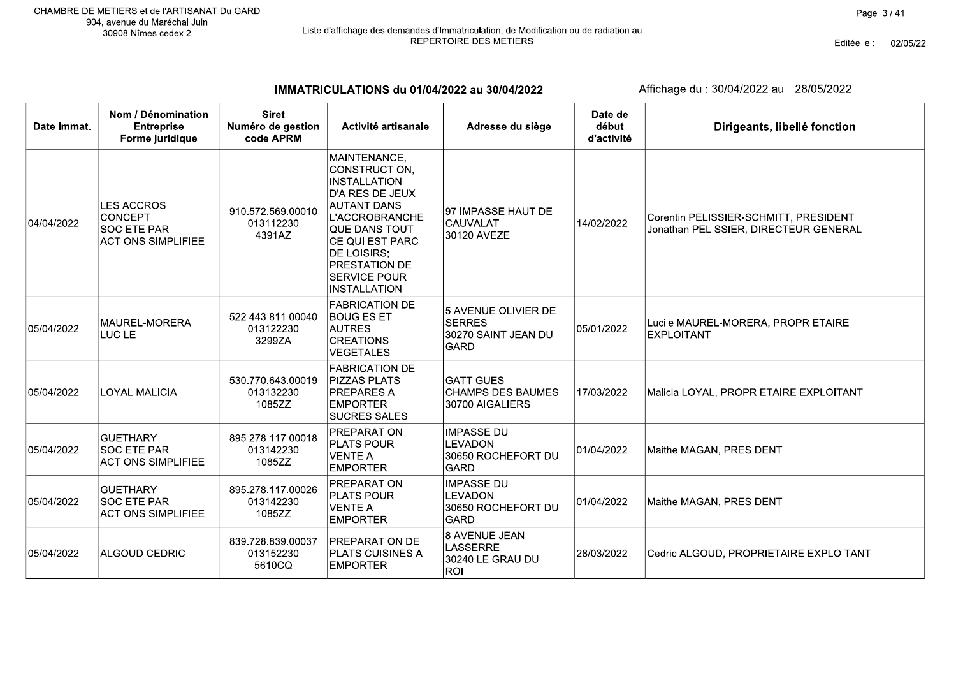Editée le : 02/05/22

IMMATRICULATIONS du 01/04/2022 au 30/04/2022

| Date Immat. | Nom / Dénomination<br><b>Entreprise</b><br>Forme juridique                             | <b>Siret</b><br>Numéro de gestion<br>code APRM | Activité artisanale                                                                                                                                                                                                                                    | Adresse du siège                                                           | Date de<br>début<br>d'activité | Dirigeants, libellé fonction                                                   |
|-------------|----------------------------------------------------------------------------------------|------------------------------------------------|--------------------------------------------------------------------------------------------------------------------------------------------------------------------------------------------------------------------------------------------------------|----------------------------------------------------------------------------|--------------------------------|--------------------------------------------------------------------------------|
| 04/04/2022  | <b>LES ACCROS</b><br><b>CONCEPT</b><br><b>SOCIETE PAR</b><br><b>ACTIONS SIMPLIFIEE</b> | 910.572.569.00010<br>013112230<br>4391AZ       | MAINTENANCE,<br>CONSTRUCTION,<br>INSTALLATION<br>D'AIRES DE JEUX<br><b>AUTANT DANS</b><br><b>L'ACCROBRANCHE</b><br><b>QUE DANS TOUT</b><br><b>CE QUI EST PARC</b><br>DE LOISIRS;<br><b>PRESTATION DE</b><br><b>SERVICE POUR</b><br><b>INSTALLATION</b> | 97 IMPASSE HAUT DE<br>CAUVALAT<br>30120 AVEZE                              | 14/02/2022                     | Corentin PELISSIER-SCHMITT, PRESIDENT<br>Jonathan PELISSIER, DIRECTEUR GENERAL |
| 05/04/2022  | MAUREL-MORERA<br><b>LUCILE</b>                                                         | 522.443.811.00040<br>013122230<br>3299ZA       | <b>FABRICATION DE</b><br><b>BOUGIES ET</b><br><b>AUTRES</b><br><b>CREATIONS</b><br><b>VEGETALES</b>                                                                                                                                                    | 5 AVENUE OLIVIER DE<br><b>SERRES</b><br>30270 SAINT JEAN DU<br><b>GARD</b> | 05/01/2022                     | Lucile MAUREL-MORERA, PROPRIETAIRE<br><b>EXPLOITANT</b>                        |
| 05/04/2022  | <b>LOYAL MALICIA</b>                                                                   | 530.770.643.00019<br>013132230<br>1085ZZ       | <b>FABRICATION DE</b><br><b>PIZZAS PLATS</b><br><b>PREPARES A</b><br><b>EMPORTER</b><br><b>SUCRES SALES</b>                                                                                                                                            | <b>GATTIGUES</b><br><b>CHAMPS DES BAUMES</b><br>30700 AIGALIERS            | 17/03/2022                     | Malicia LOYAL, PROPRIETAIRE EXPLOITANT                                         |
| 05/04/2022  | <b>GUETHARY</b><br><b>SOCIETE PAR</b><br><b>ACTIONS SIMPLIFIEE</b>                     | 895.278.117.00018<br>013142230<br>1085ZZ       | PREPARATION<br><b>PLATS POUR</b><br><b>VENTE A</b><br><b>EMPORTER</b>                                                                                                                                                                                  | <b>IMPASSE DU</b><br><b>LEVADON</b><br>30650 ROCHEFORT DU<br><b>GARD</b>   | 01/04/2022                     | Maithe MAGAN, PRESIDENT                                                        |
| 05/04/2022  | <b>GUETHARY</b><br><b>SOCIETE PAR</b><br><b>ACTIONS SIMPLIFIEE</b>                     | 895.278.117.00026<br>013142230<br>1085ZZ       | PREPARATION<br><b>PLATS POUR</b><br><b>VENTE A</b><br><b>EMPORTER</b>                                                                                                                                                                                  | <b>IMPASSE DU</b><br><b>LEVADON</b><br>30650 ROCHEFORT DU<br><b>GARD</b>   | 01/04/2022                     | Maithe MAGAN, PRESIDENT                                                        |
| 05/04/2022  | <b>ALGOUD CEDRIC</b>                                                                   | 839.728.839.00037<br>013152230<br>5610CQ       | <b>PREPARATION DE</b><br><b>PLATS CUISINES A</b><br><b>EMPORTER</b>                                                                                                                                                                                    | 8 AVENUE JEAN<br><b>LASSERRE</b><br>30240 LE GRAU DU<br><b>ROI</b>         | 28/03/2022                     | Cedric ALGOUD, PROPRIETAIRE EXPLOITANT                                         |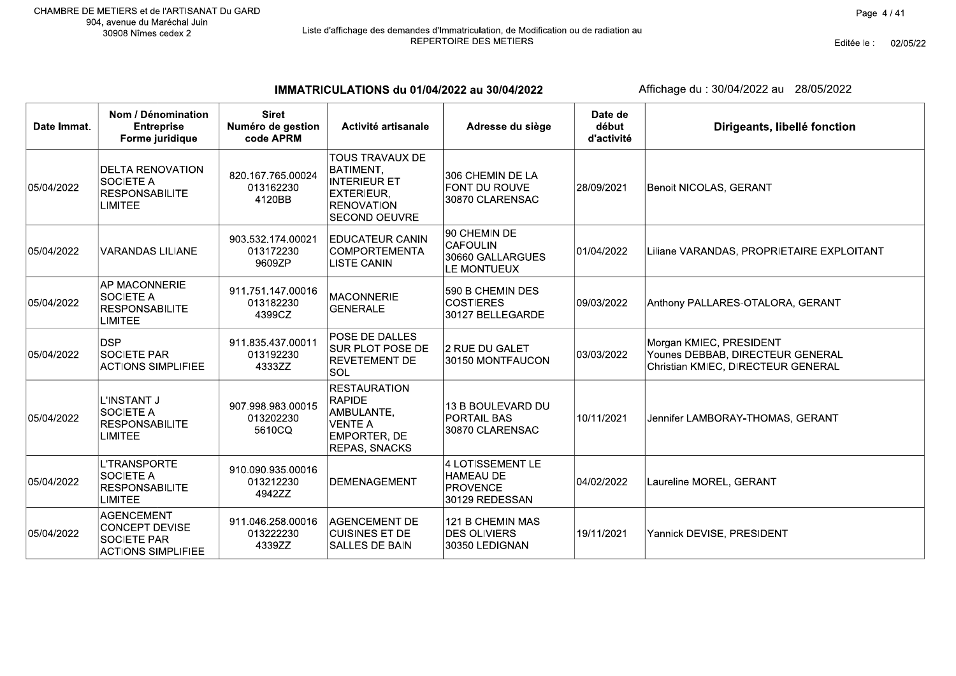Editée le : 02/05/22

IMMATRICULATIONS du 01/04/2022 au 30/04/2022

| Date Immat. | Nom / Dénomination<br><b>Entreprise</b><br>Forme juridique                                    | <b>Siret</b><br>Numéro de gestion<br>code APRM | Activité artisanale                                                                                                          | Adresse du siège                                                   | Date de<br>début<br>d'activité | Dirigeants, libellé fonction                                                                      |
|-------------|-----------------------------------------------------------------------------------------------|------------------------------------------------|------------------------------------------------------------------------------------------------------------------------------|--------------------------------------------------------------------|--------------------------------|---------------------------------------------------------------------------------------------------|
| 05/04/2022  | <b>DELTA RENOVATION</b><br><b>SOCIETE A</b><br><b>RESPONSABILITE</b><br><b>LIMITEE</b>        | 820.167.765.00024<br>013162230<br>4120BB       | <b>TOUS TRAVAUX DE</b><br>BATIMENT,<br><b>INTERIEUR ET</b><br><b>EXTERIEUR.</b><br><b>RENOVATION</b><br><b>SECOND OEUVRE</b> | 306 CHEMIN DE LA<br><b>FONT DU ROUVE</b><br>30870 CLARENSAC        | 28/09/2021                     | <b>Benoit NICOLAS, GERANT</b>                                                                     |
| 05/04/2022  | <b>VARANDAS LILIANE</b>                                                                       | 903.532.174.00021<br>013172230<br>9609ZP       | <b>EDUCATEUR CANIN</b><br><b>COMPORTEMENTA</b><br><b>LISTE CANIN</b>                                                         | 90 CHEMIN DE<br><b>CAFOULIN</b><br>30660 GALLARGUES<br>LE MONTUEUX | 01/04/2022                     | Liliane VARANDAS, PROPRIETAIRE EXPLOITANT                                                         |
| 05/04/2022  | AP MACONNERIE<br>SOCIETE A<br><b>RESPONSABILITE</b><br><b>LIMITEE</b>                         | 911.751.147.00016<br>013182230<br>4399CZ       | <b>MACONNERIE</b><br><b>GENERALE</b>                                                                                         | 590 B CHEMIN DES<br><b>COSTIERES</b><br>30127 BELLEGARDE           | 09/03/2022                     | Anthony PALLARES-OTALORA, GERANT                                                                  |
| 05/04/2022  | <b>DSP</b><br><b>SOCIETE PAR</b><br><b>ACTIONS SIMPLIFIEE</b>                                 | 911.835.437.00011<br>013192230<br>4333ZZ       | POSE DE DALLES<br><b>SUR PLOT POSE DE</b><br><b>REVETEMENT DE</b><br>SOL                                                     | 2 RUE DU GALET<br>30150 MONTFAUCON                                 | 03/03/2022                     | Morgan KMIEC, PRESIDENT<br>Younes DEBBAB, DIRECTEUR GENERAL<br>Christian KMIEC, DIRECTEUR GENERAL |
| 05/04/2022  | L'INSTANT J<br><b>SOCIETE A</b><br><b>RESPONSABILITE</b><br><b>LIMITEE</b>                    | 907.998.983.00015<br>013202230<br>5610CQ       | <b>RESTAURATION</b><br><b>RAPIDE</b><br>AMBULANTE,<br><b>VENTE A</b><br><b>EMPORTER, DE</b><br>REPAS, SNACKS                 | 13 B BOULEVARD DU<br><b>PORTAIL BAS</b><br>30870 CLARENSAC         | 10/11/2021                     | Jennifer LAMBORAY-THOMAS, GERANT                                                                  |
| 05/04/2022  | <b>L'TRANSPORTE</b><br>SOCIETE A<br><b>RESPONSABILITE</b><br><b>LIMITEE</b>                   | 910.090.935.00016<br>013212230<br>4942ZZ       | DEMENAGEMENT                                                                                                                 | 4 LOTISSEMENT LE<br>HAMEAU DE<br>PROVENCE<br>30129 REDESSAN        | 04/02/2022                     | Laureline MOREL, GERANT                                                                           |
| 05/04/2022  | <b>AGENCEMENT</b><br><b>CONCEPT DEVISE</b><br><b>SOCIETE PAR</b><br><b>ACTIONS SIMPLIFIEE</b> | 911.046.258.00016<br>013222230<br>4339ZZ       | <b>AGENCEMENT DE</b><br><b>CUISINES ET DE</b><br><b>SALLES DE BAIN</b>                                                       | 121 B CHEMIN MAS<br><b>DES OLIVIERS</b><br>30350 LEDIGNAN          | 19/11/2021                     | Yannick DEVISE, PRESIDENT                                                                         |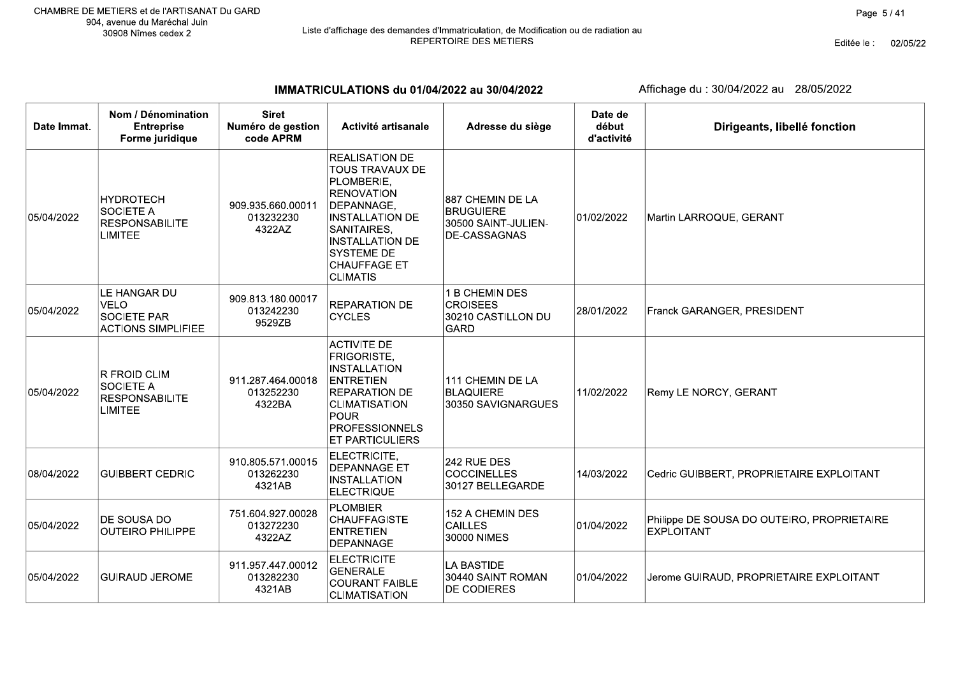# Liste d'affichage des demandes d'Immatriculation, de Modification ou de radiation au<br>REPERTOIRE DES METIERS

Editée le : 02/05/22

IMMATRICULATIONS du 01/04/2022 au 30/04/2022

| Date Immat. | Nom / Dénomination<br><b>Entreprise</b><br>Forme juridique                      | <b>Siret</b><br>Numéro de gestion<br>code APRM | Activité artisanale                                                                                                                                                                                                         | Adresse du siège                                                            | Date de<br>début<br>d'activité | Dirigeants, libellé fonction                                    |
|-------------|---------------------------------------------------------------------------------|------------------------------------------------|-----------------------------------------------------------------------------------------------------------------------------------------------------------------------------------------------------------------------------|-----------------------------------------------------------------------------|--------------------------------|-----------------------------------------------------------------|
| 05/04/2022  | <b>HYDROTECH</b><br><b>SOCIETE A</b><br><b>RESPONSABILITE</b><br><b>LIMITEE</b> | 909.935.660.00011<br>013232230<br>4322AZ       | <b>REALISATION DE</b><br><b>TOUS TRAVAUX DE</b><br>PLOMBERIE,<br><b>RENOVATION</b><br>DEPANNAGE,<br><b>INSTALLATION DE</b><br>SANITAIRES,<br><b>INSTALLATION DE</b><br>SYSTEME DE<br><b>CHAUFFAGE ET</b><br><b>CLIMATIS</b> | 887 CHEMIN DE LA<br><b>BRUGUIERE</b><br>30500 SAINT-JULIEN-<br>DE-CASSAGNAS | 01/02/2022                     | Martin LARROQUE, GERANT                                         |
| 05/04/2022  | LE HANGAR DU<br><b>VELO</b><br><b>SOCIETE PAR</b><br><b>ACTIONS SIMPLIFIEE</b>  | 909.813.180.00017<br>013242230<br>9529ZB       | <b>REPARATION DE</b><br><b>CYCLES</b>                                                                                                                                                                                       | 1 B CHEMIN DES<br><b>CROISEES</b><br>30210 CASTILLON DU<br><b>GARD</b>      | 28/01/2022                     | Franck GARANGER, PRESIDENT                                      |
| 05/04/2022  | R FROID CLIM<br><b>SOCIETE A</b><br><b>RESPONSABILITE</b><br><b>LIMITEE</b>     | 911.287.464.00018<br>013252230<br>4322BA       | <b>ACTIVITE DE</b><br>FRIGORISTE,<br><b>INSTALLATION</b><br><b>ENTRETIEN</b><br><b>REPARATION DE</b><br><b>CLIMATISATION</b><br><b>POUR</b><br><b>PROFESSIONNELS</b><br>ET PARTICULIERS                                     | 111 CHEMIN DE LA<br><b>BLAQUIERE</b><br>30350 SAVIGNARGUES                  | 11/02/2022                     | Remy LE NORCY, GERANT                                           |
| 08/04/2022  | <b>GUIBBERT CEDRIC</b>                                                          | 910.805.571.00015<br>013262230<br>4321AB       | ELECTRICITE,<br><b>DEPANNAGE ET</b><br><b>INSTALLATION</b><br><b>ELECTRIQUE</b>                                                                                                                                             | 242 RUE DES<br><b>COCCINELLES</b><br>30127 BELLEGARDE                       | 14/03/2022                     | Cedric GUIBBERT, PROPRIETAIRE EXPLOITANT                        |
| 05/04/2022  | DE SOUSA DO<br><b>OUTEIRO PHILIPPE</b>                                          | 751.604.927.00028<br>013272230<br>4322AZ       | <b>PLOMBIER</b><br><b>CHAUFFAGISTE</b><br><b>ENTRETIEN</b><br><b>DEPANNAGE</b>                                                                                                                                              | 152 A CHEMIN DES<br><b>CAILLES</b><br>30000 NIMES                           | 01/04/2022                     | Philippe DE SOUSA DO OUTEIRO, PROPRIETAIRE<br><b>EXPLOITANT</b> |
| 05/04/2022  | <b>GUIRAUD JEROME</b>                                                           | 911.957.447.00012<br>013282230<br>4321AB       | <b>ELECTRICITE</b><br><b>GENERALE</b><br><b>COURANT FAIBLE</b><br><b>CLIMATISATION</b>                                                                                                                                      | <b>LA BASTIDE</b><br>30440 SAINT ROMAN<br>DE CODIERES                       | 01/04/2022                     | Jerome GUIRAUD, PROPRIETAIRE EXPLOITANT                         |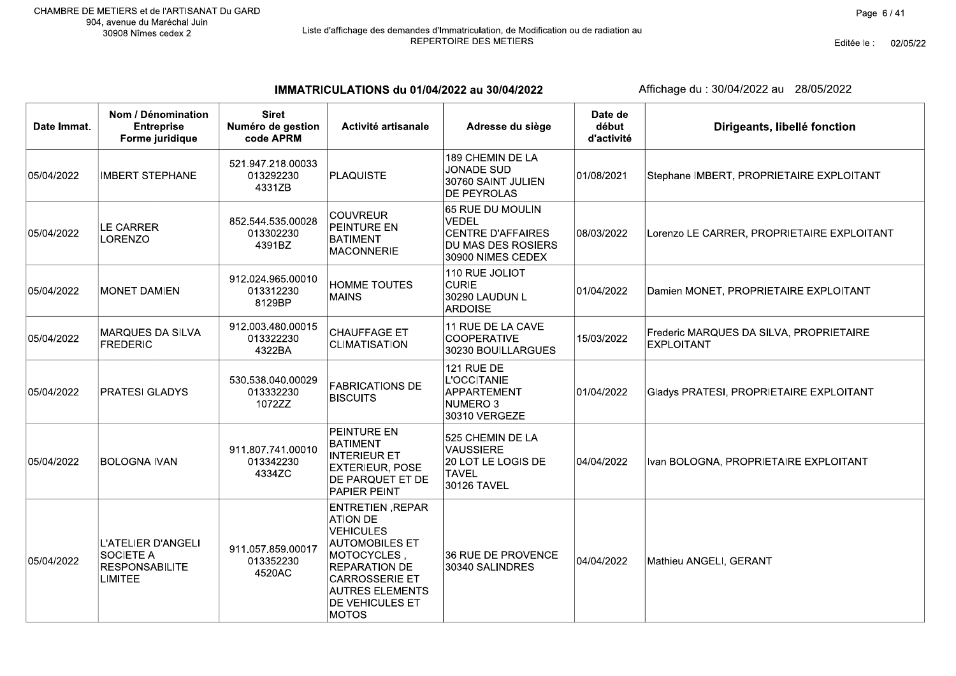# Liste d'affichage des demandes d'Immatriculation, de Modification ou de radiation au<br>REPERTOIRE DES METIERS

Editée le : 02/05/22

IMMATRICULATIONS du 01/04/2022 au 30/04/2022

| Date Immat. | Nom / Dénomination<br><b>Entreprise</b><br>Forme juridique                        | <b>Siret</b><br>Numéro de gestion<br>code APRM | Activité artisanale                                                                                                                                                                                           | Adresse du siège                                                                                        | Date de<br>début<br>d'activité | Dirigeants, libellé fonction                                 |
|-------------|-----------------------------------------------------------------------------------|------------------------------------------------|---------------------------------------------------------------------------------------------------------------------------------------------------------------------------------------------------------------|---------------------------------------------------------------------------------------------------------|--------------------------------|--------------------------------------------------------------|
| 05/04/2022  | <b>IMBERT STEPHANE</b>                                                            | 521.947.218.00033<br>013292230<br>4331ZB       | <b>PLAQUISTE</b>                                                                                                                                                                                              | 189 CHEMIN DE LA<br><b>JONADE SUD</b><br>30760 SAINT JULIEN<br><b>DE PEYROLAS</b>                       | 01/08/2021                     | Stephane IMBERT, PROPRIETAIRE EXPLOITANT                     |
| 05/04/2022  | LE CARRER<br>LORENZO                                                              | 852.544.535.00028<br>013302230<br>4391BZ       | <b>COUVREUR</b><br><b>PEINTURE EN</b><br><b>BATIMENT</b><br><b>MACONNERIE</b>                                                                                                                                 | 65 RUE DU MOULIN<br><b>VEDEL</b><br><b>CENTRE D'AFFAIRES</b><br>DU MAS DES ROSIERS<br>30900 NIMES CEDEX | 08/03/2022                     | Lorenzo LE CARRER, PROPRIETAIRE EXPLOITANT                   |
| 05/04/2022  | <b>MONET DAMIEN</b>                                                               | 912.024.965.00010<br>013312230<br>8129BP       | <b>HOMME TOUTES</b><br><b>MAINS</b>                                                                                                                                                                           | 110 RUE JOLIOT<br><b>CURIE</b><br>30290 LAUDUN L<br><b>ARDOISE</b>                                      | 01/04/2022                     | Damien MONET, PROPRIETAIRE EXPLOITANT                        |
| 05/04/2022  | MARQUES DA SILVA<br><b>FREDERIC</b>                                               | 912.003.480.00015<br>013322230<br>4322BA       | <b>CHAUFFAGE ET</b><br><b>CLIMATISATION</b>                                                                                                                                                                   | 11 RUE DE LA CAVE<br><b>COOPERATIVE</b><br>30230 BOUILLARGUES                                           | 15/03/2022                     | Frederic MARQUES DA SILVA, PROPRIETAIRE<br><b>EXPLOITANT</b> |
| 05/04/2022  | <b>PRATESI GLADYS</b>                                                             | 530.538.040.00029<br>013332230<br>1072ZZ       | <b>FABRICATIONS DE</b><br><b>BISCUITS</b>                                                                                                                                                                     | <b>121 RUE DE</b><br><b>L'OCCITANIE</b><br>APPARTEMENT<br>NUMERO <sub>3</sub><br>30310 VERGEZE          | 01/04/2022                     | Gladys PRATESI, PROPRIETAIRE EXPLOITANT                      |
| 05/04/2022  | <b>BOLOGNA IVAN</b>                                                               | 911.807.741.00010<br>013342230<br>4334ZC       | PEINTURE EN<br><b>BATIMENT</b><br><b>INTERIEUR ET</b><br><b>EXTERIEUR, POSE</b><br>DE PARQUET ET DE<br>PAPIER PEINT                                                                                           | 525 CHEMIN DE LA<br><b>VAUSSIERE</b><br>20 LOT LE LOGIS DE<br><b>TAVEL</b><br>30126 TAVEL               | 04/04/2022                     | Ivan BOLOGNA, PROPRIETAIRE EXPLOITANT                        |
| 05/04/2022  | <b>L'ATELIER D'ANGELI</b><br><b>SOCIETE A</b><br><b>RESPONSABILITE</b><br>LIMITEE | 911.057.859.00017<br>013352230<br>4520AC       | ENTRETIEN, REPAR<br><b>ATION DE</b><br><b>VEHICULES</b><br><b>AUTOMOBILES ET</b><br>MOTOCYCLES,<br><b>REPARATION DE</b><br><b>CARROSSERIE ET</b><br><b>AUTRES ELEMENTS</b><br>DE VEHICULES ET<br><b>MOTOS</b> | 36 RUE DE PROVENCE<br>30340 SALINDRES                                                                   | 04/04/2022                     | Mathieu ANGELI, GERANT                                       |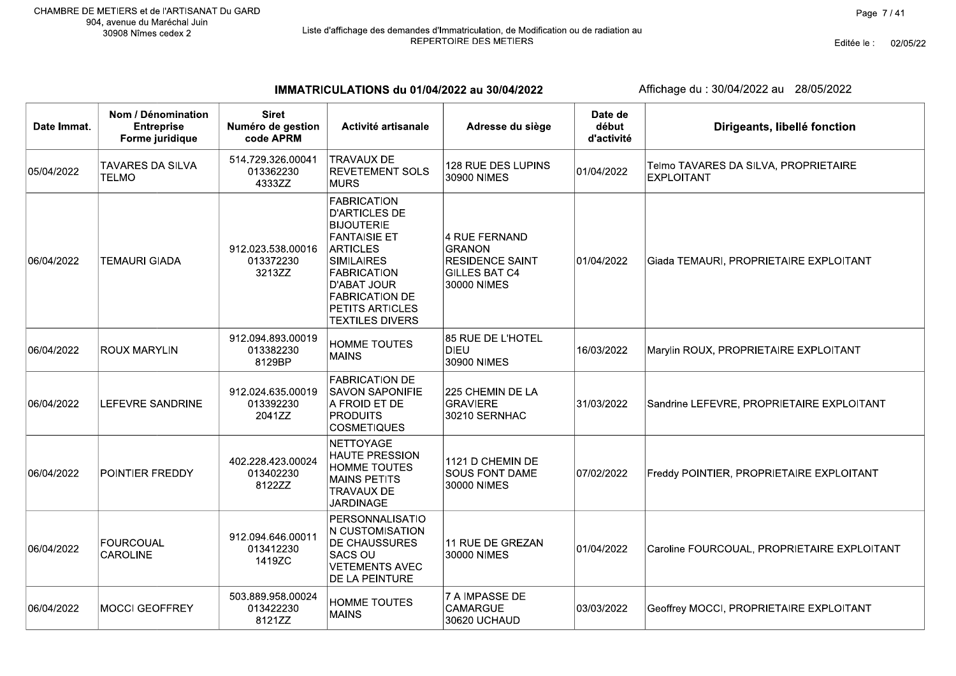Editée le : 02/05/22

IMMATRICULATIONS du 01/04/2022 au 30/04/2022

| Date Immat. | Nom / Dénomination<br><b>Entreprise</b><br>Forme juridique | <b>Siret</b><br>Numéro de gestion<br>code APRM | Activité artisanale                                                                                                                                                                                                                       | Adresse du siège                                                                                | Date de<br>début<br>d'activité | Dirigeants, libellé fonction                              |
|-------------|------------------------------------------------------------|------------------------------------------------|-------------------------------------------------------------------------------------------------------------------------------------------------------------------------------------------------------------------------------------------|-------------------------------------------------------------------------------------------------|--------------------------------|-----------------------------------------------------------|
| 05/04/2022  | <b>TAVARES DA SILVA</b><br><b>TELMO</b>                    | 514.729.326.00041<br>013362230<br>4333ZZ       | <b>TRAVAUX DE</b><br><b>REVETEMENT SOLS</b><br><b>MURS</b>                                                                                                                                                                                | 128 RUE DES LUPINS<br>30900 NIMES                                                               | 01/04/2022                     | Telmo TAVARES DA SILVA, PROPRIETAIRE<br><b>EXPLOITANT</b> |
| 06/04/2022  | <b>TEMAURI GIADA</b>                                       | 912.023.538.00016<br>013372230<br>3213ZZ       | <b>FABRICATION</b><br><b>D'ARTICLES DE</b><br><b>BIJOUTERIE</b><br><b>FANTAISIE ET</b><br><b>ARTICLES</b><br><b>SIMILAIRES</b><br><b>FABRICATION</b><br>D'ABAT JOUR<br><b>FABRICATION DE</b><br>PETITS ARTICLES<br><b>TEXTILES DIVERS</b> | 4 RUE FERNAND<br><b>GRANON</b><br><b>RESIDENCE SAINT</b><br><b>GILLES BAT C4</b><br>30000 NIMES | 01/04/2022                     | Giada TEMAURI, PROPRIETAIRE EXPLOITANT                    |
| 06/04/2022  | <b>ROUX MARYLIN</b>                                        | 912.094.893.00019<br>013382230<br>8129BP       | <b>HOMME TOUTES</b><br><b>MAINS</b>                                                                                                                                                                                                       | 85 RUE DE L'HOTEL<br><b>DIEU</b><br>30900 NIMES                                                 | 16/03/2022                     | Marylin ROUX, PROPRIETAIRE EXPLOITANT                     |
| 06/04/2022  | LEFEVRE SANDRINE                                           | 912.024.635.00019<br>013392230<br>2041ZZ       | <b>FABRICATION DE</b><br><b>SAVON SAPONIFIE</b><br>A FROID ET DE<br><b>PRODUITS</b><br><b>COSMETIQUES</b>                                                                                                                                 | 225 CHEMIN DE LA<br><b>GRAVIERE</b><br>30210 SERNHAC                                            | 31/03/2022                     | Sandrine LEFEVRE, PROPRIETAIRE EXPLOITANT                 |
| 06/04/2022  | POINTIER FREDDY                                            | 402.228.423.00024<br>013402230<br>8122ZZ       | <b>NETTOYAGE</b><br><b>HAUTE PRESSION</b><br><b>HOMME TOUTES</b><br><b>MAINS PETITS</b><br><b>TRAVAUX DE</b><br><b>JARDINAGE</b>                                                                                                          | 1121 D CHEMIN DE<br><b>SOUS FONT DAME</b><br>30000 NIMES                                        | 07/02/2022                     | Freddy POINTIER, PROPRIETAIRE EXPLOITANT                  |
| 06/04/2022  | <b>FOURCOUAL</b><br>CAROLINE                               | 912.094.646.00011<br>013412230<br>1419ZC       | PERSONNALISATIO<br>N CUSTOMISATION<br>DE CHAUSSURES<br>SACS OU<br><b>VETEMENTS AVEC</b><br>DE LA PEINTURE                                                                                                                                 | 11 RUE DE GREZAN<br>30000 NIMES                                                                 | 01/04/2022                     | Caroline FOURCOUAL, PROPRIETAIRE EXPLOITANT               |
| 06/04/2022  | MOCCI GEOFFREY                                             | 503.889.958.00024<br>013422230<br>8121ZZ       | <b>HOMME TOUTES</b><br><b>MAINS</b>                                                                                                                                                                                                       | <b>7 A IMPASSE DE</b><br><b>CAMARGUE</b><br>30620 UCHAUD                                        | 03/03/2022                     | Geoffrey MOCCI, PROPRIETAIRE EXPLOITANT                   |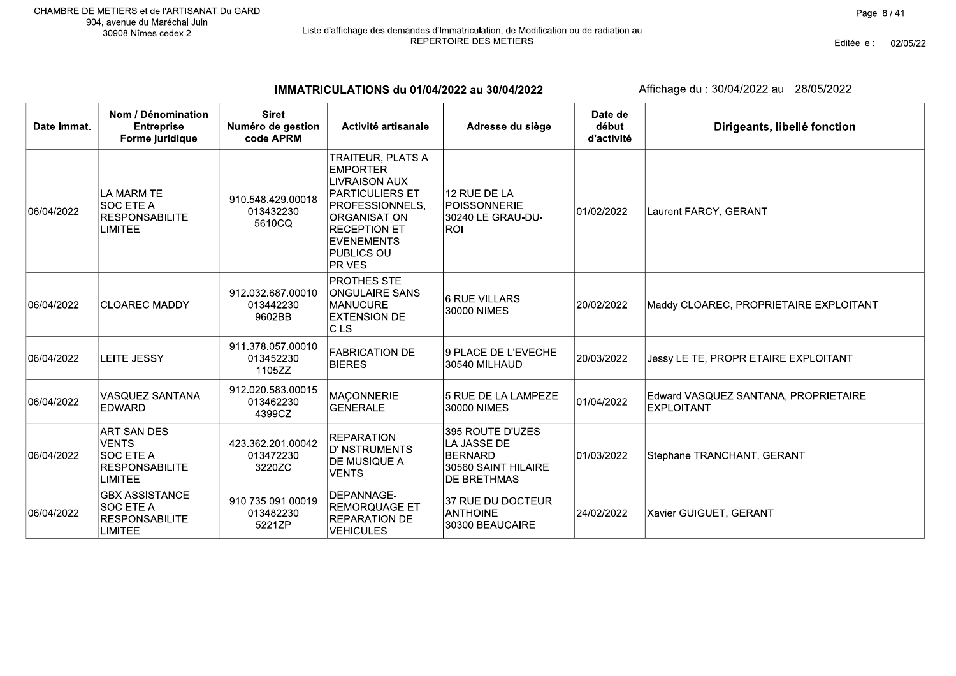Editée le : 02/05/22

IMMATRICULATIONS du 01/04/2022 au 30/04/2022

| Date Immat. | Nom / Dénomination<br><b>Entreprise</b><br>Forme juridique                                        | <b>Siret</b><br>Numéro de gestion<br>code APRM | Activité artisanale                                                                                                                                                                                                | Adresse du siège                                                                               | Date de<br>début<br>d'activité | Dirigeants, libellé fonction                              |
|-------------|---------------------------------------------------------------------------------------------------|------------------------------------------------|--------------------------------------------------------------------------------------------------------------------------------------------------------------------------------------------------------------------|------------------------------------------------------------------------------------------------|--------------------------------|-----------------------------------------------------------|
| 06/04/2022  | LA MARMITE<br><b>SOCIETE A</b><br><b>RESPONSABILITE</b><br><b>LIMITEE</b>                         | 910.548.429.00018<br>013432230<br>5610CQ       | <b>TRAITEUR, PLATS A</b><br><b>EMPORTER</b><br><b>LIVRAISON AUX</b><br>PARTICULIERS ET<br>PROFESSIONNELS,<br><b>ORGANISATION</b><br><b>RECEPTION ET</b><br><b>EVENEMENTS</b><br><b>PUBLICS OU</b><br><b>PRIVES</b> | 12 RUE DE LA<br>POISSONNERIE<br>30240 LE GRAU-DU-<br><b>ROL</b>                                | 01/02/2022                     | Laurent FARCY, GERANT                                     |
| 06/04/2022  | <b>CLOAREC MADDY</b>                                                                              | 912.032.687.00010<br>013442230<br>9602BB       | <b>PROTHESISTE</b><br><b>ONGULAIRE SANS</b><br><b>MANUCURE</b><br><b>EXTENSION DE</b><br><b>CILS</b>                                                                                                               | 16 RUE VILLARS<br>30000 NIMES                                                                  | 20/02/2022                     | Maddy CLOAREC, PROPRIETAIRE EXPLOITANT                    |
| 06/04/2022  | LEITE JESSY                                                                                       | 911.378.057.00010<br>013452230<br>1105ZZ       | <b>FABRICATION DE</b><br><b>BIERES</b>                                                                                                                                                                             | 9 PLACE DE L'EVECHE<br>30540 MILHAUD                                                           | 20/03/2022                     | Jessy LEITE, PROPRIETAIRE EXPLOITANT                      |
| 06/04/2022  | <b>VASQUEZ SANTANA</b><br><b>EDWARD</b>                                                           | 912.020.583.00015<br>013462230<br>4399CZ       | <b>MAÇONNERIE</b><br><b>GENERALE</b>                                                                                                                                                                               | 5 RUE DE LA LAMPEZE<br>30000 NIMES                                                             | 01/04/2022                     | Edward VASQUEZ SANTANA, PROPRIETAIRE<br><b>EXPLOITANT</b> |
| 06/04/2022  | <b>ARTISAN DES</b><br><b>VENTS</b><br><b>SOCIETE A</b><br><b>RESPONSABILITE</b><br><b>LIMITEE</b> | 423.362.201.00042<br>013472230<br>3220ZC       | <b>REPARATION</b><br><b>D'INSTRUMENTS</b><br>DE MUSIQUE A<br><b>VENTS</b>                                                                                                                                          | 395 ROUTE D'UZES<br>LA JASSE DE<br><b>BERNARD</b><br>30560 SAINT HILAIRE<br><b>DE BRETHMAS</b> | 01/03/2022                     | Stephane TRANCHANT, GERANT                                |
| 06/04/2022  | <b>GBX ASSISTANCE</b><br><b>SOCIETE A</b><br><b>RESPONSABILITE</b><br><b>LIMITEE</b>              | 910.735.091.00019<br>013482230<br>5221ZP       | DEPANNAGE-<br><b>REMORQUAGE ET</b><br><b>REPARATION DE</b><br>VEHICULES                                                                                                                                            | 37 RUE DU DOCTEUR<br><b>ANTHOINE</b><br>30300 BEAUCAIRE                                        | 24/02/2022                     | Xavier GUIGUET, GERANT                                    |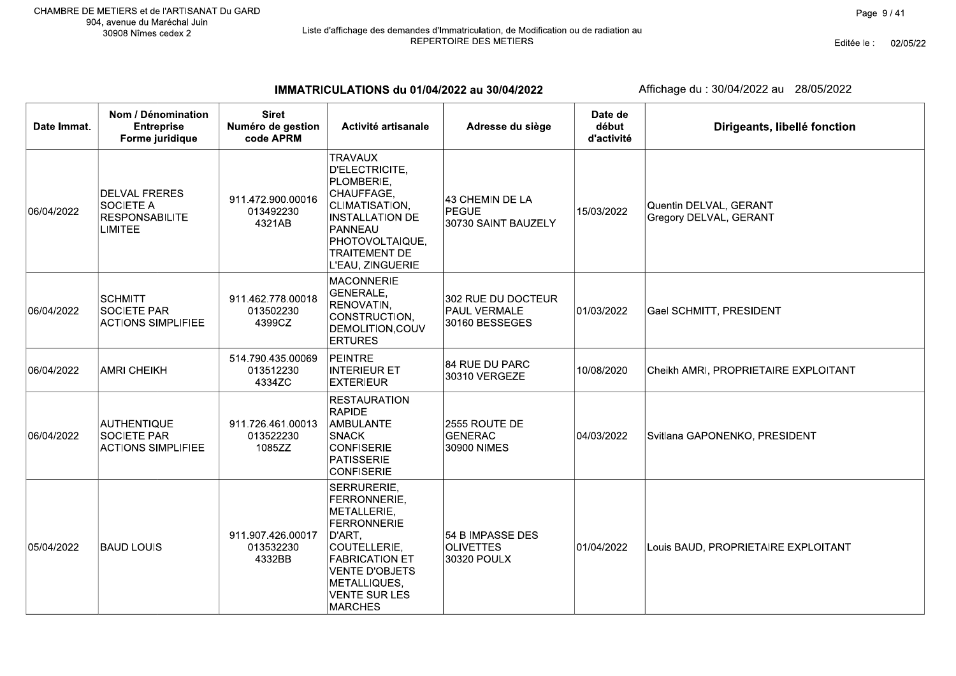Editée le : 02/05/22

IMMATRICULATIONS du 01/04/2022 au 30/04/2022

| Date Immat. | Nom / Dénomination<br><b>Entreprise</b><br>Forme juridique                          | <b>Siret</b><br>Numéro de gestion<br>code APRM | Activité artisanale                                                                                                                                                                                    | Adresse du siège                                            | Date de<br>début<br>d'activité | Dirigeants, libellé fonction                     |
|-------------|-------------------------------------------------------------------------------------|------------------------------------------------|--------------------------------------------------------------------------------------------------------------------------------------------------------------------------------------------------------|-------------------------------------------------------------|--------------------------------|--------------------------------------------------|
| 06/04/2022  | <b>DELVAL FRERES</b><br><b>SOCIETE A</b><br><b>RESPONSABILITE</b><br><b>LIMITEE</b> | 911.472.900.00016<br>013492230<br>4321AB       | <b>TRAVAUX</b><br><b>D'ELECTRICITE,</b><br>PLOMBERIE,<br>CHAUFFAGE,<br>CLIMATISATION,<br><b>INSTALLATION DE</b><br>PANNEAU<br>PHOTOVOLTAIQUE,<br><b>TRAITEMENT DE</b><br>L'EAU, ZINGUERIE              | 43 CHEMIN DE LA<br>PEGUE<br>30730 SAINT BAUZELY             | 15/03/2022                     | Quentin DELVAL, GERANT<br>Gregory DELVAL, GERANT |
| 06/04/2022  | <b>SCHMITT</b><br>SOCIETE PAR<br><b>ACTIONS SIMPLIFIEE</b>                          | 911.462.778.00018<br>013502230<br>4399CZ       | <b>MACONNERIE</b><br>GENERALE,<br>RENOVATIN,<br>CONSTRUCTION,<br>DEMOLITION, COUV<br><b>ERTURES</b>                                                                                                    | 302 RUE DU DOCTEUR<br><b>PAUL VERMALE</b><br>30160 BESSEGES | 01/03/2022                     | Gael SCHMITT, PRESIDENT                          |
| 06/04/2022  | <b>AMRI CHEIKH</b>                                                                  | 514.790.435.00069<br>013512230<br>4334ZC       | PEINTRE<br><b>INTERIEUR ET</b><br><b>EXTERIEUR</b>                                                                                                                                                     | 84 RUE DU PARC<br>30310 VERGEZE                             | 10/08/2020                     | Cheikh AMRI, PROPRIETAIRE EXPLOITANT             |
| 06/04/2022  | <b>AUTHENTIQUE</b><br><b>SOCIETE PAR</b><br><b>ACTIONS SIMPLIFIEE</b>               | 911.726.461.00013<br>013522230<br>1085ZZ       | <b>RESTAURATION</b><br><b>RAPIDE</b><br>AMBULANTE<br><b>SNACK</b><br><b>CONFISERIE</b><br><b>PATISSERIE</b><br><b>CONFISERIE</b>                                                                       | 2555 ROUTE DE<br><b>GENERAC</b><br>30900 NIMES              | 04/03/2022                     | Svitlana GAPONENKO, PRESIDENT                    |
| 05/04/2022  | <b>BAUD LOUIS</b>                                                                   | 911.907.426.00017<br>013532230<br>4332BB       | SERRURERIE,<br>FERRONNERIE,<br>METALLERIE,<br><b>FERRONNERIE</b><br>D'ART,<br>COUTELLERIE,<br><b>FABRICATION ET</b><br><b>VENTE D'OBJETS</b><br>METALLIQUES,<br><b>VENTE SUR LES</b><br><b>MARCHES</b> | 54 B IMPASSE DES<br><b>OLIVETTES</b><br>30320 POULX         | 01/04/2022                     | Louis BAUD, PROPRIETAIRE EXPLOITANT              |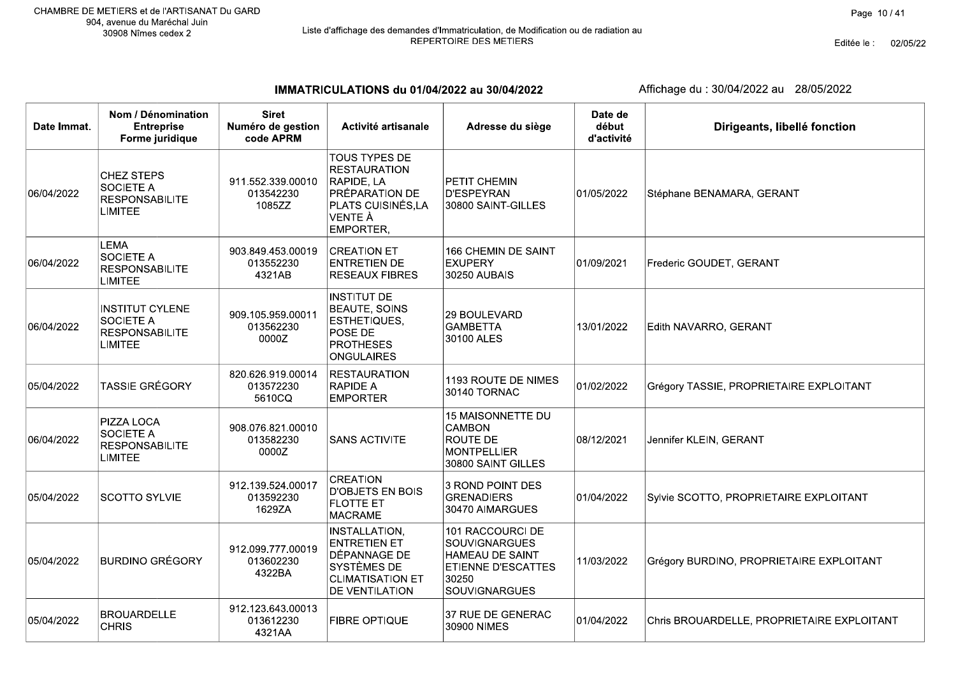# Liste d'affichage des demandes d'Immatriculation, de Modification ou de radiation au<br>REPERTOIRE DES METIERS

Editée le : 02/05/22

IMMATRICULATIONS du 01/04/2022 au 30/04/2022

| Date Immat. | Nom / Dénomination<br><b>Entreprise</b><br>Forme juridique                       | <b>Siret</b><br>Numéro de gestion<br>code APRM | Activité artisanale                                                                                                            | Adresse du siège                                                                                                          | Date de<br>début<br>d'activité | Dirigeants, libellé fonction               |
|-------------|----------------------------------------------------------------------------------|------------------------------------------------|--------------------------------------------------------------------------------------------------------------------------------|---------------------------------------------------------------------------------------------------------------------------|--------------------------------|--------------------------------------------|
| 06/04/2022  | <b>CHEZ STEPS</b><br><b>SOCIETE A</b><br><b>RESPONSABILITE</b><br><b>LIMITEE</b> | 911.552.339.00010<br>013542230<br>1085ZZ       | TOUS TYPES DE<br><b>RESTAURATION</b><br>RAPIDE, LA<br>PRÉPARATION DE<br>PLATS CUISINÉS, LA<br>VENTE À<br>EMPORTER,             | <b>PETIT CHEMIN</b><br>D'ESPEYRAN<br>30800 SAINT-GILLES                                                                   | 01/05/2022                     | Stéphane BENAMARA, GERANT                  |
| 06/04/2022  | <b>LEMA</b><br><b>SOCIETE A</b><br><b>RESPONSABILITE</b><br><b>LIMITEE</b>       | 903.849.453.00019<br>013552230<br>4321AB       | <b>CREATION ET</b><br><b>ENTRETIEN DE</b><br><b>RESEAUX FIBRES</b>                                                             | <b>166 CHEMIN DE SAINT</b><br><b>EXUPERY</b><br>30250 AUBAIS                                                              | 01/09/2021                     | Frederic GOUDET, GERANT                    |
| 06/04/2022  | <b>INSTITUT CYLENE</b><br><b>SOCIETE A</b><br><b>RESPONSABILITE</b><br>LIMITEE   | 909.105.959.00011<br>013562230<br>0000Z        | <b>INSTITUT DE</b><br><b>BEAUTE, SOINS</b><br>ESTHETIQUES,<br>POSE DE<br><b>PROTHESES</b><br><b>ONGULAIRES</b>                 | <b>29 BOULEVARD</b><br><b>GAMBETTA</b><br>30100 ALES                                                                      | 13/01/2022                     | Edith NAVARRO, GERANT                      |
| 05/04/2022  | <b>TASSIE GRÉGORY</b>                                                            | 820.626.919.00014<br>013572230<br>5610CQ       | <b>RESTAURATION</b><br><b>RAPIDE A</b><br><b>EMPORTER</b>                                                                      | 1193 ROUTE DE NIMES<br>30140 TORNAC                                                                                       | 01/02/2022                     | Grégory TASSIE, PROPRIETAIRE EXPLOITANT    |
| 06/04/2022  | PIZZA LOCA<br><b>SOCIETE A</b><br><b>RESPONSABILITE</b><br><b>LIMITEE</b>        | 908.076.821.00010<br>013582230<br>0000Z        | <b>SANS ACTIVITE</b>                                                                                                           | 15 MAISONNETTE DU<br>CAMBON<br><b>ROUTE DE</b><br><b>MONTPELLIER</b><br>30800 SAINT GILLES                                | 08/12/2021                     | Jennifer KLEIN, GERANT                     |
| 05/04/2022  | <b>SCOTTO SYLVIE</b>                                                             | 912.139.524.00017<br>013592230<br>1629ZA       | <b>CREATION</b><br><b>D'OBJETS EN BOIS</b><br><b>FLOTTE ET</b><br><b>MACRAME</b>                                               | 3 ROND POINT DES<br><b>GRENADIERS</b><br>30470 AIMARGUES                                                                  | 01/04/2022                     | Sylvie SCOTTO, PROPRIETAIRE EXPLOITANT     |
| 05/04/2022  | <b>BURDINO GRÉGORY</b>                                                           | 912.099.777.00019<br>013602230<br>4322BA       | INSTALLATION,<br><b>ENTRETIEN ET</b><br><b>DÉPANNAGE DE</b><br>SYSTÈMES DE<br><b>CLIMATISATION ET</b><br><b>DE VENTILATION</b> | 101 RACCOURCI DE<br><b>SOUVIGNARGUES</b><br>HAMEAU DE SAINT<br><b>ETIENNE D'ESCATTES</b><br>30250<br><b>SOUVIGNARGUES</b> | 11/03/2022                     | Grégory BURDINO, PROPRIETAIRE EXPLOITANT   |
| 05/04/2022  | <b>BROUARDELLE</b><br><b>CHRIS</b>                                               | 912.123.643.00013<br>013612230<br>4321AA       | <b>FIBRE OPTIQUE</b>                                                                                                           | 37 RUE DE GENERAC<br>30900 NIMES                                                                                          | 01/04/2022                     | Chris BROUARDELLE, PROPRIETAIRE EXPLOITANT |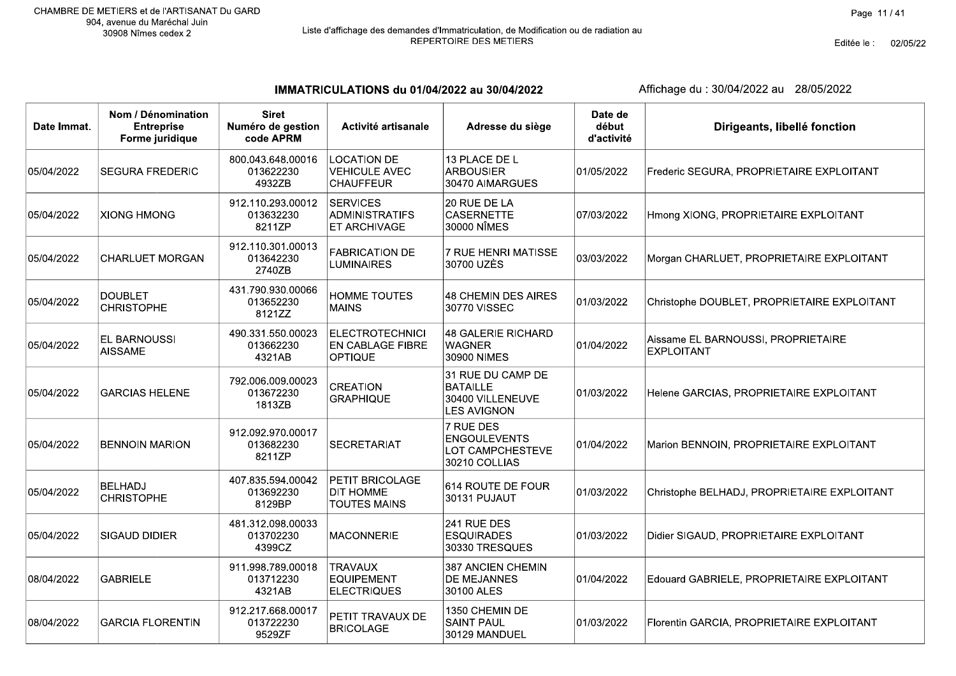Editée le : 02/05/22

IMMATRICULATIONS du 01/04/2022 au 30/04/2022

| Date Immat. | Nom / Dénomination<br><b>Entreprise</b><br>Forme juridique | <b>Siret</b><br>Numéro de gestion<br>code APRM | Activité artisanale                                            | Adresse du siège                                                               | Date de<br>début<br>d'activité | Dirigeants, libellé fonction                            |
|-------------|------------------------------------------------------------|------------------------------------------------|----------------------------------------------------------------|--------------------------------------------------------------------------------|--------------------------------|---------------------------------------------------------|
| 05/04/2022  | <b>SEGURA FREDERIC</b>                                     | 800.043.648.00016<br>013622230<br>4932ZB       | <b>LOCATION DE</b><br><b>VEHICULE AVEC</b><br><b>CHAUFFEUR</b> | 13 PLACE DE L<br><b>ARBOUSIER</b><br>30470 AIMARGUES                           | 01/05/2022                     | Frederic SEGURA, PROPRIETAIRE EXPLOITANT                |
| 05/04/2022  | <b>XIONG HMONG</b>                                         | 912.110.293.00012<br>013632230<br>8211ZP       | <b>SERVICES</b><br>ADMINISTRATIFS<br>ET ARCHIVAGE              | 20 RUE DE LA<br><b>CASERNETTE</b><br>30000 NÎMES                               | 07/03/2022                     | Hmong XIONG, PROPRIETAIRE EXPLOITANT                    |
| 05/04/2022  | <b>CHARLUET MORGAN</b>                                     | 912.110.301.00013<br>013642230<br>2740ZB       | <b>FABRICATION DE</b><br><b>LUMINAIRES</b>                     | 7 RUE HENRI MATISSE<br>30700 UZÈS                                              | 03/03/2022                     | Morgan CHARLUET, PROPRIETAIRE EXPLOITANT                |
| 05/04/2022  | <b>DOUBLET</b><br><b>CHRISTOPHE</b>                        | 431.790.930.00066<br>013652230<br>8121ZZ       | <b>HOMME TOUTES</b><br><b>MAINS</b>                            | 48 CHEMIN DES AIRES<br>30770 VISSEC                                            | 01/03/2022                     | Christophe DOUBLET, PROPRIETAIRE EXPLOITANT             |
| 05/04/2022  | EL BARNOUSSI<br><b>AISSAME</b>                             | 490.331.550.00023<br>013662230<br>4321AB       | <b>ELECTROTECHNICI</b><br>EN CABLAGE FIBRE<br>OPTIQUE          | <b>48 GALERIE RICHARD</b><br><b>WAGNER</b><br>30900 NIMES                      | 01/04/2022                     | Aissame EL BARNOUSSI, PROPRIETAIRE<br><b>EXPLOITANT</b> |
| 05/04/2022  | <b>GARCIAS HELENE</b>                                      | 792.006.009.00023<br>013672230<br>1813ZB       | <b>CREATION</b><br><b>GRAPHIQUE</b>                            | 31 RUE DU CAMP DE<br><b>BATAILLE</b><br>30400 VILLENEUVE<br><b>LES AVIGNON</b> | 01/03/2022                     | Helene GARCIAS, PROPRIETAIRE EXPLOITANT                 |
| 05/04/2022  | <b>BENNOIN MARION</b>                                      | 912.092.970.00017<br>013682230<br>8211ZP       | <b>SECRETARIAT</b>                                             | 7 RUE DES<br><b>ENGOULEVENTS</b><br>LOT CAMPCHESTEVE<br>30210 COLLIAS          | 01/04/2022                     | Marion BENNOIN, PROPRIETAIRE EXPLOITANT                 |
| 05/04/2022  | <b>BELHADJ</b><br><b>CHRISTOPHE</b>                        | 407.835.594.00042<br>013692230<br>8129BP       | PETIT BRICOLAGE<br><b>DIT HOMME</b><br>TOUTES MAINS            | 614 ROUTE DE FOUR<br>30131 PUJAUT                                              | 01/03/2022                     | Christophe BELHADJ, PROPRIETAIRE EXPLOITANT             |
| 05/04/2022  | <b>SIGAUD DIDIER</b>                                       | 481.312.098.00033<br>013702230<br>4399CZ       | <b>MACONNERIE</b>                                              | 241 RUE DES<br><b>ESQUIRADES</b><br>30330 TRESQUES                             | 01/03/2022                     | Didier SIGAUD, PROPRIETAIRE EXPLOITANT                  |
| 08/04/2022  | <b>GABRIELE</b>                                            | 911.998.789.00018<br>013712230<br>4321AB       | <b>TRAVAUX</b><br><b>EQUIPEMENT</b><br><b>ELECTRIQUES</b>      | 387 ANCIEN CHEMIN<br><b>DE MEJANNES</b><br>30100 ALES                          | 01/04/2022                     | Edouard GABRIELE, PROPRIETAIRE EXPLOITANT               |
| 08/04/2022  | <b>GARCIA FLORENTIN</b>                                    | 912.217.668.00017<br>013722230<br>9529ZF       | PETIT TRAVAUX DE<br><b>BRICOLAGE</b>                           | 1350 CHEMIN DE<br><b>SAINT PAUL</b><br>30129 MANDUEL                           | 01/03/2022                     | Florentin GARCIA, PROPRIETAIRE EXPLOITANT               |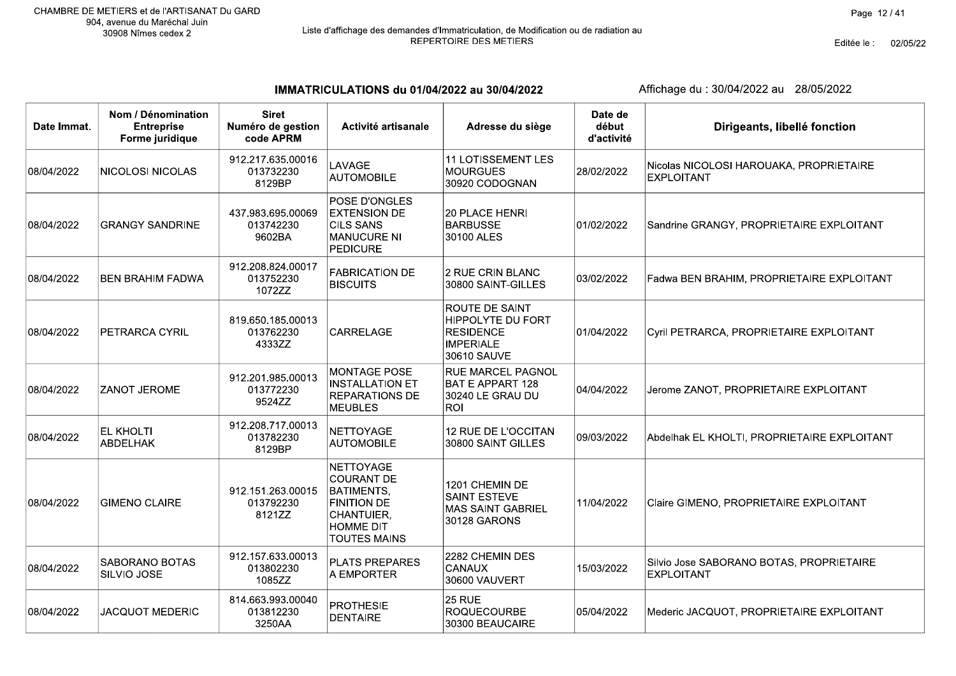# Liste d'affichage des demandes d'Immatriculation, de Modification ou de radiation au<br>REPERTOIRE DES METIERS

Editée le : 02/05/22

 $\top$ 

IMMATRICULATIONS du 01/04/2022 au 30/04/2022

| Date Immat. | Nom / Dénomination<br><b>Entreprise</b><br>Forme juridique | <b>Siret</b><br>Numéro de gestion<br>code APRM | Activité artisanale                                                                                                                | Adresse du siège                                                                           | Date de<br>début<br>d'activité | Dirigeants, libellé fonction                                  |
|-------------|------------------------------------------------------------|------------------------------------------------|------------------------------------------------------------------------------------------------------------------------------------|--------------------------------------------------------------------------------------------|--------------------------------|---------------------------------------------------------------|
| 08/04/2022  | <b>NICOLOSI NICOLAS</b>                                    | 912.217.635.00016<br>013732230<br>8129BP       | LAVAGE<br><b>AUTOMOBILE</b>                                                                                                        | <b>11 LOTISSEMENT LES</b><br>MOURGUES<br>30920 CODOGNAN                                    | 28/02/2022                     | Nicolas NICOLOSI HAROUAKA, PROPRIETAIRE<br><b>EXPLOITANT</b>  |
| 08/04/2022  | <b>GRANGY SANDRINE</b>                                     | 437.983.695.00069<br>013742230<br>9602BA       | POSE D'ONGLES<br><b>EXTENSION DE</b><br><b>CILS SANS</b><br><b>MANUCURE NI</b><br><b>PEDICURE</b>                                  | 20 PLACE HENRI<br><b>BARBUSSE</b><br>30100 ALES                                            | 01/02/2022                     | Sandrine GRANGY, PROPRIETAIRE EXPLOITANT                      |
| 08/04/2022  | <b>BEN BRAHIM FADWA</b>                                    | 912.208.824.00017<br>013752230<br>1072ZZ       | <b>FABRICATION DE</b><br><b>BISCUITS</b>                                                                                           | 2 RUE CRIN BLANC<br>30800 SAINT-GILLES                                                     | 03/02/2022                     | Fadwa BEN BRAHIM, PROPRIETAIRE EXPLOITANT                     |
| 08/04/2022  | PETRARCA CYRIL                                             | 819.650.185.00013<br>013762230<br>4333ZZ       | <b>CARRELAGE</b>                                                                                                                   | ROUTE DE SAINT<br>HIPPOLYTE DU FORT<br><b>RESIDENCE</b><br><b>IMPERIALE</b><br>30610 SAUVE | 01/04/2022                     | Cyril PETRARCA, PROPRIETAIRE EXPLOITANT                       |
| 08/04/2022  | <b>ZANOT JEROME</b>                                        | 912.201.985.00013<br>013772230<br>9524ZZ       | <b>MONTAGE POSE</b><br><b>INSTALLATION ET</b><br><b>REPARATIONS DE</b><br><b>MEUBLES</b>                                           | <b>RUE MARCEL PAGNOL</b><br>BAT E APPART 128<br>30240 LE GRAU DU<br>ROI                    | 04/04/2022                     | Jerome ZANOT, PROPRIETAIRE EXPLOITANT                         |
| 08/04/2022  | EL KHOLTI<br><b>ABDELHAK</b>                               | 912.208.717.00013<br>013782230<br>8129BP       | <b>NETTOYAGE</b><br><b>AUTOMOBILE</b>                                                                                              | 12 RUE DE L'OCCITAN<br>30800 SAINT GILLES                                                  | 09/03/2022                     | Abdelhak EL KHOLTI, PROPRIETAIRE EXPLOITANT                   |
| 08/04/2022  | <b>GIMENO CLAIRE</b>                                       | 912.151.263.00015<br>013792230<br>8121ZZ       | NETTOYAGE<br><b>COURANT DE</b><br><b>BATIMENTS,</b><br><b>FINITION DE</b><br>CHANTUIER,<br><b>HOMME DIT</b><br><b>TOUTES MAINS</b> | 1201 CHEMIN DE<br><b>SAINT ESTEVE</b><br><b>MAS SAINT GABRIEL</b><br>30128 GARONS          | 11/04/2022                     | Claire GIMENO, PROPRIETAIRE EXPLOITANT                        |
| 08/04/2022  | SABORANO BOTAS<br>SILVIO JOSE                              | 912.157.633.00013<br>013802230<br>1085ZZ       | <b>PLATS PREPARES</b><br>A EMPORTER                                                                                                | 2282 CHEMIN DES<br><b>CANAUX</b><br>30600 VAUVERT                                          | 15/03/2022                     | Silvio Jose SABORANO BOTAS, PROPRIETAIRE<br><b>EXPLOITANT</b> |
| 08/04/2022  | <b>JACQUOT MEDERIC</b>                                     | 814.663.993.00040<br>013812230<br>3250AA       | <b>PROTHESIE</b><br><b>DENTAIRE</b>                                                                                                | <b>25 RUE</b><br><b>ROQUECOURBE</b><br>30300 BEAUCAIRE                                     | 05/04/2022                     | Mederic JACQUOT, PROPRIETAIRE EXPLOITANT                      |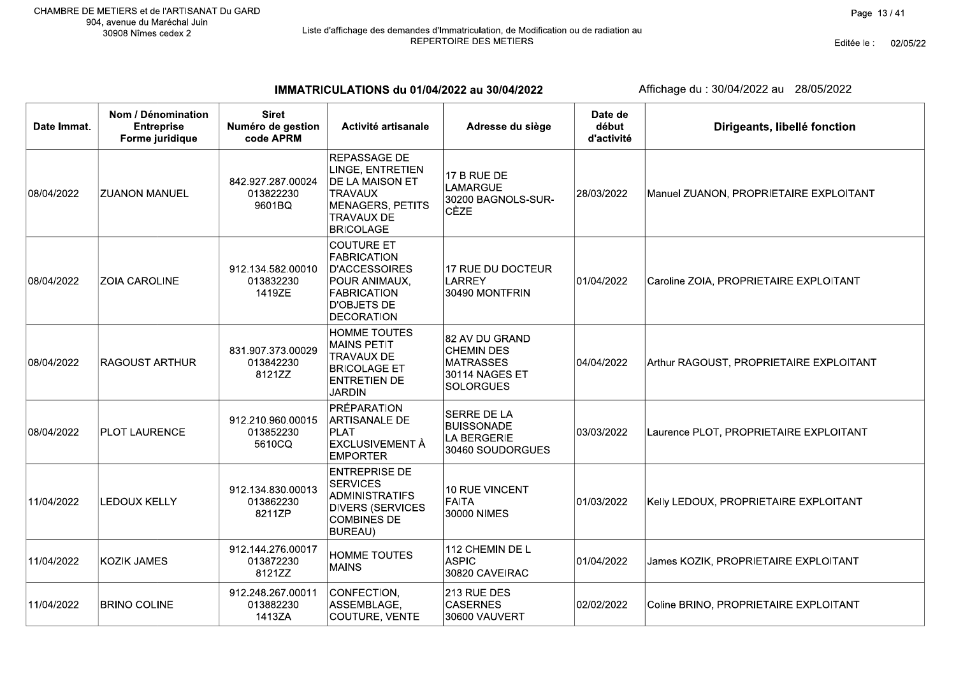Editée le : 02/05/22

IMMATRICULATIONS du 01/04/2022 au 30/04/2022

| Date Immat. | Nom / Dénomination<br><b>Entreprise</b><br>Forme juridique | <b>Siret</b><br>Numéro de gestion<br>code APRM | Activité artisanale                                                                                                                               | Adresse du siège                                                                              | Date de<br>début<br>d'activité | Dirigeants, libellé fonction            |
|-------------|------------------------------------------------------------|------------------------------------------------|---------------------------------------------------------------------------------------------------------------------------------------------------|-----------------------------------------------------------------------------------------------|--------------------------------|-----------------------------------------|
| 08/04/2022  | <b>ZUANON MANUEL</b>                                       | 842.927.287.00024<br>013822230<br>9601BQ       | REPASSAGE DE<br>LINGE, ENTRETIEN<br>DE LA MAISON ET<br><b>TRAVAUX</b><br><b>MENAGERS, PETITS</b><br><b>TRAVAUX DE</b><br><b>BRICOLAGE</b>         | 17 B RUE DE<br><b>LAMARGUE</b><br>30200 BAGNOLS-SUR-<br>CÈZE                                  | 28/03/2022                     | Manuel ZUANON, PROPRIETAIRE EXPLOITANT  |
| 08/04/2022  | ZOIA CAROLINE                                              | 912.134.582.00010<br>013832230<br>1419ZE       | <b>COUTURE ET</b><br><b>FABRICATION</b><br><b>D'ACCESSOIRES</b><br>POUR ANIMAUX,<br><b>FABRICATION</b><br><b>D'OBJETS DE</b><br><b>DECORATION</b> | 17 RUE DU DOCTEUR<br><b>LARREY</b><br>30490 MONTFRIN                                          | 01/04/2022                     | Caroline ZOIA, PROPRIETAIRE EXPLOITANT  |
| 08/04/2022  | RAGOUST ARTHUR                                             | 831.907.373.00029<br>013842230<br>8121ZZ       | <b>HOMME TOUTES</b><br><b>MAINS PETIT</b><br><b>TRAVAUX DE</b><br><b>BRICOLAGE ET</b><br><b>ENTRETIEN DE</b><br><b>JARDIN</b>                     | 82 AV DU GRAND<br><b>CHEMIN DES</b><br><b>MATRASSES</b><br>30114 NAGES ET<br><b>SOLORGUES</b> | 04/04/2022                     | Arthur RAGOUST, PROPRIETAIRE EXPLOITANT |
| 08/04/2022  | <b>PLOT LAURENCE</b>                                       | 912.210.960.00015<br>013852230<br>5610CQ       | PRÉPARATION<br>ARTISANALE DE<br><b>PLAT</b><br><b>EXCLUSIVEMENT À</b><br><b>EMPORTER</b>                                                          | <b>SERRE DE LA</b><br><b>BUISSONADE</b><br>LA BERGERIE<br>30460 SOUDORGUES                    | 03/03/2022                     | Laurence PLOT, PROPRIETAIRE EXPLOITANT  |
| 11/04/2022  | <b>LEDOUX KELLY</b>                                        | 912.134.830.00013<br>013862230<br>8211ZP       | <b>ENTREPRISE DE</b><br><b>SERVICES</b><br><b>ADMINISTRATIFS</b><br><b>DIVERS (SERVICES</b><br><b>COMBINES DE</b><br><b>BUREAU)</b>               | <b>10 RUE VINCENT</b><br><b>FAITA</b><br>30000 NIMES                                          | 01/03/2022                     | Kelly LEDOUX, PROPRIETAIRE EXPLOITANT   |
| 11/04/2022  | <b>KOZIK JAMES</b>                                         | 912.144.276.00017<br>013872230<br>8121ZZ       | <b>HOMME TOUTES</b><br><b>MAINS</b>                                                                                                               | 112 CHEMIN DE L<br><b>ASPIC</b><br>30820 CAVEIRAC                                             | 01/04/2022                     | James KOZIK, PROPRIETAIRE EXPLOITANT    |
| 11/04/2022  | <b>BRINO COLINE</b>                                        | 912.248.267.00011<br>013882230<br>1413ZA       | CONFECTION,<br>ASSEMBLAGE,<br>COUTURE, VENTE                                                                                                      | 213 RUE DES<br><b>CASERNES</b><br>30600 VAUVERT                                               | 02/02/2022                     | Coline BRINO, PROPRIETAIRE EXPLOITANT   |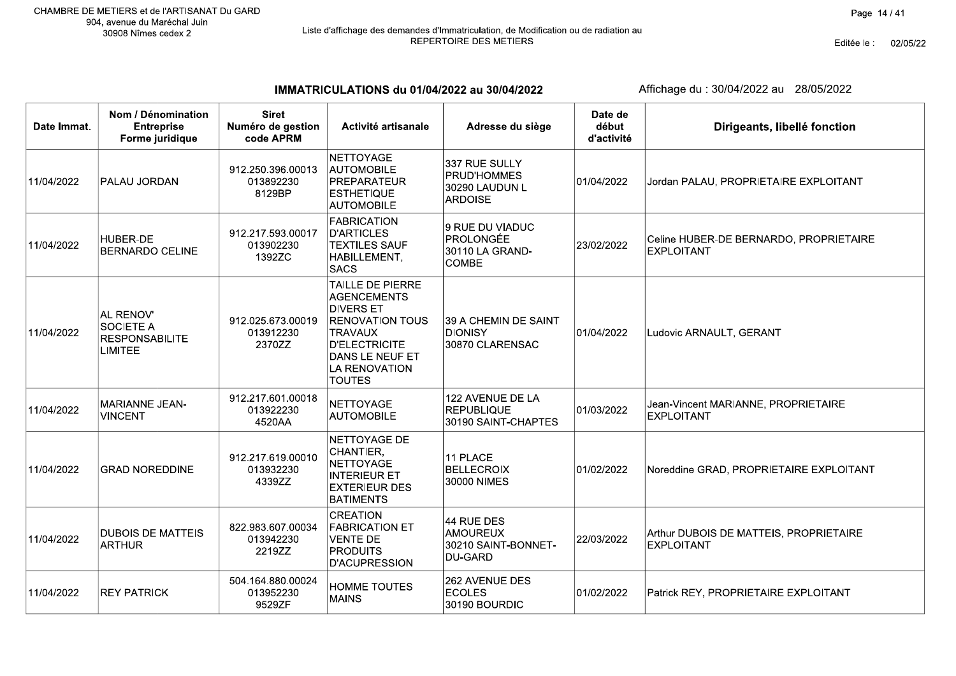Editée le : 02/05/22

IMMATRICULATIONS du 01/04/2022 au 30/04/2022

| Date Immat. | Nom / Dénomination<br><b>Entreprise</b><br>Forme juridique               | <b>Siret</b><br>Numéro de gestion<br>code APRM | Activité artisanale                                                                                                                                                          | Adresse du siège                                                       | Date de<br>début<br>d'activité | Dirigeants, libellé fonction                                |
|-------------|--------------------------------------------------------------------------|------------------------------------------------|------------------------------------------------------------------------------------------------------------------------------------------------------------------------------|------------------------------------------------------------------------|--------------------------------|-------------------------------------------------------------|
| 11/04/2022  | PALAU JORDAN                                                             | 912.250.396.00013<br>013892230<br>8129BP       | <b>NETTOYAGE</b><br><b>AUTOMOBILE</b><br>PREPARATEUR<br><b>ESTHETIQUE</b><br><b>AUTOMOBILE</b>                                                                               | 337 RUE SULLY<br>PRUD'HOMMES<br>30290 LAUDUN L<br><b>ARDOISE</b>       | 01/04/2022                     | Jordan PALAU, PROPRIETAIRE EXPLOITANT                       |
| 11/04/2022  | HUBER-DE<br><b>BERNARDO CELINE</b>                                       | 912.217.593.00017<br>013902230<br>1392ZC       | FABRICATION<br><b>D'ARTICLES</b><br><b>TEXTILES SAUF</b><br>HABILLEMENT,<br>SACS                                                                                             | 9 RUE DU VIADUC<br><b>PROLONGÉE</b><br>30110 LA GRAND-<br><b>COMBE</b> | 23/02/2022                     | Celine HUBER-DE BERNARDO, PROPRIETAIRE<br><b>EXPLOITANT</b> |
| 11/04/2022  | AL RENOV'<br><b>SOCIETE A</b><br><b>RESPONSABILITE</b><br><b>LIMITEE</b> | 912.025.673.00019<br>013912230<br>2370ZZ       | <b>TAILLE DE PIERRE</b><br>AGENCEMENTS<br><b>DIVERS ET</b><br><b>RENOVATION TOUS</b><br>TRAVAUX<br><b>D'ELECTRICITE</b><br>DANS LE NEUF ET<br>LA RENOVATION<br><b>TOUTES</b> | 39 A CHEMIN DE SAINT<br><b>DIONISY</b><br>30870 CLARENSAC              | 01/04/2022                     | Ludovic ARNAULT, GERANT                                     |
| 11/04/2022  | MARIANNE JEAN-<br><b>VINCENT</b>                                         | 912.217.601.00018<br>013922230<br>4520AA       | NETTOYAGE<br><b>AUTOMOBILE</b>                                                                                                                                               | 122 AVENUE DE LA<br><b>REPUBLIQUE</b><br>30190 SAINT-CHAPTES           | 01/03/2022                     | Jean-Vincent MARIANNE, PROPRIETAIRE<br><b>EXPLOITANT</b>    |
| 11/04/2022  | <b>GRAD NOREDDINE</b>                                                    | 912.217.619.00010<br>013932230<br>4339ZZ       | NETTOYAGE DE<br>CHANTIER,<br>NETTOYAGE<br><b>INTERIEUR ET</b><br><b>EXTERIEUR DES</b><br><b>BATIMENTS</b>                                                                    | 11 PLACE<br><b>BELLECROIX</b><br>30000 NIMES                           | 01/02/2022                     | Noreddine GRAD, PROPRIETAIRE EXPLOITANT                     |
| 11/04/2022  | <b>DUBOIS DE MATTEIS</b><br><b>ARTHUR</b>                                | 822.983.607.00034<br>013942230<br>2219ZZ       | <b>CREATION</b><br><b>FABRICATION ET</b><br>VENTE DE<br><b>PRODUITS</b><br>D'ACUPRESSION                                                                                     | 44 RUE DES<br><b>AMOUREUX</b><br>30210 SAINT-BONNET-<br>DU-GARD        | 22/03/2022                     | Arthur DUBOIS DE MATTEIS, PROPRIETAIRE<br><b>EXPLOITANT</b> |
| 11/04/2022  | <b>REY PATRICK</b>                                                       | 504.164.880.00024<br>013952230<br>9529ZF       | HOMME TOUTES<br><b>MAINS</b>                                                                                                                                                 | 262 AVENUE DES<br><b>ECOLES</b><br>30190 BOURDIC                       | 01/02/2022                     | Patrick REY, PROPRIETAIRE EXPLOITANT                        |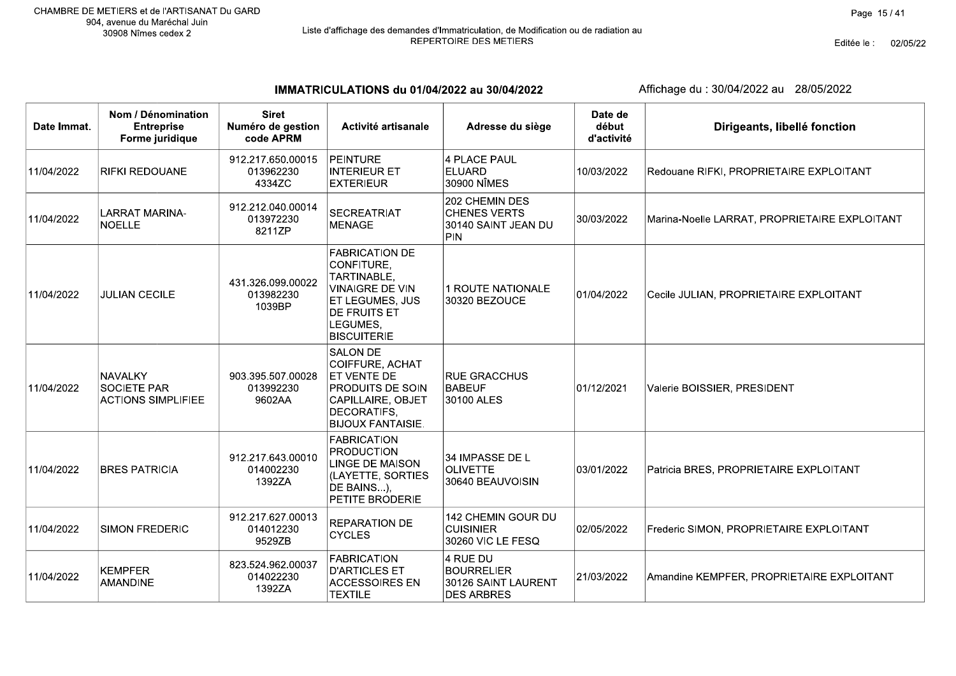Editée le : 02/05/22

IMMATRICULATIONS du 01/04/2022 au 30/04/2022

| Date Immat. | Nom / Dénomination<br><b>Entreprise</b><br>Forme juridique | <b>Siret</b><br>Numéro de gestion<br>code APRM | Activité artisanale                                                                                                                                 | Adresse du siège                                                          | Date de<br>début<br>d'activité | Dirigeants, libellé fonction                  |
|-------------|------------------------------------------------------------|------------------------------------------------|-----------------------------------------------------------------------------------------------------------------------------------------------------|---------------------------------------------------------------------------|--------------------------------|-----------------------------------------------|
| 11/04/2022  | <b>RIFKI REDOUANE</b>                                      | 912.217.650.00015<br>013962230<br>4334ZC       | <b>PEINTURE</b><br><b>INTERIEUR ET</b><br><b>EXTERIEUR</b>                                                                                          | 4 PLACE PAUL<br>ELUARD<br>30900 NÎMES                                     | 10/03/2022                     | Redouane RIFKI, PROPRIETAIRE EXPLOITANT       |
| 11/04/2022  | <b>LARRAT MARINA-</b><br><b>NOELLE</b>                     | 912.212.040.00014<br>013972230<br>8211ZP       | <b>SECREATRIAT</b><br><b>MENAGE</b>                                                                                                                 | 202 CHEMIN DES<br><b>CHENES VERTS</b><br>30140 SAINT JEAN DU<br>PIN       | 30/03/2022                     | Marina-Noelle LARRAT, PROPRIETAIRE EXPLOITANT |
| 11/04/2022  | <b>JULIAN CECILE</b>                                       | 431.326.099.00022<br>013982230<br>1039BP       | <b>FABRICATION DE</b><br>CONFITURE,<br>TARTINABLE,<br><b>VINAIGRE DE VIN</b><br>ET LEGUMES, JUS<br>DE FRUITS ET<br>LEGUMES,<br><b>BISCUITERIE</b>   | 1 ROUTE NATIONALE<br>30320 BEZOUCE                                        | 01/04/2022                     | Cecile JULIAN, PROPRIETAIRE EXPLOITANT        |
| 11/04/2022  | NAVALKY<br><b>SOCIETE PAR</b><br><b>ACTIONS SIMPLIFIEE</b> | 903.395.507.00028<br>013992230<br>9602AA       | <b>SALON DE</b><br>COIFFURE, ACHAT<br>ET VENTE DE<br><b>PRODUITS DE SOIN</b><br><b>CAPILLAIRE, OBJET</b><br>DECORATIFS,<br><b>BIJOUX FANTAISIE.</b> | <b>RUE GRACCHUS</b><br><b>BABEUF</b><br>30100 ALES                        | 01/12/2021                     | Valerie BOISSIER, PRESIDENT                   |
| 11/04/2022  | <b>BRES PATRICIA</b>                                       | 912.217.643.00010<br>014002230<br>1392ZA       | <b>FABRICATION</b><br><b>PRODUCTION</b><br>LINGE DE MAISON<br>(LAYETTE, SORTIES<br>DE BAINS),<br>PETITE BRODERIE                                    | 34 IMPASSE DE L<br><b>OLIVETTE</b><br>30640 BEAUVOISIN                    | 03/01/2022                     | Patricia BRES, PROPRIETAIRE EXPLOITANT        |
| 11/04/2022  | <b>SIMON FREDERIC</b>                                      | 912.217.627.00013<br>014012230<br>9529ZB       | <b>REPARATION DE</b><br><b>CYCLES</b>                                                                                                               | 142 CHEMIN GOUR DU<br><b>CUISINIER</b><br>30260 VIC LE FESQ               | 02/05/2022                     | Frederic SIMON, PROPRIETAIRE EXPLOITANT       |
| 11/04/2022  | <b>KEMPFER</b><br><b>AMANDINE</b>                          | 823.524.962.00037<br>014022230<br>1392ZA       | <b>FABRICATION</b><br><b>D'ARTICLES ET</b><br><b>ACCESSOIRES EN</b><br><b>TEXTILE</b>                                                               | 4 RUE DU<br><b>BOURRELIER</b><br>30126 SAINT LAURENT<br><b>DES ARBRES</b> | 21/03/2022                     | Amandine KEMPFER, PROPRIETAIRE EXPLOITANT     |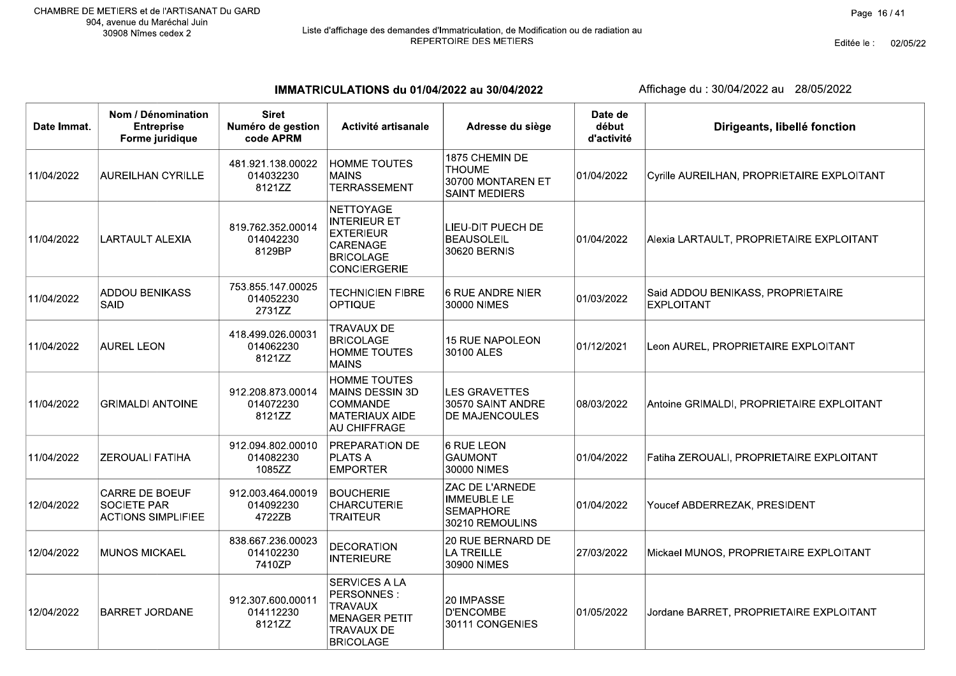IMMATRICULATIONS du 01/04/2022 au 30/04/2022

| Date Immat. | Nom / Dénomination<br><b>Entreprise</b><br>Forme juridique               | <b>Siret</b><br>Numéro de gestion<br>code APRM | Activité artisanale                                                                                            | Adresse du siège                                                             | Date de<br>début<br>d'activité | Dirigeants, libellé fonction                           |
|-------------|--------------------------------------------------------------------------|------------------------------------------------|----------------------------------------------------------------------------------------------------------------|------------------------------------------------------------------------------|--------------------------------|--------------------------------------------------------|
| 11/04/2022  | <b>AUREILHAN CYRILLE</b>                                                 | 481.921.138.00022<br>014032230<br>8121ZZ       | <b>HOMME TOUTES</b><br><b>MAINS</b><br><b>TERRASSEMENT</b>                                                     | 1875 CHEMIN DE<br><b>THOUME</b><br>30700 MONTAREN ET<br><b>SAINT MEDIERS</b> | 01/04/2022                     | Cyrille AUREILHAN, PROPRIETAIRE EXPLOITANT             |
| 11/04/2022  | <b>LARTAULT ALEXIA</b>                                                   | 819.762.352.00014<br>014042230<br>8129BP       | NETTOYAGE<br><b>INTERIEUR ET</b><br><b>EXTERIEUR</b><br>CARENAGE<br><b>BRICOLAGE</b><br>CONCIERGERIE           | LIEU-DIT PUECH DE<br><b>BEAUSOLEIL</b><br>30620 BERNIS                       | 01/04/2022                     | Alexia LARTAULT, PROPRIETAIRE EXPLOITANT               |
| 11/04/2022  | <b>ADDOU BENIKASS</b><br><b>SAID</b>                                     | 753.855.147.00025<br>014052230<br>2731ZZ       | <b>TECHNICIEN FIBRE</b><br>OPTIQUE                                                                             | <b>6 RUE ANDRE NIER</b><br>30000 NIMES                                       | 01/03/2022                     | Said ADDOU BENIKASS, PROPRIETAIRE<br><b>EXPLOITANT</b> |
| 11/04/2022  | <b>AUREL LEON</b>                                                        | 418.499.026.00031<br>014062230<br>8121ZZ       | <b>TRAVAUX DE</b><br><b>BRICOLAGE</b><br><b>HOMME TOUTES</b><br><b>MAINS</b>                                   | <b>15 RUE NAPOLEON</b><br>30100 ALES                                         | 01/12/2021                     | Leon AUREL, PROPRIETAIRE EXPLOITANT                    |
| 11/04/2022  | <b>GRIMALDI ANTOINE</b>                                                  | 912.208.873.00014<br>014072230<br>8121ZZ       | <b>HOMME TOUTES</b><br>MAINS DESSIN 3D<br><b>COMMANDE</b><br>MATERIAUX AIDE<br><b>AU CHIFFRAGE</b>             | <b>LES GRAVETTES</b><br>30570 SAINT ANDRE<br>DE MAJENCOULES                  | 08/03/2022                     | Antoine GRIMALDI, PROPRIETAIRE EXPLOITANT              |
| 11/04/2022  | <b>ZEROUALI FATIHA</b>                                                   | 912.094.802.00010<br>014082230<br>1085ZZ       | <b>PREPARATION DE</b><br><b>PLATS A</b><br><b>EMPORTER</b>                                                     | 6 RUE LEON<br><b>GAUMONT</b><br>30000 NIMES                                  | 01/04/2022                     | Fatiha ZEROUALI, PROPRIETAIRE EXPLOITANT               |
| 12/04/2022  | <b>CARRE DE BOEUF</b><br><b>SOCIETE PAR</b><br><b>ACTIONS SIMPLIFIEE</b> | 912.003.464.00019<br>014092230<br>4722ZB       | <b>BOUCHERIE</b><br>CHARCUTERIE<br><b>TRAITEUR</b>                                                             | ZAC DE L'ARNEDE<br><b>IMMEUBLE LE</b><br><b>SEMAPHORE</b><br>30210 REMOULINS | 01/04/2022                     | Youcef ABDERREZAK, PRESIDENT                           |
| 12/04/2022  | <b>MUNOS MICKAEL</b>                                                     | 838.667.236.00023<br>014102230<br>7410ZP       | <b>DECORATION</b><br><b>INTERIEURE</b>                                                                         | 20 RUE BERNARD DE<br>LA TREILLE<br>30900 NIMES                               | 27/03/2022                     | Mickael MUNOS, PROPRIETAIRE EXPLOITANT                 |
| 12/04/2022  | <b>BARRET JORDANE</b>                                                    | 912.307.600.00011<br>014112230<br>8121ZZ       | <b>SERVICES A LA</b><br>PERSONNES:<br><b>TRAVAUX</b><br>MENAGER PETIT<br><b>TRAVAUX DE</b><br><b>BRICOLAGE</b> | 20 IMPASSE<br><b>D'ENCOMBE</b><br>30111 CONGENIES                            | 01/05/2022                     | Jordane BARRET, PROPRIETAIRE EXPLOITANT                |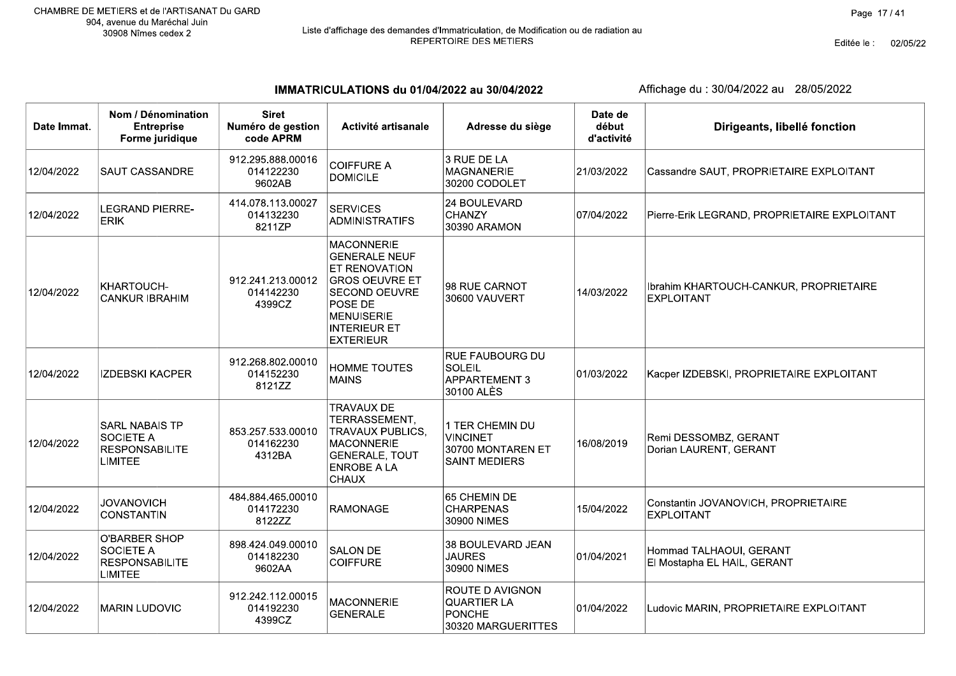Editée le : 02/05/22

IMMATRICULATIONS du 01/04/2022 au 30/04/2022

| Date Immat. | Nom / Dénomination<br><b>Entreprise</b><br>Forme juridique                          | <b>Siret</b><br>Numéro de gestion<br>code APRM | Activité artisanale                                                                                                                                                                    | Adresse du siège                                                                | Date de<br>début<br>d'activité | Dirigeants, libellé fonction                                |
|-------------|-------------------------------------------------------------------------------------|------------------------------------------------|----------------------------------------------------------------------------------------------------------------------------------------------------------------------------------------|---------------------------------------------------------------------------------|--------------------------------|-------------------------------------------------------------|
| 12/04/2022  | <b>SAUT CASSANDRE</b>                                                               | 912.295.888.00016<br>014122230<br>9602AB       | <b>COIFFURE A</b><br><b>DOMICILE</b>                                                                                                                                                   | 3 RUE DE LA<br><b>MAGNANERIE</b><br>30200 CODOLET                               | 21/03/2022                     | Cassandre SAUT, PROPRIETAIRE EXPLOITANT                     |
| 12/04/2022  | <b>LEGRAND PIERRE-</b><br><b>ERIK</b>                                               | 414.078.113.00027<br>014132230<br>8211ZP       | <b>SERVICES</b><br><b>ADMINISTRATIFS</b>                                                                                                                                               | 24 BOULEVARD<br>CHANZY<br>30390 ARAMON                                          | 07/04/2022                     | Pierre-Erik LEGRAND, PROPRIETAIRE EXPLOITANT                |
| 12/04/2022  | KHARTOUCH-<br><b>CANKUR IBRAHIM</b>                                                 | 912.241.213.00012<br>014142230<br>4399CZ       | <b>MACONNERIE</b><br><b>GENERALE NEUF</b><br>ET RENOVATION<br><b>GROS OEUVRE ET</b><br><b>SECOND OEUVRE</b><br>POSE DE<br><b>MENUISERIE</b><br><b>INTERIEUR ET</b><br><b>EXTERIEUR</b> | 98 RUE CARNOT<br>30600 VAUVERT                                                  | 14/03/2022                     | Ibrahim KHARTOUCH-CANKUR, PROPRIETAIRE<br><b>EXPLOITANT</b> |
| 12/04/2022  | <b>IZDEBSKI KACPER</b>                                                              | 912.268.802.00010<br>014152230<br>8121ZZ       | <b>HOMME TOUTES</b><br><b>MAINS</b>                                                                                                                                                    | RUE FAUBOURG DU<br><b>SOLEIL</b><br><b>APPARTEMENT 3</b><br>30100 ALÈS          | 01/03/2022                     | Kacper IZDEBSKI, PROPRIETAIRE EXPLOITANT                    |
| 12/04/2022  | <b>SARL NABAIS TP</b><br><b>SOCIETE A</b><br><b>RESPONSABILITE</b><br>LIMITEE       | 853.257.533.00010<br>014162230<br>4312BA       | <b>TRAVAUX DE</b><br>TERRASSEMENT,<br><b>TRAVAUX PUBLICS,</b><br><b>MACONNERIE</b><br><b>GENERALE, TOUT</b><br><b>ENROBE A LA</b><br><b>CHAUX</b>                                      | 1 TER CHEMIN DU<br><b>VINCINET</b><br>30700 MONTAREN ET<br><b>SAINT MEDIERS</b> | 16/08/2019                     | Remi DESSOMBZ, GERANT<br>Dorian LAURENT, GERANT             |
| 12/04/2022  | <b>JOVANOVICH</b><br><b>CONSTANTIN</b>                                              | 484.884.465.00010<br>014172230<br>8122ZZ       | <b>RAMONAGE</b>                                                                                                                                                                        | 65 CHEMIN DE<br><b>CHARPENAS</b><br>30900 NIMES                                 | 15/04/2022                     | Constantin JOVANOVICH, PROPRIETAIRE<br><b>EXPLOITANT</b>    |
| 12/04/2022  | <b>O'BARBER SHOP</b><br><b>SOCIETE A</b><br><b>RESPONSABILITE</b><br><b>LIMITEE</b> | 898.424.049.00010<br>014182230<br>9602AA       | <b>SALON DE</b><br><b>COIFFURE</b>                                                                                                                                                     | 38 BOULEVARD JEAN<br><b>JAURES</b><br>30900 NIMES                               | 01/04/2021                     | Hommad TALHAOUI, GERANT<br>El Mostapha EL HAIL, GERANT      |
| 12/04/2022  | <b>MARIN LUDOVIC</b>                                                                | 912.242.112.00015<br>014192230<br>4399CZ       | <b>MACONNERIE</b><br><b>GENERALE</b>                                                                                                                                                   | ROUTE D AVIGNON<br><b>QUARTIER LA</b><br><b>PONCHE</b><br>30320 MARGUERITTES    | 01/04/2022                     | Ludovic MARIN, PROPRIETAIRE EXPLOITANT                      |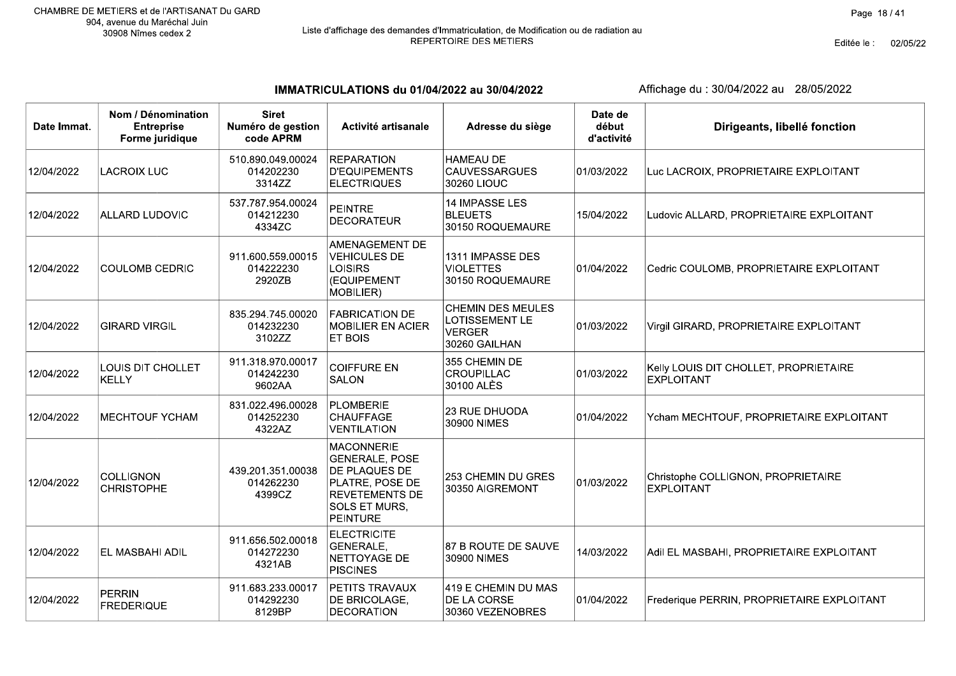Editée le : 02/05/22

IMMATRICULATIONS du 01/04/2022 au 30/04/2022

| Date Immat. | Nom / Dénomination<br><b>Entreprise</b><br>Forme juridique | <b>Siret</b><br>Numéro de gestion<br>code APRM | Activité artisanale                                                                                                                         | Adresse du siège                                                             | Date de<br>début<br>d'activité | Dirigeants, libellé fonction                               |
|-------------|------------------------------------------------------------|------------------------------------------------|---------------------------------------------------------------------------------------------------------------------------------------------|------------------------------------------------------------------------------|--------------------------------|------------------------------------------------------------|
| 12/04/2022  | <b>LACROIX LUC</b>                                         | 510.890.049.00024<br>014202230<br>3314ZZ       | <b>REPARATION</b><br><b>D'EQUIPEMENTS</b><br><b>ELECTRIQUES</b>                                                                             | <b>HAMEAU DE</b><br><b>CAUVESSARGUES</b><br>30260 LIOUC                      | 01/03/2022                     | Luc LACROIX, PROPRIETAIRE EXPLOITANT                       |
| 12/04/2022  | ALLARD LUDOVIC                                             | 537.787.954.00024<br>014212230<br>4334ZC       | <b>PEINTRE</b><br><b>DECORATEUR</b>                                                                                                         | <b>14 IMPASSE LES</b><br><b>BLEUETS</b><br>30150 ROQUEMAURE                  | 15/04/2022                     | Ludovic ALLARD, PROPRIETAIRE EXPLOITANT                    |
| 12/04/2022  | <b>COULOMB CEDRIC</b>                                      | 911.600.559.00015<br>014222230<br>2920ZB       | AMENAGEMENT DE<br><b>VEHICULES DE</b><br><b>LOISIRS</b><br>(EQUIPEMENT<br>MOBILIER)                                                         | 1311 IMPASSE DES<br><b>VIOLETTES</b><br>30150 ROQUEMAURE                     | 01/04/2022                     | Cedric COULOMB, PROPRIETAIRE EXPLOITANT                    |
| 12/04/2022  | <b>GIRARD VIRGIL</b>                                       | 835.294.745.00020<br>014232230<br>3102ZZ       | <b>FABRICATION DE</b><br><b>MOBILIER EN ACIER</b><br>ET BOIS                                                                                | <b>CHEMIN DES MEULES</b><br>LOTISSEMENT LE<br><b>VERGER</b><br>30260 GAILHAN | 01/03/2022                     | Virgil GIRARD, PROPRIETAIRE EXPLOITANT                     |
| 12/04/2022  | LOUIS DIT CHOLLET<br><b>KELLY</b>                          | 911.318.970.00017<br>014242230<br>9602AA       | <b>COIFFURE EN</b><br><b>SALON</b>                                                                                                          | 355 CHEMIN DE<br><b>CROUPILLAC</b><br>30100 ALÈS                             | 01/03/2022                     | Kelly LOUIS DIT CHOLLET, PROPRIETAIRE<br><b>EXPLOITANT</b> |
| 12/04/2022  | MECHTOUF YCHAM                                             | 831.022.496.00028<br>014252230<br>4322AZ       | <b>PLOMBERIE</b><br>CHAUFFAGE<br><b>VENTILATION</b>                                                                                         | 23 RUE DHUODA<br>30900 NIMES                                                 | 01/04/2022                     | Ycham MECHTOUF, PROPRIETAIRE EXPLOITANT                    |
| 12/04/2022  | <b>COLLIGNON</b><br><b>CHRISTOPHE</b>                      | 439.201.351.00038<br>014262230<br>4399CZ       | <b>MACONNERIE</b><br><b>GENERALE, POSE</b><br>DE PLAQUES DE<br>PLATRE, POSE DE<br><b>REVETEMENTS DE</b><br>SOLS ET MURS,<br><b>PEINTURE</b> | 253 CHEMIN DU GRES<br>30350 AIGREMONT                                        | 01/03/2022                     | Christophe COLLIGNON, PROPRIETAIRE<br><b>EXPLOITANT</b>    |
| 12/04/2022  | EL MASBAHI ADIL                                            | 911.656.502.00018<br>014272230<br>4321AB       | <b>ELECTRICITE</b><br>GENERALE,<br>NETTOYAGE DE<br><b>PISCINES</b>                                                                          | 87 B ROUTE DE SAUVE<br>30900 NIMES                                           | 14/03/2022                     | Adil EL MASBAHI, PROPRIETAIRE EXPLOITANT                   |
| 12/04/2022  | <b>PERRIN</b><br><b>FREDERIQUE</b>                         | 911.683.233.00017<br>014292230<br>8129BP       | <b>PETITS TRAVAUX</b><br>DE BRICOLAGE,<br><b>DECORATION</b>                                                                                 | 419 E CHEMIN DU MAS<br>DE LA CORSE<br>30360 VEZENOBRES                       | 01/04/2022                     | Frederique PERRIN, PROPRIETAIRE EXPLOITANT                 |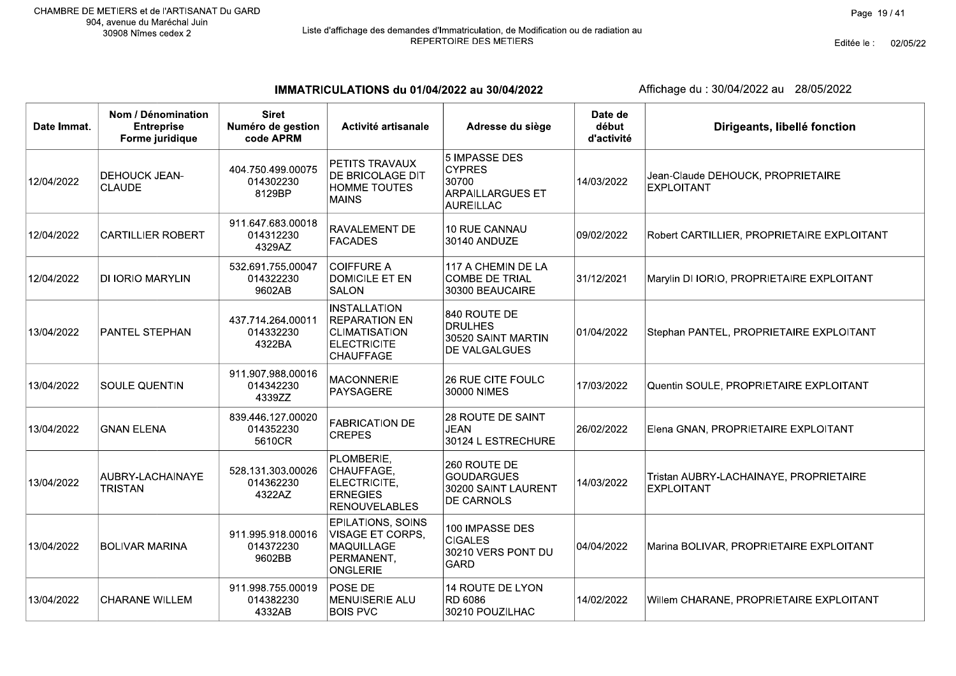## Liste d'affichage des demandes d'Immatriculation, de Modification ou de radiation au<br>REPERTOIRE DES METIERS

IMMATRICULATIONS du 01/04/2022 au 30/04/2022

| Date Immat. | Nom / Dénomination<br><b>Entreprise</b><br>Forme juridique | <b>Siret</b><br>Numéro de gestion<br>code APRM | Activité artisanale                                                                                           | Adresse du siège                                                                       | Date de<br>début<br>d'activité | Dirigeants, libellé fonction                                |
|-------------|------------------------------------------------------------|------------------------------------------------|---------------------------------------------------------------------------------------------------------------|----------------------------------------------------------------------------------------|--------------------------------|-------------------------------------------------------------|
| 12/04/2022  | <b>DEHOUCK JEAN-</b><br><b>CLAUDE</b>                      | 404.750.499.00075<br>014302230<br>8129BP       | PETITS TRAVAUX<br>DE BRICOLAGE DIT<br><b>HOMME TOUTES</b><br><b>MAINS</b>                                     | 5 IMPASSE DES<br><b>CYPRES</b><br>30700<br><b>ARPAILLARGUES ET</b><br><b>AUREILLAC</b> | 14/03/2022                     | Jean-Claude DEHOUCK, PROPRIETAIRE<br><b>EXPLOITANT</b>      |
| 12/04/2022  | <b>CARTILLIER ROBERT</b>                                   | 911.647.683.00018<br>014312230<br>4329AZ       | RAVALEMENT DE<br><b>FACADES</b>                                                                               | 10 RUE CANNAU<br>30140 ANDUZE                                                          | 09/02/2022                     | Robert CARTILLIER, PROPRIETAIRE EXPLOITANT                  |
| 12/04/2022  | DI IORIO MARYLIN                                           | 532.691.755.00047<br>014322230<br>9602AB       | <b>COIFFURE A</b><br><b>DOMICILE ET EN</b><br><b>SALON</b>                                                    | 117 A CHEMIN DE LA<br><b>COMBE DE TRIAL</b><br>30300 BEAUCAIRE                         | 31/12/2021                     | Marylin DI IORIO, PROPRIETAIRE EXPLOITANT                   |
| 13/04/2022  | PANTEL STEPHAN                                             | 437.714.264.00011<br>014332230<br>4322BA       | <b>INSTALLATION</b><br><b>REPARATION EN</b><br><b>CLIMATISATION</b><br><b>ELECTRICITE</b><br><b>CHAUFFAGE</b> | 840 ROUTE DE<br><b>DRULHES</b><br>30520 SAINT MARTIN<br>DE VALGALGUES                  | 01/04/2022                     | Stephan PANTEL, PROPRIETAIRE EXPLOITANT                     |
| 13/04/2022  | SOULE QUENTIN                                              | 911.907.988.00016<br>014342230<br>4339ZZ       | <b>MACONNERIE</b><br>PAYSAGERE                                                                                | 26 RUE CITE FOULC<br>30000 NIMES                                                       | 17/03/2022                     | Quentin SOULE, PROPRIETAIRE EXPLOITANT                      |
| 13/04/2022  | <b>GNAN ELENA</b>                                          | 839.446.127.00020<br>014352230<br>5610CR       | <b>FABRICATION DE</b><br><b>CREPES</b>                                                                        | 28 ROUTE DE SAINT<br><b>JEAN</b><br>30124 L ESTRECHURE                                 | 26/02/2022                     | Elena GNAN, PROPRIETAIRE EXPLOITANT                         |
| 13/04/2022  | AUBRY-LACHAINAYE<br><b>TRISTAN</b>                         | 528.131.303.00026<br>014362230<br>4322AZ       | PLOMBERIE,<br>CHAUFFAGE,<br>ELECTRICITE,<br><b>ERNEGIES</b><br><b>RENOUVELABLES</b>                           | 260 ROUTE DE<br><b>GOUDARGUES</b><br>30200 SAINT LAURENT<br>DE CARNOLS                 | 14/03/2022                     | Tristan AUBRY-LACHAINAYE, PROPRIETAIRE<br><b>EXPLOITANT</b> |
| 13/04/2022  | <b>BOLIVAR MARINA</b>                                      | 911.995.918.00016<br>014372230<br>9602BB       | EPILATIONS, SOINS<br>VISAGE ET CORPS.<br>MAQUILLAGE<br>PERMANENT,<br><b>ONGLERIE</b>                          | 100 IMPASSE DES<br><b>CIGALES</b><br>30210 VERS PONT DU<br><b>GARD</b>                 | 04/04/2022                     | Marina BOLIVAR, PROPRIETAIRE EXPLOITANT                     |
| 13/04/2022  | <b>CHARANE WILLEM</b>                                      | 911.998.755.00019<br>014382230<br>4332AB       | POSE DE<br><b>MENUISERIE ALU</b><br><b>BOIS PVC</b>                                                           | 14 ROUTE DE LYON<br>RD 6086<br>30210 POUZILHAC                                         | 14/02/2022                     | Willem CHARANE, PROPRIETAIRE EXPLOITANT                     |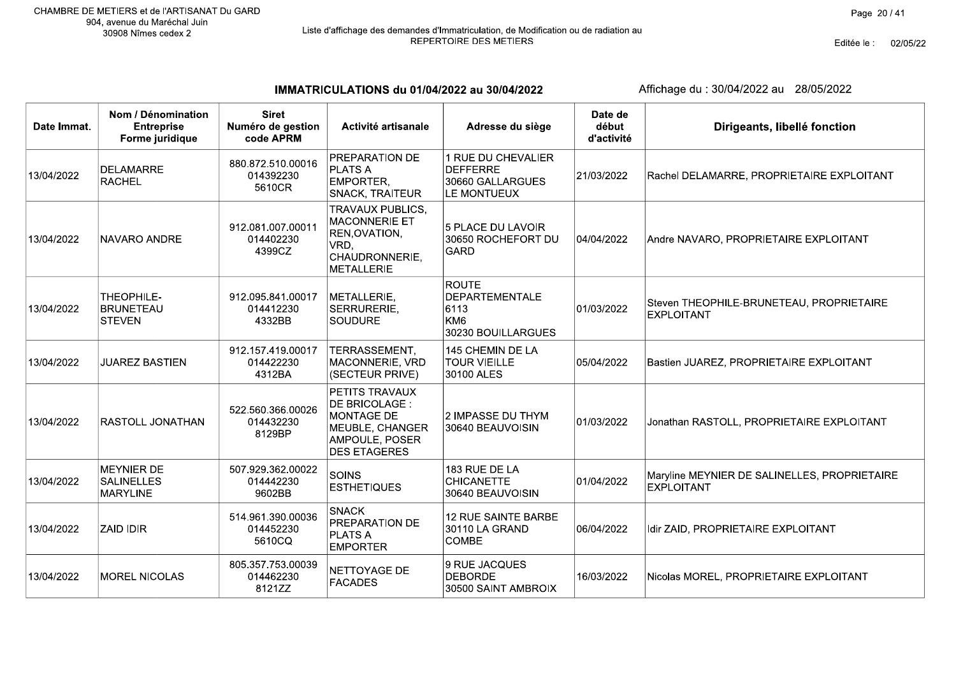# Liste d'affichage des demandes d'Immatriculation, de Modification ou de radiation au<br>REPERTOIRE DES METIERS

Editée le : 02/05/22

IMMATRICULATIONS du 01/04/2022 au 30/04/2022

| Date Immat. | Nom / Dénomination<br><b>Entreprise</b><br>Forme juridique | <b>Siret</b><br>Numéro de gestion<br>code APRM | Activité artisanale                                                                                               | Adresse du siège                                                                       | Date de<br>début<br>d'activité | Dirigeants, libellé fonction                                      |
|-------------|------------------------------------------------------------|------------------------------------------------|-------------------------------------------------------------------------------------------------------------------|----------------------------------------------------------------------------------------|--------------------------------|-------------------------------------------------------------------|
| 13/04/2022  | <b>DELAMARRE</b><br><b>RACHEL</b>                          | 880.872.510.00016<br>014392230<br>5610CR       | PREPARATION DE<br><b>PLATS A</b><br>EMPORTER,<br>SNACK, TRAITEUR                                                  | 1 RUE DU CHEVALIER<br><b>DEFFERRE</b><br>30660 GALLARGUES<br>LE MONTUEUX               | 21/03/2022                     | Rachel DELAMARRE, PROPRIETAIRE EXPLOITANT                         |
| 13/04/2022  | <b>NAVARO ANDRE</b>                                        | 912.081.007.00011<br>014402230<br>4399CZ       | <b>TRAVAUX PUBLICS,</b><br>MACONNERIE ET<br>REN, OVATION,<br>VRD,<br>CHAUDRONNERIE,<br><b>METALLERIE</b>          | 5 PLACE DU LAVOIR<br>30650 ROCHEFORT DU<br><b>GARD</b>                                 | 04/04/2022                     | Andre NAVARO, PROPRIETAIRE EXPLOITANT                             |
| 13/04/2022  | THEOPHILE-<br><b>BRUNETEAU</b><br><b>STEVEN</b>            | 912.095.841.00017<br>014412230<br>4332BB       | METALLERIE,<br>SERRURERIE,<br><b>SOUDURE</b>                                                                      | <b>ROUTE</b><br><b>DEPARTEMENTALE</b><br>6113<br>KM <sub>6</sub><br>30230 BOUILLARGUES | 01/03/2022                     | Steven THEOPHILE-BRUNETEAU, PROPRIETAIRE<br>EXPLOITANT            |
| 13/04/2022  | <b>JUAREZ BASTIEN</b>                                      | 912.157.419.00017<br>014422230<br>4312BA       | TERRASSEMENT,<br>MACONNERIE, VRD<br>(SECTEUR PRIVE)                                                               | 145 CHEMIN DE LA<br><b>TOUR VIEILLE</b><br>30100 ALES                                  | 05/04/2022                     | Bastien JUAREZ, PROPRIETAIRE EXPLOITANT                           |
| 13/04/2022  | RASTOLL JONATHAN                                           | 522.560.366.00026<br>014432230<br>8129BP       | PETITS TRAVAUX<br>DE BRICOLAGE :<br><b>MONTAGE DE</b><br>MEUBLE, CHANGER<br>AMPOULE, POSER<br><b>DES ETAGERES</b> | 2 IMPASSE DU THYM<br>30640 BEAUVOISIN                                                  | 01/03/2022                     | Jonathan RASTOLL, PROPRIETAIRE EXPLOITANT                         |
| 13/04/2022  | <b>MEYNIER DE</b><br><b>SALINELLES</b><br><b>MARYLINE</b>  | 507.929.362.00022<br>014442230<br>9602BB       | <b>SOINS</b><br><b>ESTHETIQUES</b>                                                                                | 183 RUE DE LA<br><b>CHICANETTE</b><br>30640 BEAUVOISIN                                 | 01/04/2022                     | Maryline MEYNIER DE SALINELLES, PROPRIETAIRE<br><b>EXPLOITANT</b> |
| 13/04/2022  | <b>ZAID IDIR</b>                                           | 514.961.390.00036<br>014452230<br>5610CQ       | <b>SNACK</b><br>PREPARATION DE<br><b>PLATS A</b><br><b>EMPORTER</b>                                               | 12 RUE SAINTE BARBE<br>30110 LA GRAND<br>COMBE                                         | 06/04/2022                     | Idir ZAID, PROPRIETAIRE EXPLOITANT                                |
| 13/04/2022  | <b>MOREL NICOLAS</b>                                       | 805.357.753.00039<br>014462230<br>8121ZZ       | NETTOYAGE DE<br><b>FACADES</b>                                                                                    | 9 RUE JACQUES<br><b>DEBORDE</b><br>30500 SAINT AMBROIX                                 | 16/03/2022                     | Nicolas MOREL, PROPRIETAIRE EXPLOITANT                            |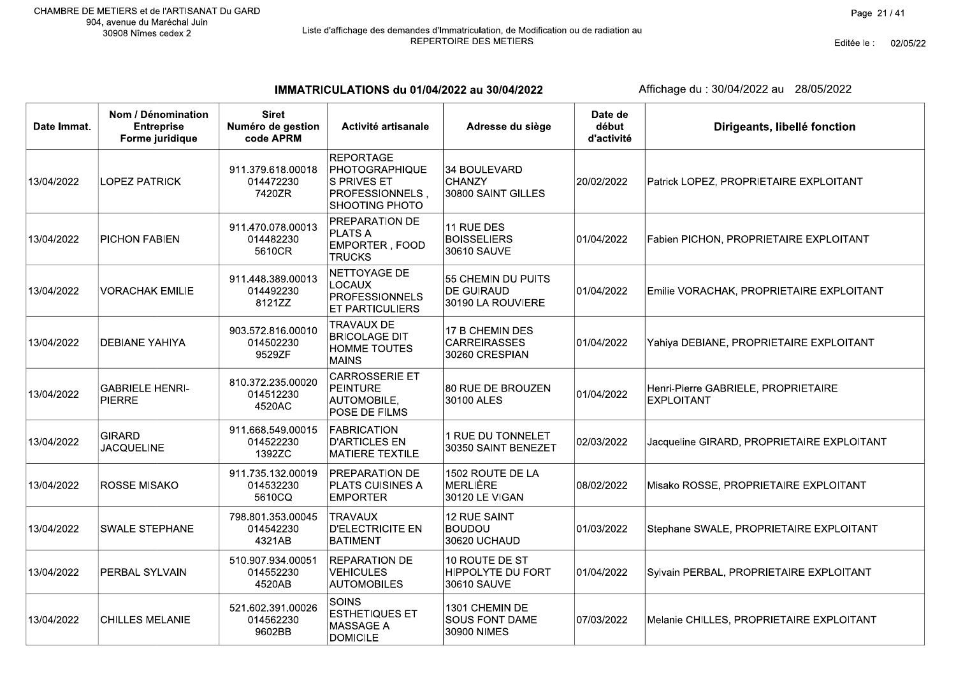Editée le : 02/05/22

IMMATRICULATIONS du 01/04/2022 au 30/04/2022

| Date Immat. | Nom / Dénomination<br><b>Entreprise</b><br>Forme juridique | <b>Siret</b><br>Numéro de gestion<br>code APRM | Activité artisanale                                                                                   | Adresse du siège                                          | Date de<br>début<br>d'activité | Dirigeants, libellé fonction                             |
|-------------|------------------------------------------------------------|------------------------------------------------|-------------------------------------------------------------------------------------------------------|-----------------------------------------------------------|--------------------------------|----------------------------------------------------------|
| 13/04/2022  | <b>LOPEZ PATRICK</b>                                       | 911.379.618.00018<br>014472230<br>7420ZR       | <b>REPORTAGE</b><br>PHOTOGRAPHIQUE<br>S PRIVES ET<br><b>PROFESSIONNELS</b> ,<br><b>SHOOTING PHOTO</b> | 34 BOULEVARD<br><b>CHANZY</b><br>30800 SAINT GILLES       | 20/02/2022                     | Patrick LOPEZ, PROPRIETAIRE EXPLOITANT                   |
| 13/04/2022  | PICHON FABIEN                                              | 911.470.078.00013<br>014482230<br>5610CR       | <b>PREPARATION DE</b><br><b>PLATS A</b><br><b>EMPORTER, FOOD</b><br><b>TRUCKS</b>                     | 11 RUE DES<br><b>BOISSELIERS</b><br>30610 SAUVE           | 01/04/2022                     | Fabien PICHON, PROPRIETAIRE EXPLOITANT                   |
| 13/04/2022  | <b>VORACHAK EMILIE</b>                                     | 911.448.389.00013<br>014492230<br>8121ZZ       | NETTOYAGE DE<br><b>LOCAUX</b><br>PROFESSIONNELS<br><b>ET PARTICULIERS</b>                             | 55 CHEMIN DU PUITS<br>DE GUIRAUD<br>30190 LA ROUVIERE     | 01/04/2022                     | Emilie VORACHAK, PROPRIETAIRE EXPLOITANT                 |
| 13/04/2022  | <b>DEBIANE YAHIYA</b>                                      | 903.572.816.00010<br>014502230<br>9529ZF       | <b>TRAVAUX DE</b><br><b>BRICOLAGE DIT</b><br><b>HOMME TOUTES</b><br><b>MAINS</b>                      | 17 B CHEMIN DES<br><b>CARREIRASSES</b><br>30260 CRESPIAN  | 01/04/2022                     | Yahiya DEBIANE, PROPRIETAIRE EXPLOITANT                  |
| 13/04/2022  | <b>GABRIELE HENRI-</b><br><b>PIERRE</b>                    | 810.372.235.00020<br>014512230<br>4520AC       | <b>CARROSSERIE ET</b><br>PEINTURE<br>AUTOMOBILE,<br>POSE DE FILMS                                     | 80 RUE DE BROUZEN<br>30100 ALES                           | 01/04/2022                     | Henri-Pierre GABRIELE, PROPRIETAIRE<br><b>EXPLOITANT</b> |
| 13/04/2022  | <b>GIRARD</b><br><b>JACQUELINE</b>                         | 911.668.549.00015<br>014522230<br>1392ZC       | <b>FABRICATION</b><br><b>D'ARTICLES EN</b><br><b>MATIERE TEXTILE</b>                                  | 1 RUE DU TONNELET<br>30350 SAINT BENEZET                  | 02/03/2022                     | Jacqueline GIRARD, PROPRIETAIRE EXPLOITANT               |
| 13/04/2022  | <b>ROSSE MISAKO</b>                                        | 911.735.132.00019<br>014532230<br>5610CQ       | <b>PREPARATION DE</b><br><b>PLATS CUISINES A</b><br><b>EMPORTER</b>                                   | 1502 ROUTE DE LA<br>MERLIÈRE<br>30120 LE VIGAN            | 08/02/2022                     | Misako ROSSE, PROPRIETAIRE EXPLOITANT                    |
| 13/04/2022  | <b>SWALE STEPHANE</b>                                      | 798.801.353.00045<br>014542230<br>4321AB       | <b>TRAVAUX</b><br><b>D'ELECTRICITE EN</b><br>BATIMENT                                                 | 12 RUE SAINT<br><b>BOUDOU</b><br>30620 UCHAUD             | 01/03/2022                     | Stephane SWALE, PROPRIETAIRE EXPLOITANT                  |
| 13/04/2022  | PERBAL SYLVAIN                                             | 510.907.934.00051<br>014552230<br>4520AB       | <b>REPARATION DE</b><br><b>VEHICULES</b><br><b>AUTOMOBILES</b>                                        | 10 ROUTE DE ST<br><b>HIPPOLYTE DU FORT</b><br>30610 SAUVE | 01/04/2022                     | Sylvain PERBAL, PROPRIETAIRE EXPLOITANT                  |
| 13/04/2022  | <b>CHILLES MELANIE</b>                                     | 521.602.391.00026<br>014562230<br>9602BB       | SOINS<br><b>ESTHETIQUES ET</b><br><b>MASSAGE A</b><br><b>DOMICILE</b>                                 | 1301 CHEMIN DE<br><b>SOUS FONT DAME</b><br>30900 NIMES    | 07/03/2022                     | Melanie CHILLES, PROPRIETAIRE EXPLOITANT                 |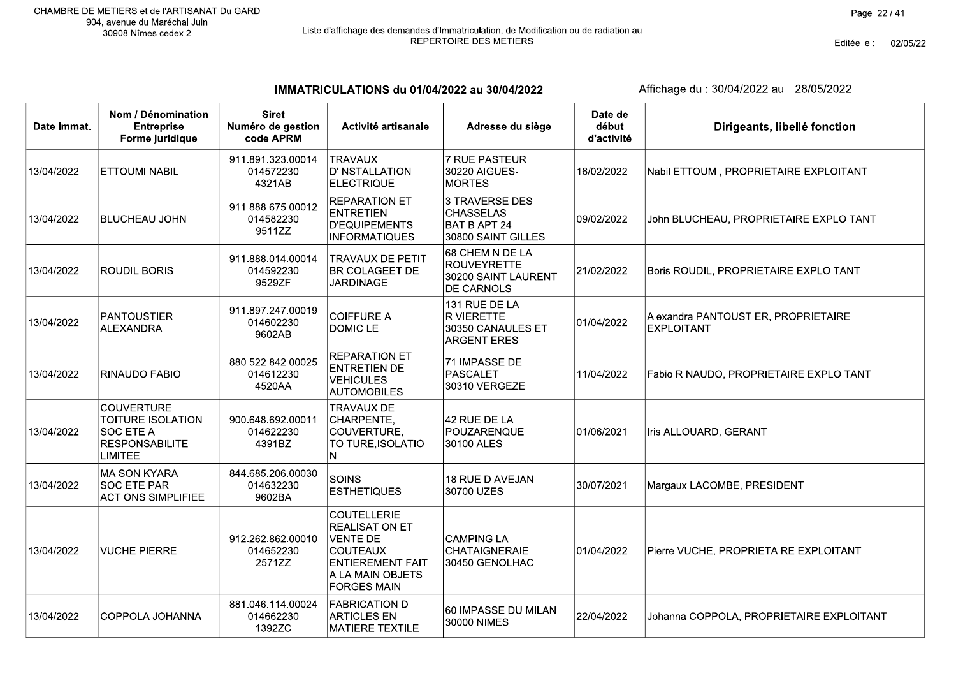Editée le : 02/05/22

IMMATRICULATIONS du 01/04/2022 au 30/04/2022

| Date Immat. | Nom / Dénomination<br><b>Entreprise</b><br>Forme juridique                                            | <b>Siret</b><br>Numéro de gestion<br>code APRM | Activité artisanale                                                                                                                                    | Adresse du siège                                                                | Date de<br>début<br>d'activité | Dirigeants, libellé fonction                             |
|-------------|-------------------------------------------------------------------------------------------------------|------------------------------------------------|--------------------------------------------------------------------------------------------------------------------------------------------------------|---------------------------------------------------------------------------------|--------------------------------|----------------------------------------------------------|
| 13/04/2022  | <b>ETTOUMI NABIL</b>                                                                                  | 911.891.323.00014<br>014572230<br>4321AB       | <b>TRAVAUX</b><br><b>D'INSTALLATION</b><br><b>ELECTRIQUE</b>                                                                                           | 7 RUE PASTEUR<br>30220 AIGUES-<br><b>MORTES</b>                                 | 16/02/2022                     | Nabil ETTOUMI, PROPRIETAIRE EXPLOITANT                   |
| 13/04/2022  | <b>BLUCHEAU JOHN</b>                                                                                  | 911.888.675.00012<br>014582230<br>9511ZZ       | <b>REPARATION ET</b><br><b>ENTRETIEN</b><br><b>D'EQUIPEMENTS</b><br><b>INFORMATIQUES</b>                                                               | 3 TRAVERSE DES<br><b>CHASSELAS</b><br><b>BAT B APT 24</b><br>30800 SAINT GILLES | 09/02/2022                     | John BLUCHEAU, PROPRIETAIRE EXPLOITANT                   |
| 13/04/2022  | <b>ROUDIL BORIS</b>                                                                                   | 911.888.014.00014<br>014592230<br>9529ZF       | <b>TRAVAUX DE PETIT</b><br><b>BRICOLAGEET DE</b><br><b>JARDINAGE</b>                                                                                   | 68 CHEMIN DE LA<br><b>ROUVEYRETTE</b><br>30200 SAINT LAURENT<br>DE CARNOLS      | 21/02/2022                     | Boris ROUDIL, PROPRIETAIRE EXPLOITANT                    |
| 13/04/2022  | <b>PANTOUSTIER</b><br><b>ALEXANDRA</b>                                                                | 911.897.247.00019<br>014602230<br>9602AB       | <b>COIFFURE A</b><br><b>DOMICILE</b>                                                                                                                   | 131 RUE DE LA<br><b>RIVIERETTE</b><br>30350 CANAULES ET<br><b>ARGENTIERES</b>   | 01/04/2022                     | Alexandra PANTOUSTIER, PROPRIETAIRE<br><b>EXPLOITANT</b> |
| 13/04/2022  | RINAUDO FABIO                                                                                         | 880.522.842.00025<br>014612230<br>4520AA       | <b>REPARATION ET</b><br><b>ENTRETIEN DE</b><br><b>VEHICULES</b><br><b>AUTOMOBILES</b>                                                                  | 71 IMPASSE DE<br>PASCALET<br>30310 VERGEZE                                      | 11/04/2022                     | Fabio RINAUDO, PROPRIETAIRE EXPLOITANT                   |
| 13/04/2022  | <b>COUVERTURE</b><br><b>TOITURE ISOLATION</b><br>SOCIETE A<br><b>RESPONSABILITE</b><br><b>LIMITEE</b> | 900.648.692.00011<br>014622230<br>4391BZ       | <b>TRAVAUX DE</b><br>CHARPENTE,<br>COUVERTURE,<br>TOITURE, ISOLATIO<br>N.                                                                              | 42 RUE DE LA<br><b>POUZARENQUE</b><br>30100 ALES                                | 01/06/2021                     | Iris ALLOUARD, GERANT                                    |
| 13/04/2022  | <b>MAISON KYARA</b><br><b>SOCIETE PAR</b><br><b>ACTIONS SIMPLIFIEE</b>                                | 844.685.206.00030<br>014632230<br>9602BA       | <b>SOINS</b><br><b>ESTHETIQUES</b>                                                                                                                     | 18 RUE D AVEJAN<br>30700 UZES                                                   | 30/07/2021                     | Margaux LACOMBE, PRESIDENT                               |
| 13/04/2022  | <b>VUCHE PIERRE</b>                                                                                   | 912.262.862.00010<br>014652230<br>2571ZZ       | <b>COUTELLERIE</b><br><b>REALISATION ET</b><br><b>VENTE DE</b><br><b>COUTEAUX</b><br><b>ENTIEREMENT FAIT</b><br>A LA MAIN OBJETS<br><b>FORGES MAIN</b> | <b>CAMPING LA</b><br>CHATAIGNERAIE<br>30450 GENOLHAC                            | 01/04/2022                     | Pierre VUCHE, PROPRIETAIRE EXPLOITANT                    |
| 13/04/2022  | COPPOLA JOHANNA                                                                                       | 881.046.114.00024<br>014662230<br>1392ZC       | <b>FABRICATION D</b><br><b>ARTICLES EN</b><br><b>MATIERE TEXTILE</b>                                                                                   | 60 IMPASSE DU MILAN<br>30000 NIMES                                              | 22/04/2022                     | Johanna COPPOLA, PROPRIETAIRE EXPLOITANT                 |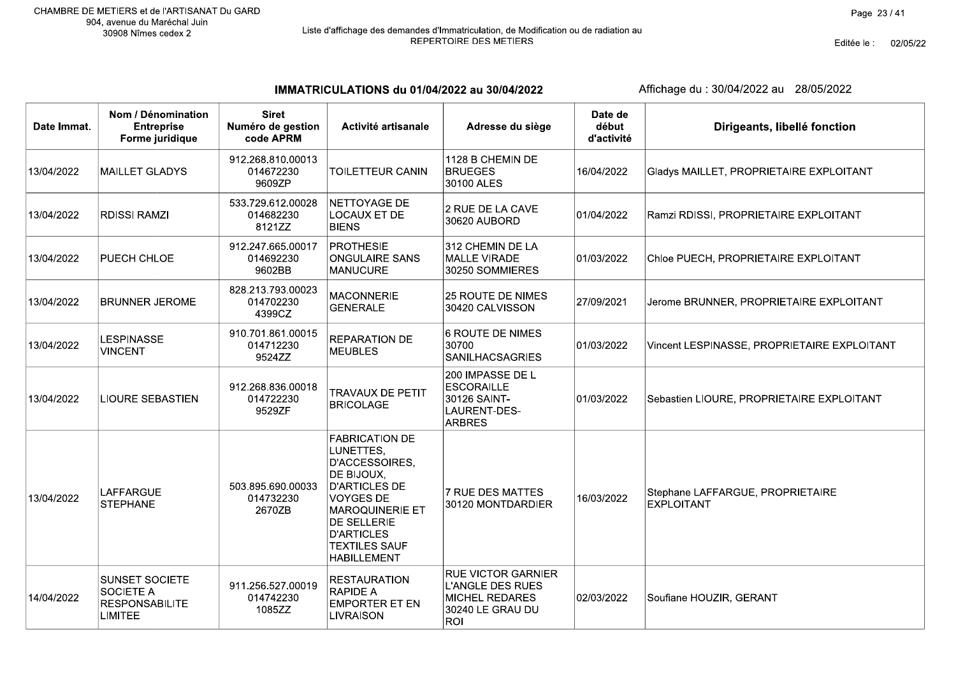# Liste d'affichage des demandes d'Immatriculation, de Modification ou de radiation au<br>REPERTOIRE DES METIERS

Editée le : 02/05/22

IMMATRICULATIONS du 01/04/2022 au 30/04/2022

| Date Immat. | Nom / Dénomination<br><b>Entreprise</b><br>Forme juridique                           | <b>Siret</b><br>Numéro de gestion<br>code APRM | Activité artisanale                                                                                                                                                                                                               | Adresse du siège                                                                                         | Date de<br>début<br>d'activité | Dirigeants, libellé fonction                          |
|-------------|--------------------------------------------------------------------------------------|------------------------------------------------|-----------------------------------------------------------------------------------------------------------------------------------------------------------------------------------------------------------------------------------|----------------------------------------------------------------------------------------------------------|--------------------------------|-------------------------------------------------------|
| 13/04/2022  | <b>MAILLET GLADYS</b>                                                                | 912.268.810.00013<br>014672230<br>9609ZP       | TOILETTEUR CANIN                                                                                                                                                                                                                  | 1128 B CHEMIN DE<br><b>BRUEGES</b><br>30100 ALES                                                         | 16/04/2022                     | Gladys MAILLET, PROPRIETAIRE EXPLOITANT               |
| 13/04/2022  | <b>RDISSI RAMZI</b>                                                                  | 533.729.612.00028<br>014682230<br>8121ZZ       | NETTOYAGE DE<br>LOCAUX ET DE<br><b>BIENS</b>                                                                                                                                                                                      | 2 RUE DE LA CAVE<br>30620 AUBORD                                                                         | 01/04/2022                     | Ramzi RDISSI, PROPRIETAIRE EXPLOITANT                 |
| 13/04/2022  | PUECH CHLOE                                                                          | 912.247.665.00017<br>014692230<br>9602BB       | <b>PROTHESIE</b><br><b>ONGULAIRE SANS</b><br><b>MANUCURE</b>                                                                                                                                                                      | 312 CHEMIN DE LA<br><b>MALLE VIRADE</b><br>30250 SOMMIERES                                               | 01/03/2022                     | Chloe PUECH, PROPRIETAIRE EXPLOITANT                  |
| 13/04/2022  | <b>BRUNNER JEROME</b>                                                                | 828.213.793.00023<br>014702230<br>4399CZ       | <b>MACONNERIE</b><br><b>GENERALE</b>                                                                                                                                                                                              | 25 ROUTE DE NIMES<br>30420 CALVISSON                                                                     | 27/09/2021                     | Jerome BRUNNER, PROPRIETAIRE EXPLOITANT               |
| 13/04/2022  | <b>LESPINASSE</b><br><b>VINCENT</b>                                                  | 910.701.861.00015<br>014712230<br>9524ZZ       | REPARATION DE<br><b>MEUBLES</b>                                                                                                                                                                                                   | 6 ROUTE DE NIMES<br>30700<br>SANILHACSAGRIES                                                             | 01/03/2022                     | Vincent LESPINASSE, PROPRIETAIRE EXPLOITANT           |
| 13/04/2022  | <b>LIOURE SEBASTIEN</b>                                                              | 912.268.836.00018<br>014722230<br>9529ZF       | <b>TRAVAUX DE PETIT</b><br><b>BRICOLAGE</b>                                                                                                                                                                                       | 200 IMPASSE DE L<br><b>ESCORAILLE</b><br>30126 SAINT-<br>LAURENT-DES-<br><b>ARBRES</b>                   | 01/03/2022                     | Sebastien LIOURE, PROPRIETAIRE EXPLOITANT             |
| 13/04/2022  | LAFFARGUE<br><b>STEPHANE</b>                                                         | 503.895.690.00033<br>014732230<br>2670ZB       | <b>FABRICATION DE</b><br>LUNETTES,<br>D'ACCESSOIRES,<br>DE BIJOUX,<br><b>D'ARTICLES DE</b><br><b>VOYGES DE</b><br><b>MAROQUINERIE ET</b><br><b>DE SELLERIE</b><br><b>D'ARTICLES</b><br><b>TEXTILES SAUF</b><br><b>HABILLEMENT</b> | 7 RUE DES MATTES<br>30120 MONTDARDIER                                                                    | 16/03/2022                     | Stephane LAFFARGUE, PROPRIETAIRE<br><b>EXPLOITANT</b> |
| 14/04/2022  | <b>SUNSET SOCIETE</b><br><b>SOCIETE A</b><br><b>RESPONSABILITE</b><br><b>LIMITEE</b> | 911.256.527.00019<br>014742230<br>1085ZZ       | <b>RESTAURATION</b><br><b>RAPIDE A</b><br><b>EMPORTER ET EN</b><br><b>LIVRAISON</b>                                                                                                                                               | <b>RUE VICTOR GARNIER</b><br><b>L'ANGLE DES RUES</b><br><b>MICHEL REDARES</b><br>30240 LE GRAU DU<br>ROI | 02/03/2022                     | Soufiane HOUZIR, GERANT                               |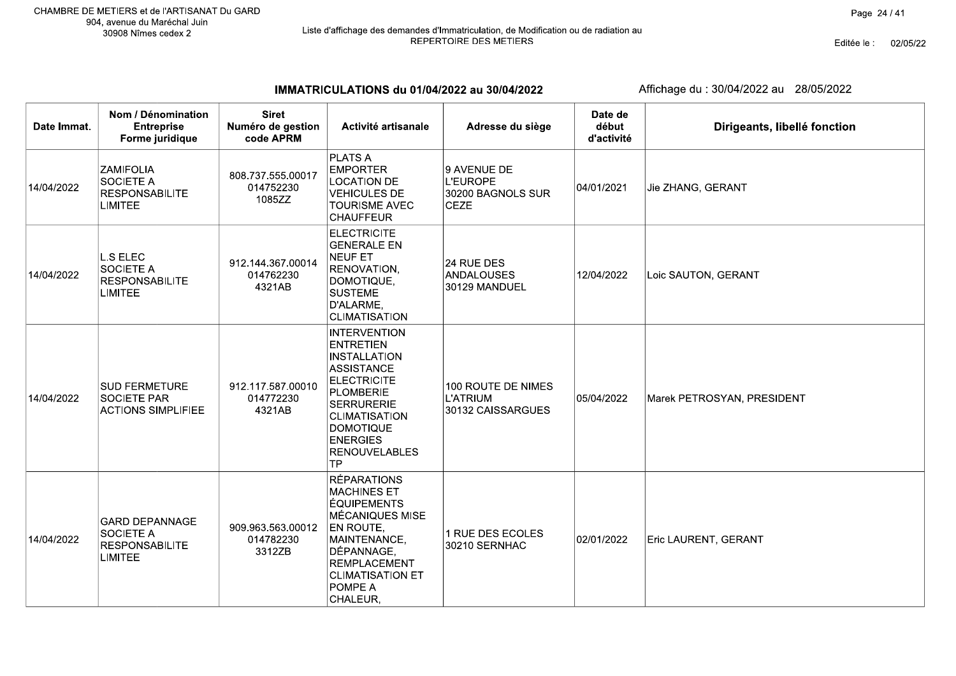IMMATRICULATIONS du 01/04/2022 au 30/04/2022

| Date Immat. | Nom / Dénomination<br><b>Entreprise</b><br>Forme juridique                      | <b>Siret</b><br>Numéro de gestion<br>code APRM | Activité artisanale                                                                                                                                                                                                               | Adresse du siège                                            | Date de<br>début<br>d'activité | Dirigeants, libellé fonction |
|-------------|---------------------------------------------------------------------------------|------------------------------------------------|-----------------------------------------------------------------------------------------------------------------------------------------------------------------------------------------------------------------------------------|-------------------------------------------------------------|--------------------------------|------------------------------|
| 14/04/2022  | <b>ZAMIFOLIA</b><br><b>SOCIETE A</b><br><b>RESPONSABILITE</b><br><b>LIMITEE</b> | 808.737.555.00017<br>014752230<br>1085ZZ       | <b>PLATS A</b><br><b>EMPORTER</b><br><b>LOCATION DE</b><br><b>VEHICULES DE</b><br><b>TOURISME AVEC</b><br><b>CHAUFFEUR</b>                                                                                                        | 9 AVENUE DE<br>L'EUROPE<br>30200 BAGNOLS SUR<br><b>CEZE</b> | 04/01/2021                     | Jie ZHANG, GERANT            |
| 14/04/2022  | <b>L.S ELEC</b><br>SOCIETE A<br><b>RESPONSABILITE</b><br><b>LIMITEE</b>         | 912.144.367.00014<br>014762230<br>4321AB       | <b>ELECTRICITE</b><br><b>GENERALE EN</b><br><b>NEUF ET</b><br><b>RENOVATION,</b><br>DOMOTIQUE,<br><b>SUSTEME</b><br>D'ALARME,<br><b>CLIMATISATION</b>                                                                             | 24 RUE DES<br>ANDALOUSES<br>30129 MANDUEL                   | 12/04/2022                     | Loic SAUTON, GERANT          |
| 14/04/2022  | <b>SUD FERMETURE</b><br><b>SOCIETE PAR</b><br><b>ACTIONS SIMPLIFIEE</b>         | 912.117.587.00010<br>014772230<br>4321AB       | <b>INTERVENTION</b><br><b>ENTRETIEN</b><br>INSTALLATION<br><b>ASSISTANCE</b><br>ELECTRICITE<br>PLOMBERIE<br><b>SERRURERIE</b><br><b>CLIMATISATION</b><br><b>DOMOTIQUE</b><br><b>ENERGIES</b><br><b>RENOUVELABLES</b><br><b>TP</b> | 100 ROUTE DE NIMES<br><b>L'ATRIUM</b><br>30132 CAISSARGUES  | 05/04/2022                     | Marek PETROSYAN, PRESIDENT   |
| 14/04/2022  | <b>GARD DEPANNAGE</b><br>SOCIETE A<br><b>RESPONSABILITE</b><br><b>LIMITEE</b>   | 909.963.563.00012<br>014782230<br>3312ZB       | <b>RÉPARATIONS</b><br><b>MACHINES ET</b><br><b>ÉQUIPEMENTS</b><br><b>MÉCANIQUES MISE</b><br>EN ROUTE,<br>MAINTENANCE,<br>DÉPANNAGE,<br><b>REMPLACEMENT</b><br><b>CLIMATISATION ET</b><br>POMPE A<br>CHALEUR,                      | 1 RUE DES ECOLES<br>30210 SERNHAC                           | 02/01/2022                     | Eric LAURENT, GERANT         |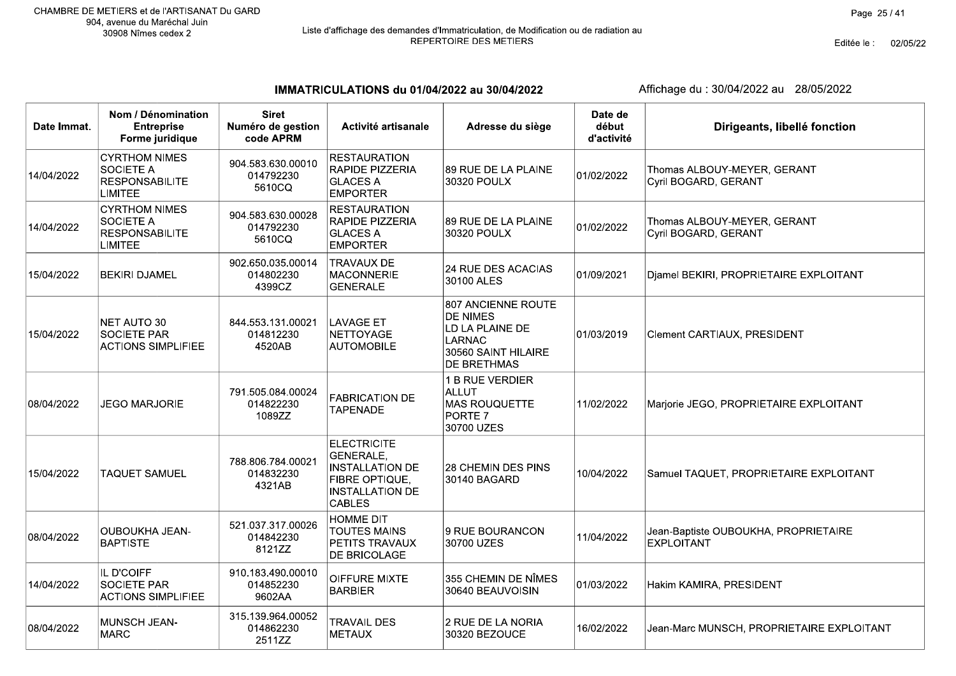# Liste d'affichage des demandes d'Immatriculation, de Modification ou de radiation au<br>REPERTOIRE DES METIERS

Editée le : 02/05/22

IMMATRICULATIONS du 01/04/2022 au 30/04/2022

Affichage du : 30/04/2022 au 28/05/2022

| Date Immat. | Nom / Dénomination<br><b>Entreprise</b><br>Forme juridique                   | <b>Siret</b><br>Numéro de gestion<br>code APRM | Activité artisanale                                                                                                    | Adresse du siège                                                                                                       | Date de<br>début<br>d'activité | Dirigeants, libellé fonction                              |
|-------------|------------------------------------------------------------------------------|------------------------------------------------|------------------------------------------------------------------------------------------------------------------------|------------------------------------------------------------------------------------------------------------------------|--------------------------------|-----------------------------------------------------------|
| 14/04/2022  | <b>CYRTHOM NIMES</b><br>SOCIETE A<br><b>RESPONSABILITE</b><br><b>LIMITEE</b> | 904.583.630.00010<br>014792230<br>5610CQ       | <b>RESTAURATION</b><br><b>RAPIDE PIZZERIA</b><br><b>GLACES A</b><br><b>EMPORTER</b>                                    | 89 RUE DE LA PLAINE<br>30320 POULX                                                                                     | 01/02/2022                     | Thomas ALBOUY-MEYER, GERANT<br>Cyril BOGARD, GERANT       |
| 14/04/2022  | <b>CYRTHOM NIMES</b><br>SOCIETE A<br><b>RESPONSABILITE</b><br><b>LIMITEE</b> | 904.583.630.00028<br>014792230<br>5610CQ       | <b>RESTAURATION</b><br><b>RAPIDE PIZZERIA</b><br><b>GLACES A</b><br><b>EMPORTER</b>                                    | <b>89 RUE DE LA PLAINE</b><br>30320 POULX                                                                              | 01/02/2022                     | Thomas ALBOUY-MEYER, GERANT<br>Cyril BOGARD, GERANT       |
| 15/04/2022  | <b>BEKIRI DJAMEL</b>                                                         | 902.650.035.00014<br>014802230<br>4399CZ       | <b>TRAVAUX DE</b><br>MACONNERIE<br><b>GENERALE</b>                                                                     | <b>24 RUE DES ACACIAS</b><br>30100 ALES                                                                                | 01/09/2021                     | Djamel BEKIRI, PROPRIETAIRE EXPLOITANT                    |
| 15/04/2022  | NET AUTO 30<br><b>SOCIETE PAR</b><br><b>ACTIONS SIMPLIFIEE</b>               | 844.553.131.00021<br>014812230<br>4520AB       | <b>LAVAGE ET</b><br>NETTOYAGE<br><b>AUTOMOBILE</b>                                                                     | 807 ANCIENNE ROUTE<br><b>DE NIMES</b><br>LD LA PLAINE DE<br><b>LARNAC</b><br>30560 SAINT HILAIRE<br><b>DE BRETHMAS</b> | 01/03/2019                     | Clement CARTIAUX, PRESIDENT                               |
| 08/04/2022  | JEGO MARJORIE                                                                | 791.505.084.00024<br>014822230<br>1089ZZ       | <b>FABRICATION DE</b><br><b>TAPENADE</b>                                                                               | 1 B RUE VERDIER<br>ALLUT<br><b>MAS ROUQUETTE</b><br><b>PORTE 7</b><br>30700 UZES                                       | 11/02/2022                     | Marjorie JEGO, PROPRIETAIRE EXPLOITANT                    |
| 15/04/2022  | <b>TAQUET SAMUEL</b>                                                         | 788.806.784.00021<br>014832230<br>4321AB       | <b>ELECTRICITE</b><br>GENERALE,<br><b>INSTALLATION DE</b><br>FIBRE OPTIQUE,<br><b>INSTALLATION DE</b><br><b>CABLES</b> | 28 CHEMIN DES PINS<br>30140 BAGARD                                                                                     | 10/04/2022                     | Samuel TAQUET, PROPRIETAIRE EXPLOITANT                    |
| 08/04/2022  | <b>OUBOUKHA JEAN-</b><br><b>BAPTISTE</b>                                     | 521.037.317.00026<br>014842230<br>8121ZZ       | <b>HOMME DIT</b><br><b>TOUTES MAINS</b><br>PETITS TRAVAUX<br>DE BRICOLAGE                                              | 9 RUE BOURANCON<br>30700 UZES                                                                                          | 11/04/2022                     | Jean-Baptiste OUBOUKHA, PROPRIETAIRE<br><b>EXPLOITANT</b> |
| 14/04/2022  | IL D'COIFF<br><b>SOCIETE PAR</b><br><b>ACTIONS SIMPLIFIEE</b>                | 910.183.490.00010<br>014852230<br>9602AA       | OIFFURE MIXTE<br>BARBIER                                                                                               | 355 CHEMIN DE NÎMES<br>30640 BEAUVOISIN                                                                                | 01/03/2022                     | Hakim KAMIRA, PRESIDENT                                   |
| 08/04/2022  | MUNSCH JEAN-<br><b>MARC</b>                                                  | 315.139.964.00052<br>014862230<br>2511ZZ       | <b>TRAVAIL DES</b><br>METAUX                                                                                           | 2 RUE DE LA NORIA<br>30320 BEZOUCE                                                                                     | 16/02/2022                     | Jean-Marc MUNSCH, PROPRIETAIRE EXPLOITANT                 |

 $\top$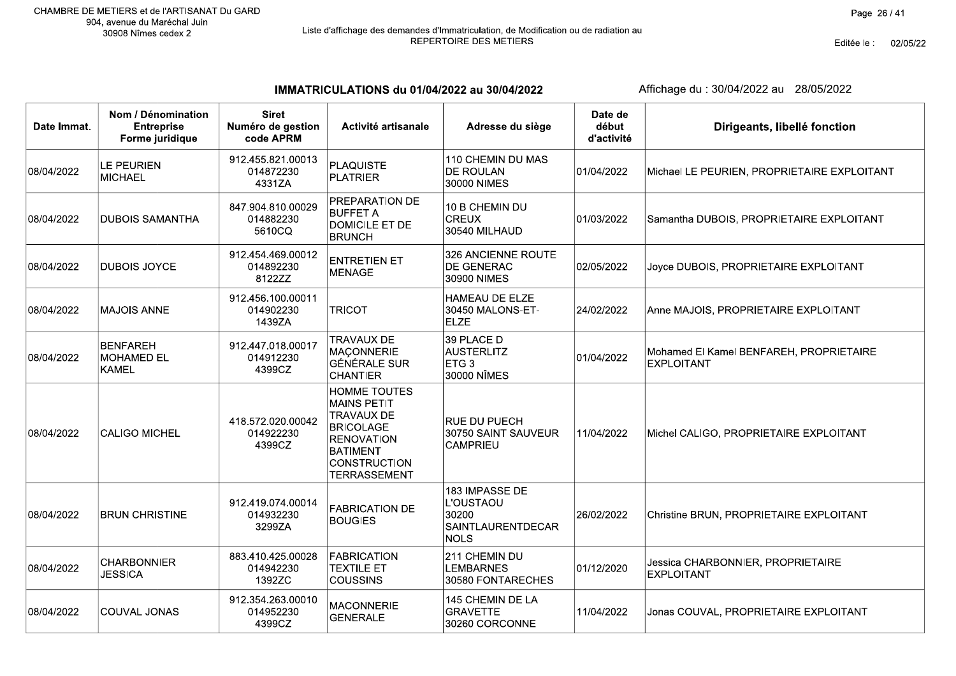# Liste d'affichage des demandes d'Immatriculation, de Modification ou de radiation au<br>REPERTOIRE DES METIERS

Editée le : 02/05/22

IMMATRICULATIONS du 01/04/2022 au 30/04/2022

| Date Immat. | Nom / Dénomination<br><b>Entreprise</b><br>Forme juridique | <b>Siret</b><br>Numéro de gestion<br>code APRM | Activité artisanale                                                                                                                                                      | Adresse du siège                                                                | Date de<br>début<br>d'activité | Dirigeants, libellé fonction                                 |
|-------------|------------------------------------------------------------|------------------------------------------------|--------------------------------------------------------------------------------------------------------------------------------------------------------------------------|---------------------------------------------------------------------------------|--------------------------------|--------------------------------------------------------------|
| 08/04/2022  | LE PEURIEN<br><b>MICHAEL</b>                               | 912.455.821.00013<br>014872230<br>4331ZA       | <b>PLAQUISTE</b><br><b>PLATRIER</b>                                                                                                                                      | 110 CHEMIN DU MAS<br><b>DE ROULAN</b><br>30000 NIMES                            | 01/04/2022                     | Michael LE PEURIEN, PROPRIETAIRE EXPLOITANT                  |
| 08/04/2022  | <b>DUBOIS SAMANTHA</b>                                     | 847.904.810.00029<br>014882230<br>5610CQ       | PREPARATION DE<br><b>BUFFET A</b><br><b>DOMICILE ET DE</b><br><b>BRUNCH</b>                                                                                              | 10 B CHEMIN DU<br><b>CREUX</b><br>30540 MILHAUD                                 | 01/03/2022                     | Samantha DUBOIS, PROPRIETAIRE EXPLOITANT                     |
| 08/04/2022  | <b>DUBOIS JOYCE</b>                                        | 912.454.469.00012<br>014892230<br>8122ZZ       | <b>ENTRETIEN ET</b><br><b>MENAGE</b>                                                                                                                                     | 326 ANCIENNE ROUTE<br><b>DE GENERAC</b><br>30900 NIMES                          | 02/05/2022                     | Joyce DUBOIS, PROPRIETAIRE EXPLOITANT                        |
| 08/04/2022  | <b>MAJOIS ANNE</b>                                         | 912.456.100.00011<br>014902230<br>1439ZA       | <b>TRICOT</b>                                                                                                                                                            | <b>HAMEAU DE ELZE</b><br>30450 MALONS-ET-<br><b>ELZE</b>                        | 24/02/2022                     | Anne MAJOIS, PROPRIETAIRE EXPLOITANT                         |
| 08/04/2022  | <b>BENFAREH</b><br><b>MOHAMED EL</b><br><b>KAMEL</b>       | 912.447.018.00017<br>014912230<br>4399CZ       | <b>TRAVAUX DE</b><br><b>MACONNERIE</b><br><b>GÉNÉRALE SUR</b><br><b>CHANTIER</b>                                                                                         | 39 PLACE D<br><b>AUSTERLITZ</b><br>ETG <sub>3</sub><br>30000 NÎMES              | 01/04/2022                     | Mohamed El Kamel BENFAREH, PROPRIETAIRE<br><b>EXPLOITANT</b> |
| 08/04/2022  | <b>CALIGO MICHEL</b>                                       | 418.572.020.00042<br>014922230<br>4399CZ       | <b>HOMME TOUTES</b><br><b>MAINS PETIT</b><br><b>TRAVAUX DE</b><br><b>BRICOLAGE</b><br><b>RENOVATION</b><br><b>BATIMENT</b><br><b>CONSTRUCTION</b><br><b>TERRASSEMENT</b> | <b>RUE DU PUECH</b><br>30750 SAINT SAUVEUR<br><b>CAMPRIEU</b>                   | 11/04/2022                     | Michel CALIGO, PROPRIETAIRE EXPLOITANT                       |
| 08/04/2022  | <b>BRUN CHRISTINE</b>                                      | 912.419.074.00014<br>014932230<br>3299ZA       | <b>FABRICATION DE</b><br><b>BOUGIES</b>                                                                                                                                  | 183 IMPASSE DE<br>L'OUSTAOU<br>30200<br><b>SAINTLAURENTDECAR</b><br><b>NOLS</b> | 26/02/2022                     | Christine BRUN, PROPRIETAIRE EXPLOITANT                      |
| 08/04/2022  | <b>CHARBONNIER</b><br><b>JESSICA</b>                       | 883.410.425.00028<br>014942230<br>1392ZC       | <b>FABRICATION</b><br><b>TEXTILE ET</b><br><b>COUSSINS</b>                                                                                                               | 211 CHEMIN DU<br><b>LEMBARNES</b><br>30580 FONTARECHES                          | 01/12/2020                     | Jessica CHARBONNIER, PROPRIETAIRE<br><b>EXPLOITANT</b>       |
| 08/04/2022  | <b>COUVAL JONAS</b>                                        | 912.354.263.00010<br>014952230<br>4399CZ       | <b>MACONNERIE</b><br><b>GENERALE</b>                                                                                                                                     | 145 CHEMIN DE LA<br><b>GRAVETTE</b><br>30260 CORCONNE                           | 11/04/2022                     | Jonas COUVAL, PROPRIETAIRE EXPLOITANT                        |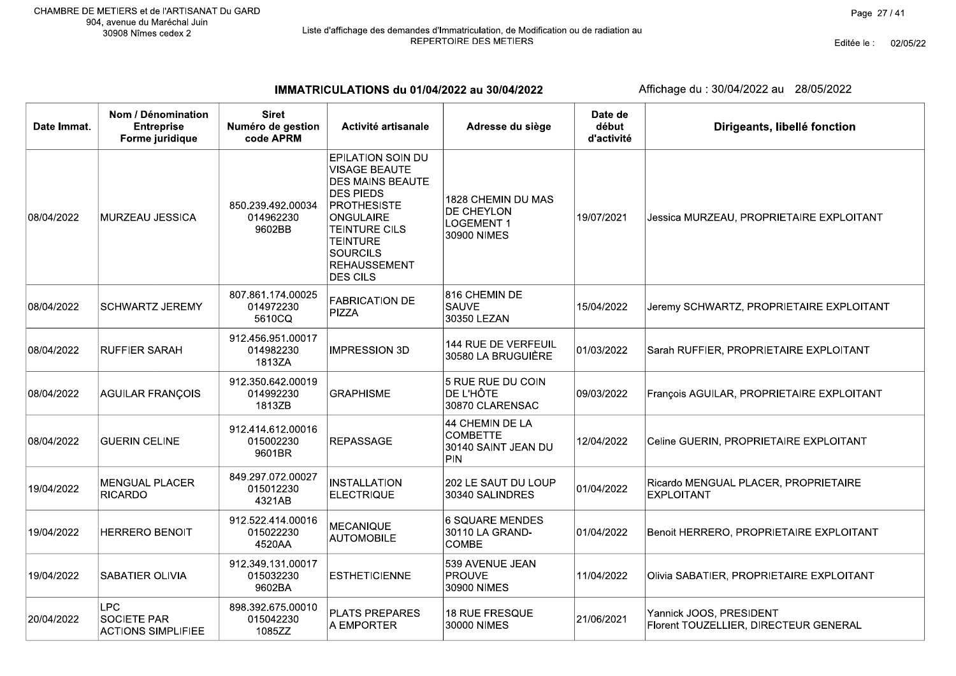Editée le : 02/05/22

IMMATRICULATIONS du 01/04/2022 au 30/04/2022

| Date Immat. | Nom / Dénomination<br><b>Entreprise</b><br>Forme juridique    | <b>Siret</b><br>Numéro de gestion<br>code APRM | Activité artisanale                                                                                                                                                                                                                        | Adresse du siège                                                            | Date de<br>début<br>d'activité | Dirigeants, libellé fonction                                     |
|-------------|---------------------------------------------------------------|------------------------------------------------|--------------------------------------------------------------------------------------------------------------------------------------------------------------------------------------------------------------------------------------------|-----------------------------------------------------------------------------|--------------------------------|------------------------------------------------------------------|
| 08/04/2022  | MURZEAU JESSICA                                               | 850.239.492.00034<br>014962230<br>9602BB       | EPILATION SOIN DU<br><b>VISAGE BEAUTE</b><br><b>DES MAINS BEAUTE</b><br><b>DES PIEDS</b><br><b>PROTHESISTE</b><br><b>ONGULAIRE</b><br><b>TEINTURE CILS</b><br><b>TEINTURE</b><br><b>SOURCILS</b><br><b>REHAUSSEMENT</b><br><b>DES CILS</b> | 1828 CHEMIN DU MAS<br><b>DE CHEYLON</b><br><b>LOGEMENT 1</b><br>30900 NIMES | 19/07/2021                     | Jessica MURZEAU, PROPRIETAIRE EXPLOITANT                         |
| 08/04/2022  | <b>SCHWARTZ JEREMY</b>                                        | 807.861.174.00025<br>014972230<br>5610CQ       | <b>FABRICATION DE</b><br><b>PIZZA</b>                                                                                                                                                                                                      | 816 CHEMIN DE<br><b>SAUVE</b><br>30350 LEZAN                                | 15/04/2022                     | Jeremy SCHWARTZ, PROPRIETAIRE EXPLOITANT                         |
| 08/04/2022  | <b>RUFFIER SARAH</b>                                          | 912.456.951.00017<br>014982230<br>1813ZA       | <b>IMPRESSION 3D</b>                                                                                                                                                                                                                       | 144 RUE DE VERFEUIL<br>30580 LA BRUGUIÈRE                                   | 01/03/2022                     | Sarah RUFFIER, PROPRIETAIRE EXPLOITANT                           |
| 08/04/2022  | <b>AGUILAR FRANÇOIS</b>                                       | 912.350.642.00019<br>014992230<br>1813ZB       | <b>GRAPHISME</b>                                                                                                                                                                                                                           | 5 RUE RUE DU COIN<br>DE L'HÔTE<br>30870 CLARENSAC                           | 09/03/2022                     | François AGUILAR, PROPRIETAIRE EXPLOITANT                        |
| 08/04/2022  | <b>GUERIN CELINE</b>                                          | 912.414.612.00016<br>015002230<br>9601BR       | <b>REPASSAGE</b>                                                                                                                                                                                                                           | 44 CHEMIN DE LA<br><b>COMBETTE</b><br>30140 SAINT JEAN DU<br><b>PIN</b>     | 12/04/2022                     | Celine GUERIN, PROPRIETAIRE EXPLOITANT                           |
| 19/04/2022  | <b>MENGUAL PLACER</b><br>RICARDO                              | 849.297.072.00027<br>015012230<br>4321AB       | <b>INSTALLATION</b><br><b>ELECTRIQUE</b>                                                                                                                                                                                                   | 202 LE SAUT DU LOUP<br>30340 SALINDRES                                      | 01/04/2022                     | Ricardo MENGUAL PLACER, PROPRIETAIRE<br><b>EXPLOITANT</b>        |
| 19/04/2022  | <b>HERRERO BENOIT</b>                                         | 912.522.414.00016<br>015022230<br>4520AA       | <b>MECANIQUE</b><br><b>AUTOMOBILE</b>                                                                                                                                                                                                      | 6 SQUARE MENDES<br>30110 LA GRAND-<br><b>COMBE</b>                          | 01/04/2022                     | Benoit HERRERO, PROPRIETAIRE EXPLOITANT                          |
| 19/04/2022  | <b>SABATIER OLIVIA</b>                                        | 912.349.131.00017<br>015032230<br>9602BA       | <b>ESTHETICIENNE</b>                                                                                                                                                                                                                       | 539 AVENUE JEAN<br><b>PROUVE</b><br>30900 NIMES                             | 11/04/2022                     | Olivia SABATIER, PROPRIETAIRE EXPLOITANT                         |
| 20/04/2022  | <b>LPC</b><br><b>SOCIETE PAR</b><br><b>ACTIONS SIMPLIFIEE</b> | 898.392.675.00010<br>015042230<br>1085ZZ       | <b>PLATS PREPARES</b><br>A EMPORTER                                                                                                                                                                                                        | <b>18 RUE FRESQUE</b><br>30000 NIMES                                        | 21/06/2021                     | Yannick JOOS, PRESIDENT<br>Florent TOUZELLIER, DIRECTEUR GENERAL |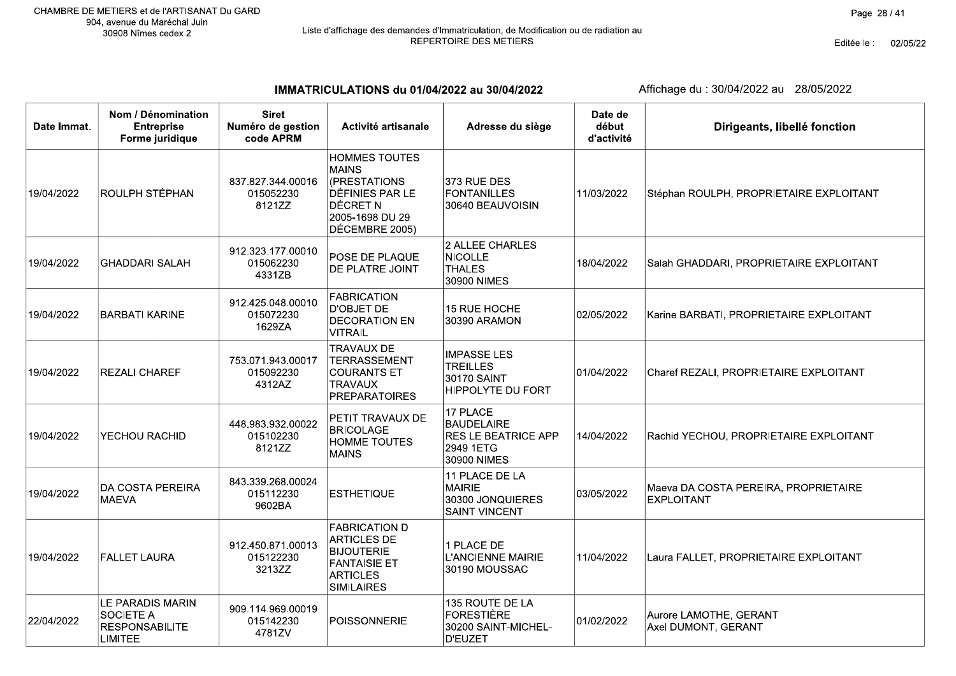Editée le : 02/05/22

IMMATRICULATIONS du 01/04/2022 au 30/04/2022

| Date Immat. | Nom / Dénomination<br><b>Entreprise</b><br>Forme juridique                      | <b>Siret</b><br>Numéro de gestion<br>code APRM | Activité artisanale                                                                                                                    | Adresse du siège                                                                 | Date de<br>début<br>d'activité | Dirigeants, libellé fonction                              |
|-------------|---------------------------------------------------------------------------------|------------------------------------------------|----------------------------------------------------------------------------------------------------------------------------------------|----------------------------------------------------------------------------------|--------------------------------|-----------------------------------------------------------|
| 19/04/2022  | ROULPH STÉPHAN                                                                  | 837.827.344.00016<br>015052230<br>8121ZZ       | <b>HOMMES TOUTES</b><br><b>MAINS</b><br>(PRESTATIONS<br><b>DÉFINIES PAR LE</b><br><b>DÉCRET N</b><br>2005-1698 DU 29<br>DÉCEMBRE 2005) | $373$ RUE DES<br>FONTANILLES<br>30640 BEAUVOISIN                                 | 11/03/2022                     | Stéphan ROULPH, PROPRIETAIRE EXPLOITANT                   |
| 19/04/2022  | <b>GHADDARI SALAH</b>                                                           | 912.323.177.00010<br>015062230<br>4331ZB       | POSE DE PLAQUE<br>DE PLATRE JOINT                                                                                                      | 2 ALLEE CHARLES<br>NICOLLE<br><b>THALES</b><br>30900 NIMES                       | 18/04/2022                     | Salah GHADDARI, PROPRIETAIRE EXPLOITANT                   |
| 19/04/2022  | <b>BARBATI KARINE</b>                                                           | 912.425.048.00010<br>015072230<br>1629ZA       | <b>FABRICATION</b><br>D'OBJET DE<br><b>DECORATION EN</b><br><b>VITRAIL</b>                                                             | 15 RUE HOCHE<br>30390 ARAMON                                                     | 02/05/2022                     | Karine BARBATI, PROPRIETAIRE EXPLOITANT                   |
| 19/04/2022  | REZALI CHAREF                                                                   | 753.071.943.00017<br>015092230<br>4312AZ       | <b>TRAVAUX DE</b><br><b>TERRASSEMENT</b><br><b>COURANTS ET</b><br><b>TRAVAUX</b><br><b>PREPARATOIRES</b>                               | <b>IMPASSE LES</b><br><b>TREILLES</b><br>30170 SAINT<br><b>HIPPOLYTE DU FORT</b> | 01/04/2022                     | Charef REZALI, PROPRIETAIRE EXPLOITANT                    |
| 19/04/2022  | YECHOU RACHID                                                                   | 448.983.932.00022<br>015102230<br>8121ZZ       | PETIT TRAVAUX DE<br><b>BRICOLAGE</b><br><b>HOMME TOUTES</b><br><b>MAINS</b>                                                            | 17 PLACE<br>BAUDELAIRE<br><b>RES LE BEATRICE APP</b><br>2949 1ETG<br>30900 NIMES | 14/04/2022                     | Rachid YECHOU, PROPRIETAIRE EXPLOITANT                    |
| 19/04/2022  | DA COSTA PEREIRA<br><b>MAEVA</b>                                                | 843.339.268.00024<br>015112230<br>9602BA       | <b>ESTHETIQUE</b>                                                                                                                      | 11 PLACE DE LA<br>MAIRIE<br>30300 JONQUIERES<br><b>SAINT VINCENT</b>             | 03/05/2022                     | Maeva DA COSTA PEREIRA, PROPRIETAIRE<br><b>EXPLOITANT</b> |
| 19/04/2022  | <b>FALLET LAURA</b>                                                             | 912.450.871.00013<br>015122230<br>3213ZZ       | <b>FABRICATION D</b><br><b>ARTICLES DE</b><br><b>BIJOUTERIE</b><br><b>FANTAISIE ET</b><br><b>ARTICLES</b><br><b>SIMILAIRES</b>         | 1 PLACE DE<br><b>L'ANCIENNE MAIRIE</b><br>30190 MOUSSAC                          | 11/04/2022                     | Laura FALLET, PROPRIETAIRE EXPLOITANT                     |
| 22/04/2022  | LE PARADIS MARIN<br><b>SOCIETE A</b><br><b>RESPONSABILITE</b><br><b>LIMITEE</b> | 909.114.969.00019<br>015142230<br>4781ZV       | POISSONNERIE                                                                                                                           | 135 ROUTE DE LA<br>FORESTIÈRE<br>30200 SAINT-MICHEL-<br>D'EUZET                  | 01/02/2022                     | Aurore LAMOTHE, GERANT<br>Axel DUMONT, GERANT             |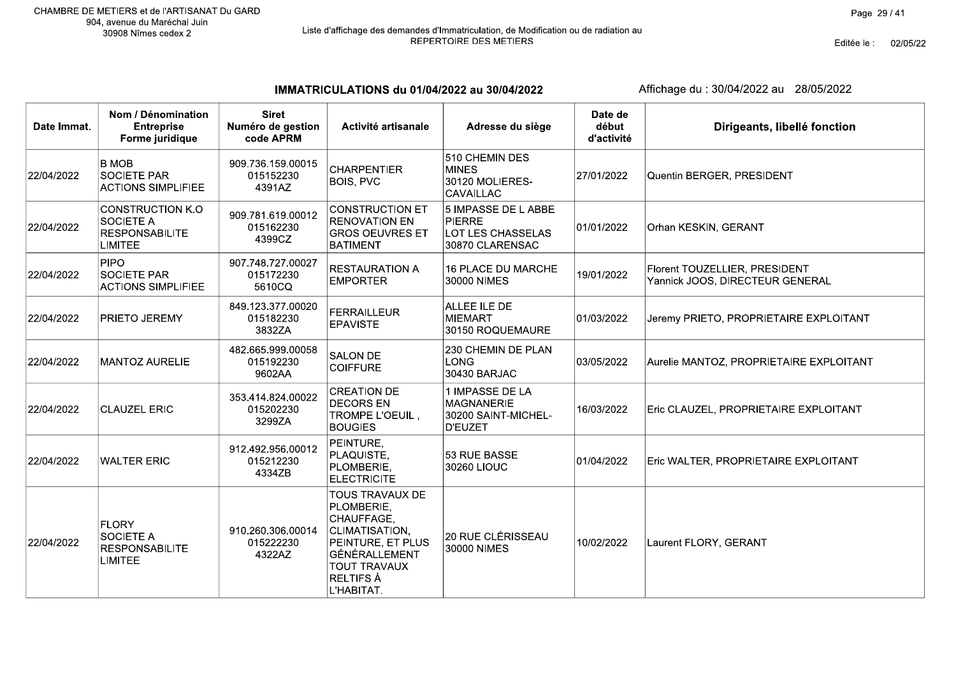# Liste d'affichage des demandes d'Immatriculation, de Modification ou de radiation au<br>REPERTOIRE DES METIERS

Editée le : 02/05/22

IMMATRICULATIONS du 01/04/2022 au 30/04/2022

| Date Immat. | Nom / Dénomination<br><b>Entreprise</b><br>Forme juridique                      | <b>Siret</b><br>Numéro de gestion<br>code APRM | Activité artisanale                                                                                                                                          | Adresse du siège                                                                    | Date de<br>début<br>d'activité | Dirigeants, libellé fonction                                     |
|-------------|---------------------------------------------------------------------------------|------------------------------------------------|--------------------------------------------------------------------------------------------------------------------------------------------------------------|-------------------------------------------------------------------------------------|--------------------------------|------------------------------------------------------------------|
| 22/04/2022  | <b>B MOB</b><br><b>SOCIETE PAR</b><br><b>ACTIONS SIMPLIFIEE</b>                 | 909.736.159.00015<br>015152230<br>4391AZ       | <b>CHARPENTIER</b><br><b>BOIS, PVC</b>                                                                                                                       | 510 CHEMIN DES<br><b>MINES</b><br>30120 MOLIERES-<br>CAVAILLAC                      | 27/01/2022                     | Quentin BERGER, PRESIDENT                                        |
| 22/04/2022  | <b>CONSTRUCTION K.O</b><br>SOCIETE A<br><b>RESPONSABILITE</b><br><b>LIMITEE</b> | 909.781.619.00012<br>015162230<br>4399CZ       | <b>CONSTRUCTION ET</b><br><b>RENOVATION EN</b><br><b>GROS OEUVRES ET</b><br><b>BATIMENT</b>                                                                  | 5 IMPASSE DE L ABBE<br><b>PIERRE</b><br><b>LOT LES CHASSELAS</b><br>30870 CLARENSAC | 01/01/2022                     | Orhan KESKIN, GERANT                                             |
| 22/04/2022  | <b>PIPO</b><br><b>SOCIETE PAR</b><br><b>ACTIONS SIMPLIFIEE</b>                  | 907.748.727.00027<br>015172230<br>5610CQ       | <b>RESTAURATION A</b><br><b>EMPORTER</b>                                                                                                                     | <b>16 PLACE DU MARCHE</b><br>30000 NIMES                                            | 19/01/2022                     | Florent TOUZELLIER, PRESIDENT<br>Yannick JOOS, DIRECTEUR GENERAL |
| 22/04/2022  | PRIETO JEREMY                                                                   | 849.123.377.00020<br>015182230<br>3832ZA       | <b>FERRAILLEUR</b><br><b>EPAVISTE</b>                                                                                                                        | ALLEE ILE DE<br>MIEMART<br>30150 ROQUEMAURE                                         | 01/03/2022                     | Jeremy PRIETO, PROPRIETAIRE EXPLOITANT                           |
| 22/04/2022  | <b>MANTOZ AURELIE</b>                                                           | 482.665.999.00058<br>015192230<br>9602AA       | <b>SALON DE</b><br><b>COIFFURE</b>                                                                                                                           | 230 CHEMIN DE PLAN<br><b>LONG</b><br>30430 BARJAC                                   | 03/05/2022                     | Aurelie MANTOZ, PROPRIETAIRE EXPLOITANT                          |
| 22/04/2022  | <b>CLAUZEL ERIC</b>                                                             | 353.414.824.00022<br>015202230<br>3299ZA       | <b>CREATION DE</b><br><b>DECORS EN</b><br>TROMPE L'OEUIL,<br><b>BOUGIES</b>                                                                                  | 1 IMPASSE DE LA<br>MAGNANERIE<br>30200 SAINT-MICHEL-<br><b>D'EUZET</b>              | 16/03/2022                     | Eric CLAUZEL, PROPRIETAIRE EXPLOITANT                            |
| 22/04/2022  | <b>WALTER ERIC</b>                                                              | 912.492.956.00012<br>015212230<br>4334ZB       | PEINTURE,<br>PLAQUISTE,<br>PLOMBERIE,<br><b>ELECTRICITE</b>                                                                                                  | 53 RUE BASSE<br>30260 LIOUC                                                         | 01/04/2022                     | Eric WALTER, PROPRIETAIRE EXPLOITANT                             |
| 22/04/2022  | <b>FLORY</b><br>SOCIETE A<br><b>RESPONSABILITE</b><br><b>LIMITEE</b>            | 910.260.306.00014<br>015222230<br>4322AZ       | TOUS TRAVAUX DE<br>PLOMBERIE,<br>CHAUFFAGE,<br>CLIMATISATION,<br>PEINTURE, ET PLUS<br>GÉNÉRALLEMENT<br><b>TOUT TRAVAUX</b><br><b>RELTIFS À</b><br>L'HABITAT. | 20 RUE CLÉRISSEAU<br>30000 NIMES                                                    | 10/02/2022                     | Laurent FLORY, GERANT                                            |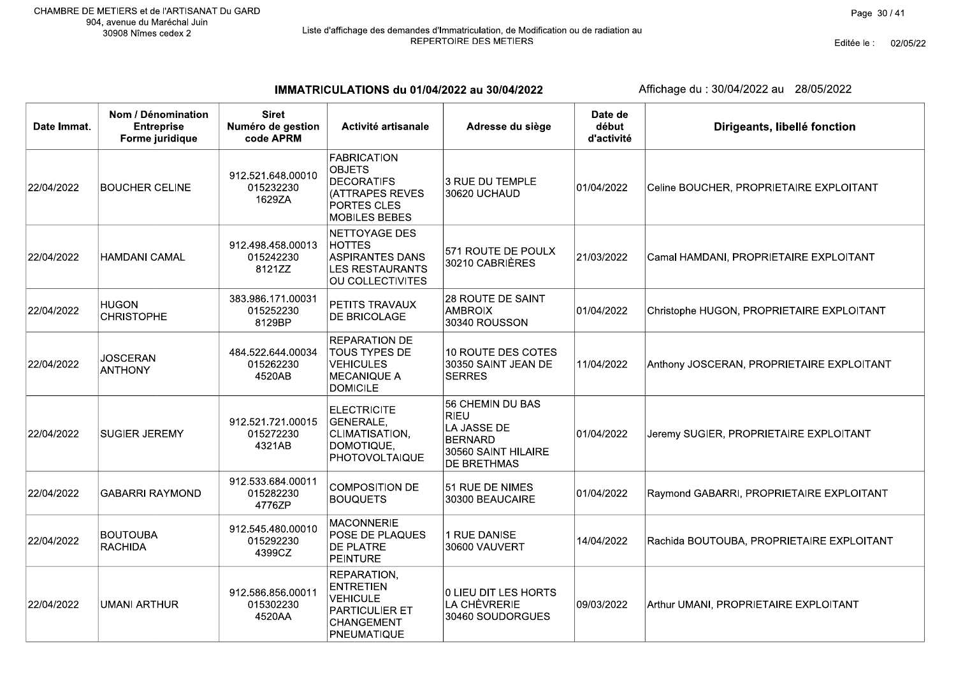Editée le : 02/05/22

IMMATRICULATIONS du 01/04/2022 au 30/04/2022

| Date Immat. | Nom / Dénomination<br><b>Entreprise</b><br>Forme juridique | <b>Siret</b><br>Numéro de gestion<br>code APRM | Activité artisanale                                                                                                | Adresse du siège                                                                                              | Date de<br>début<br>d'activité | Dirigeants, libellé fonction              |
|-------------|------------------------------------------------------------|------------------------------------------------|--------------------------------------------------------------------------------------------------------------------|---------------------------------------------------------------------------------------------------------------|--------------------------------|-------------------------------------------|
| 22/04/2022  | <b>BOUCHER CELINE</b>                                      | 912.521.648.00010<br>015232230<br>1629ZA       | <b>FABRICATION</b><br><b>OBJETS</b><br><b>DECORATIFS</b><br>(ATTRAPES REVES<br>PORTES CLES<br><b>MOBILES BEBES</b> | 3 RUE DU TEMPLE<br>30620 UCHAUD                                                                               | 01/04/2022                     | Celine BOUCHER, PROPRIETAIRE EXPLOITANT   |
| 22/04/2022  | <b>HAMDANI CAMAL</b>                                       | 912.498.458.00013<br>015242230<br>8121ZZ       | <b>NETTOYAGE DES</b><br><b>HOTTES</b><br><b>ASPIRANTES DANS</b><br><b>LES RESTAURANTS</b><br>OU COLLECTIVITES      | 571 ROUTE DE POULX<br>30210 CABRIÈRES                                                                         | 21/03/2022                     | Camal HAMDANI, PROPRIETAIRE EXPLOITANT    |
| 22/04/2022  | <b>HUGON</b><br><b>CHRISTOPHE</b>                          | 383.986.171.00031<br>015252230<br>8129BP       | PETITS TRAVAUX<br>DE BRICOLAGE                                                                                     | 28 ROUTE DE SAINT<br><b>AMBROIX</b><br>30340 ROUSSON                                                          | 01/04/2022                     | Christophe HUGON, PROPRIETAIRE EXPLOITANT |
| 22/04/2022  | <b>JOSCERAN</b><br><b>ANTHONY</b>                          | 484.522.644.00034<br>015262230<br>4520AB       | <b>REPARATION DE</b><br><b>TOUS TYPES DE</b><br><b>VEHICULES</b><br><b>MECANIQUE A</b><br><b>DOMICILE</b>          | 10 ROUTE DES COTES<br>30350 SAINT JEAN DE<br><b>SERRES</b>                                                    | 11/04/2022                     | Anthony JOSCERAN, PROPRIETAIRE EXPLOITANT |
| 22/04/2022  | <b>SUGIER JEREMY</b>                                       | 912.521.721.00015<br>015272230<br>4321AB       | <b>ELECTRICITE</b><br>GENERALE,<br>CLIMATISATION,<br>DOMOTIQUE,<br><b>PHOTOVOLTAIQUE</b>                           | 56 CHEMIN DU BAS<br><b>RIEU</b><br>LA JASSE DE<br><b>BERNARD</b><br>30560 SAINT HILAIRE<br><b>DE BRETHMAS</b> | 01/04/2022                     | Jeremy SUGIER, PROPRIETAIRE EXPLOITANT    |
| 22/04/2022  | <b>GABARRI RAYMOND</b>                                     | 912.533.684.00011<br>015282230<br>4776ZP       | <b>COMPOSITION DE</b><br><b>BOUQUETS</b>                                                                           | 51 RUE DE NIMES<br>30300 BEAUCAIRE                                                                            | 01/04/2022                     | Raymond GABARRI, PROPRIETAIRE EXPLOITANT  |
| 22/04/2022  | <b>BOUTOUBA</b><br><b>RACHIDA</b>                          | 912.545.480.00010<br>015292230<br>4399CZ       | <b>MACONNERIE</b><br>POSE DE PLAQUES<br>DE PLATRE<br><b>PEINTURE</b>                                               | 1 RUE DANISE<br>30600 VAUVERT                                                                                 | 14/04/2022                     | Rachida BOUTOUBA, PROPRIETAIRE EXPLOITANT |
| 22/04/2022  | <b>UMANI ARTHUR</b>                                        | 912.586.856.00011<br>015302230<br>4520AA       | REPARATION,<br><b>ENTRETIEN</b><br><b>VEHICULE</b><br><b>PARTICULIER ET</b><br>CHANGEMENT<br>PNEUMATIQUE           | 0 LIEU DIT LES HORTS<br>LA CHÈVRERIE<br>30460 SOUDORGUES                                                      | 09/03/2022                     | Arthur UMANI, PROPRIETAIRE EXPLOITANT     |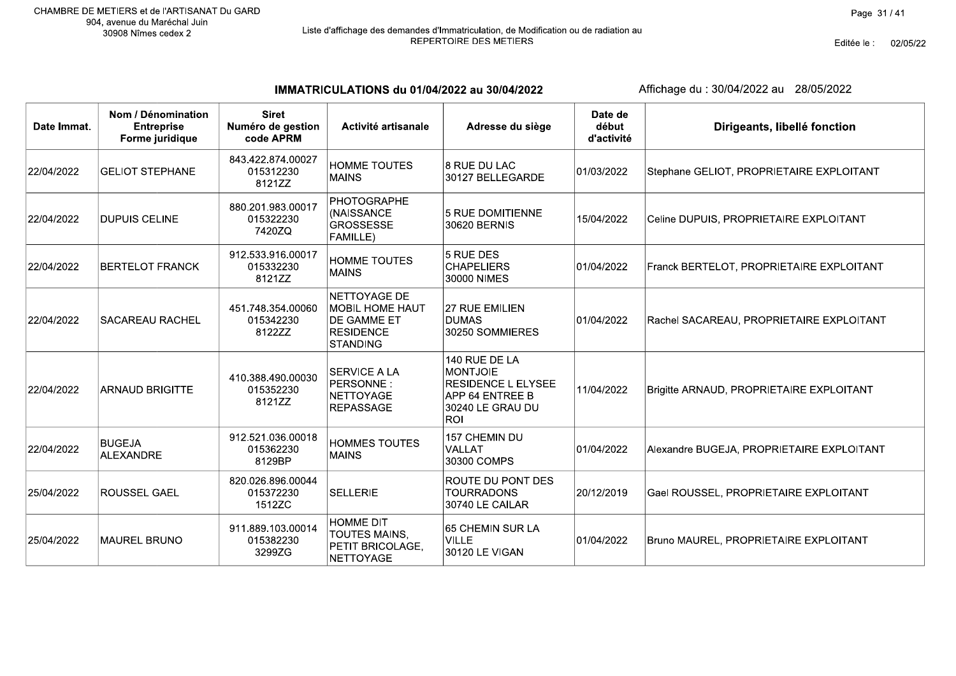Editée le : 02/05/22

IMMATRICULATIONS du 01/04/2022 au 30/04/2022

| Date Immat. | Nom / Dénomination<br><b>Entreprise</b><br>Forme juridique | <b>Siret</b><br>Numéro de gestion<br>code APRM | Activité artisanale                                                                          | Adresse du siège                                                                                                   | Date de<br>début<br>d'activité | Dirigeants, libellé fonction              |
|-------------|------------------------------------------------------------|------------------------------------------------|----------------------------------------------------------------------------------------------|--------------------------------------------------------------------------------------------------------------------|--------------------------------|-------------------------------------------|
| 22/04/2022  | <b>GELIOT STEPHANE</b>                                     | 843.422.874.00027<br>015312230<br>8121ZZ       | <b>HOMME TOUTES</b><br><b>MAINS</b>                                                          | 8 RUE DU LAC<br>30127 BELLEGARDE                                                                                   | 01/03/2022                     | Stephane GELIOT, PROPRIETAIRE EXPLOITANT  |
| 22/04/2022  | <b>DUPUIS CELINE</b>                                       | 880.201.983.00017<br>015322230<br>7420ZQ       | <b>PHOTOGRAPHE</b><br>(NAISSANCE<br><b>GROSSESSE</b><br>FAMILLE)                             | 5 RUE DOMITIENNE<br>30620 BERNIS                                                                                   | 15/04/2022                     | Celine DUPUIS, PROPRIETAIRE EXPLOITANT    |
| 22/04/2022  | <b>BERTELOT FRANCK</b>                                     | 912.533.916.00017<br>015332230<br>8121ZZ       | <b>HOMME TOUTES</b><br><b>MAINS</b>                                                          | 5 RUE DES<br><b>CHAPELIERS</b><br>30000 NIMES                                                                      | 01/04/2022                     | Franck BERTELOT, PROPRIETAIRE EXPLOITANT  |
| 22/04/2022  | SACAREAU RACHEL                                            | 451.748.354.00060<br>015342230<br>8122ZZ       | NETTOYAGE DE<br><b>MOBIL HOME HAUT</b><br>DE GAMME ET<br><b>RESIDENCE</b><br><b>STANDING</b> | 27 RUE EMILIEN<br><b>DUMAS</b><br>30250 SOMMIERES                                                                  | 01/04/2022                     | Rachel SACAREAU, PROPRIETAIRE EXPLOITANT  |
| 22/04/2022  | <b>ARNAUD BRIGITTE</b>                                     | 410.388.490.00030<br>015352230<br>8121ZZ       | <b>SERVICE A LA</b><br>PERSONNE:<br><b>NETTOYAGE</b><br><b>REPASSAGE</b>                     | 140 RUE DE LA<br><b>MONTJOIE</b><br><b>RESIDENCE L ELYSEE</b><br>APP 64 ENTREE B<br>30240 LE GRAU DU<br><b>ROI</b> | 11/04/2022                     | Brigitte ARNAUD, PROPRIETAIRE EXPLOITANT  |
| 22/04/2022  | <b>BUGEJA</b><br><b>ALEXANDRE</b>                          | 912.521.036.00018<br>015362230<br>8129BP       | <b>HOMMES TOUTES</b><br><b>MAINS</b>                                                         | 157 CHEMIN DU<br>VALLAT<br>30300 COMPS                                                                             | 01/04/2022                     | Alexandre BUGEJA, PROPRIETAIRE EXPLOITANT |
| 25/04/2022  | <b>ROUSSEL GAEL</b>                                        | 820.026.896.00044<br>015372230<br>1512ZC       | <b>SELLERIE</b>                                                                              | <b>ROUTE DU PONT DES</b><br><b>TOURRADONS</b><br>30740 LE CAILAR                                                   | 20/12/2019                     | Gael ROUSSEL, PROPRIETAIRE EXPLOITANT     |
| 25/04/2022  | <b>MAUREL BRUNO</b>                                        | 911.889.103.00014<br>015382230<br>3299ZG       | <b>HOMME DIT</b><br>TOUTES MAINS,<br>PETIT BRICOLAGE,<br>NETTOYAGE                           | 65 CHEMIN SUR LA<br><b>VILLE</b><br>30120 LE VIGAN                                                                 | 01/04/2022                     | Bruno MAUREL, PROPRIETAIRE EXPLOITANT     |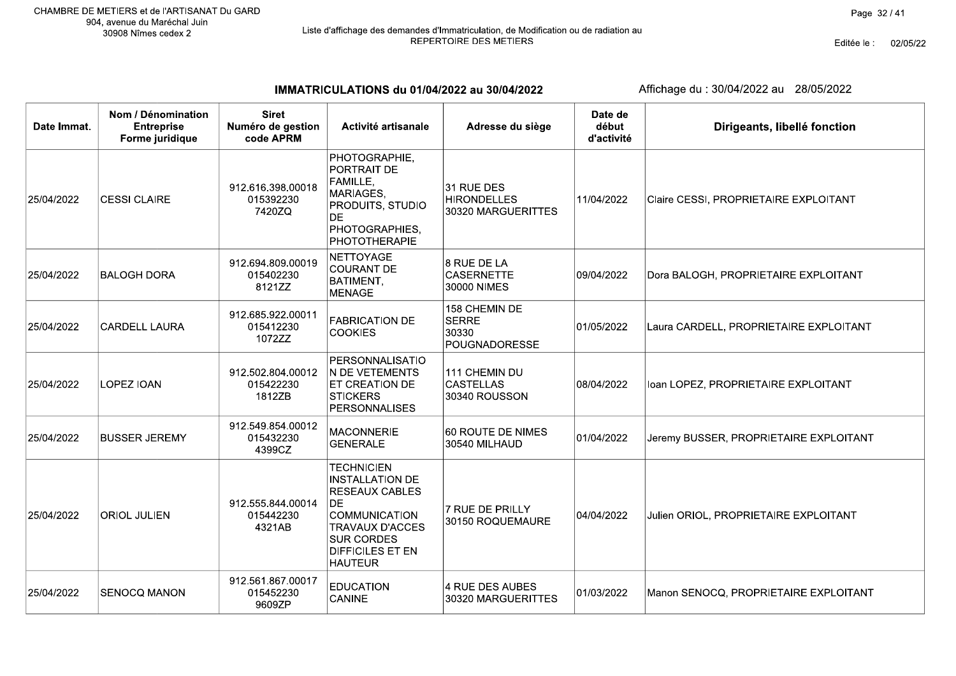Editée le : 02/05/22

IMMATRICULATIONS du 01/04/2022 au 30/04/2022

| Date Immat. | Nom / Dénomination<br><b>Entreprise</b><br>Forme juridique | <b>Siret</b><br>Numéro de gestion<br>code APRM | Activité artisanale                                                                                                                                                                      | Adresse du siège                                        | Date de<br>début<br>d'activité | Dirigeants, libellé fonction           |
|-------------|------------------------------------------------------------|------------------------------------------------|------------------------------------------------------------------------------------------------------------------------------------------------------------------------------------------|---------------------------------------------------------|--------------------------------|----------------------------------------|
| 25/04/2022  | <b>CESSI CLAIRE</b>                                        | 912.616.398.00018<br>015392230<br>7420ZQ       | PHOTOGRAPHIE,<br>PORTRAIT DE<br>FAMILLE,<br>MARIAGES,<br>PRODUITS, STUDIO<br>DE<br>PHOTOGRAPHIES,<br><b>PHOTOTHERAPIE</b>                                                                | 31 RUE DES<br><b>HIRONDELLES</b><br>30320 MARGUERITTES  | 11/04/2022                     | Claire CESSI, PROPRIETAIRE EXPLOITANT  |
| 25/04/2022  | <b>BALOGH DORA</b>                                         | 912.694.809.00019<br>015402230<br>8121ZZ       | NETTOYAGE<br><b>COURANT DE</b><br>BATIMENT,<br><b>MENAGE</b>                                                                                                                             | 8 RUE DE LA<br><b>CASERNETTE</b><br>30000 NIMES         | 09/04/2022                     | Dora BALOGH, PROPRIETAIRE EXPLOITANT   |
| 25/04/2022  | <b>CARDELL LAURA</b>                                       | 912.685.922.00011<br>015412230<br>1072ZZ       | <b>FABRICATION DE</b><br><b>COOKIES</b>                                                                                                                                                  | 158 CHEMIN DE<br><b>SERRE</b><br>30330<br>POUGNADORESSE | 01/05/2022                     | Laura CARDELL, PROPRIETAIRE EXPLOITANT |
| 25/04/2022  | LOPEZ IOAN                                                 | 912.502.804.00012<br>015422230<br>1812ZB       | PERSONNALISATIO<br>N DE VETEMENTS<br>ET CREATION DE<br><b>STICKERS</b><br><b>PERSONNALISES</b>                                                                                           | 111 CHEMIN DU<br><b>CASTELLAS</b><br>30340 ROUSSON      | 08/04/2022                     | Ioan LOPEZ, PROPRIETAIRE EXPLOITANT    |
| 25/04/2022  | <b>BUSSER JEREMY</b>                                       | 912.549.854.00012<br>015432230<br>4399CZ       | <b>MACONNERIE</b><br><b>GENERALE</b>                                                                                                                                                     | 60 ROUTE DE NIMES<br>30540 MILHAUD                      | 01/04/2022                     | Jeremy BUSSER, PROPRIETAIRE EXPLOITANT |
| 25/04/2022  | <b>ORIOL JULIEN</b>                                        | 912.555.844.00014<br>015442230<br>4321AB       | <b>TECHNICIEN</b><br><b>INSTALLATION DE</b><br><b>RESEAUX CABLES</b><br>DE.<br><b>COMMUNICATION</b><br>TRAVAUX D'ACCES<br><b>SUR CORDES</b><br><b>DIFFICILES ET EN</b><br><b>HAUTEUR</b> | 7 RUE DE PRILLY<br>30150 ROQUEMAURE                     | 04/04/2022                     | Julien ORIOL, PROPRIETAIRE EXPLOITANT  |
| 25/04/2022  | <b>SENOCQ MANON</b>                                        | 912.561.867.00017<br>015452230<br>9609ZP       | <b>EDUCATION</b><br>CANINE                                                                                                                                                               | 4 RUE DES AUBES<br>30320 MARGUERITTES                   | 01/03/2022                     | Manon SENOCQ, PROPRIETAIRE EXPLOITANT  |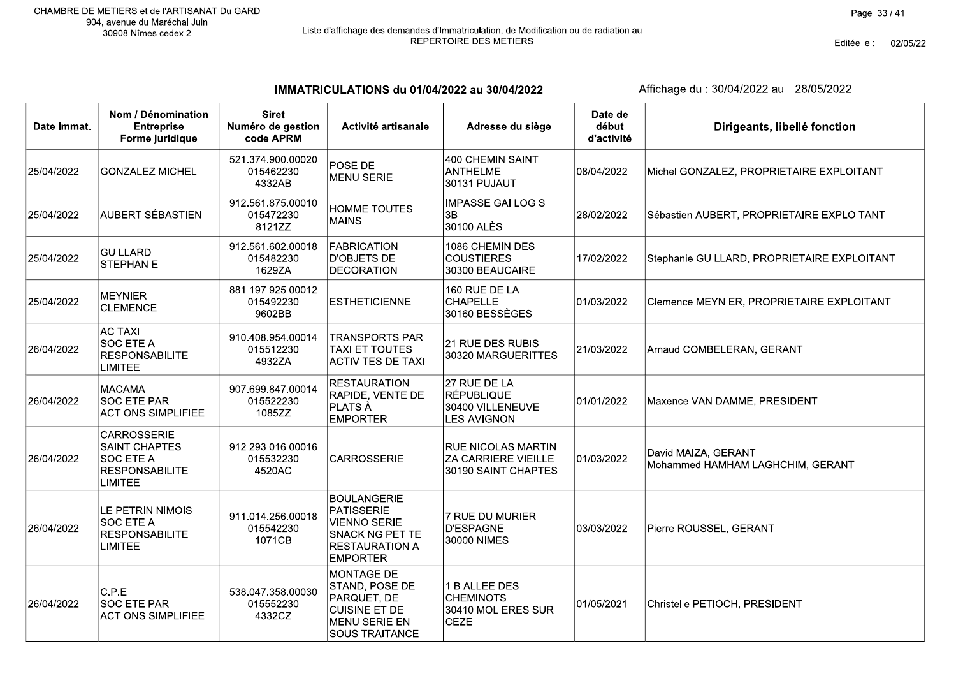# Liste d'affichage des demandes d'Immatriculation, de Modification ou de radiation au<br>REPERTOIRE DES METIERS

Editée le : 02/05/22

IMMATRICULATIONS du 01/04/2022 au 30/04/2022

| Date Immat. | Nom / Dénomination<br><b>Entreprise</b><br>Forme juridique                                                | <b>Siret</b><br>Numéro de gestion<br>code APRM | Activité artisanale                                                                                                                  | Adresse du siège                                                               | Date de<br>début<br>d'activité | Dirigeants, libellé fonction                            |
|-------------|-----------------------------------------------------------------------------------------------------------|------------------------------------------------|--------------------------------------------------------------------------------------------------------------------------------------|--------------------------------------------------------------------------------|--------------------------------|---------------------------------------------------------|
| 25/04/2022  | <b>GONZALEZ MICHEL</b>                                                                                    | 521.374.900.00020<br>015462230<br>4332AB       | POSE DE<br><b>MENUISERIE</b>                                                                                                         | 400 CHEMIN SAINT<br><b>ANTHELME</b><br>30131 PUJAUT                            | 08/04/2022                     | Michel GONZALEZ, PROPRIETAIRE EXPLOITANT                |
| 25/04/2022  | AUBERT SÉBASTIEN                                                                                          | 912.561.875.00010<br>015472230<br>8121ZZ       | HOMME TOUTES<br><b>MAINS</b>                                                                                                         | <b>IMPASSE GAI LOGIS</b><br>3B<br>30100 ALÈS                                   | 28/02/2022                     | Sébastien AUBERT, PROPRIETAIRE EXPLOITANT               |
| 25/04/2022  | <b>GUILLARD</b><br><b>STEPHANIE</b>                                                                       | 912.561.602.00018<br>015482230<br>1629ZA       | <b>FABRICATION</b><br><b>D'OBJETS DE</b><br><b>DECORATION</b>                                                                        | 1086 CHEMIN DES<br><b>COUSTIERES</b><br>30300 BEAUCAIRE                        | 17/02/2022                     | Stephanie GUILLARD, PROPRIETAIRE EXPLOITANT             |
| 25/04/2022  | <b>MEYNIER</b><br><b>CLEMENCE</b>                                                                         | 881.197.925.00012<br>015492230<br>9602BB       | <b>ESTHETICIENNE</b>                                                                                                                 | 160 RUE DE LA<br><b>CHAPELLE</b><br>30160 BESSÈGES                             | 01/03/2022                     | Clemence MEYNIER, PROPRIETAIRE EXPLOITANT               |
| 26/04/2022  | <b>AC TAXI</b><br><b>SOCIETE A</b><br><b>RESPONSABILITE</b><br><b>LIMITEE</b>                             | 910.408.954.00014<br>015512230<br>4932ZA       | <b>TRANSPORTS PAR</b><br><b>TAXI ET TOUTES</b><br><b>ACTIVITES DE TAXI</b>                                                           | 21 RUE DES RUBIS<br>30320 MARGUERITTES                                         | 21/03/2022                     | Arnaud COMBELERAN, GERANT                               |
| 26/04/2022  | <b>MACAMA</b><br><b>SOCIETE PAR</b><br><b>ACTIONS SIMPLIFIEE</b>                                          | 907.699.847.00014<br>015522230<br>1085ZZ       | <b>RESTAURATION</b><br>RAPIDE, VENTE DE<br>PLATS À<br><b>EMPORTER</b>                                                                | 27 RUE DE LA<br>RÉPUBLIQUE<br>30400 VILLENEUVE-<br>LES-AVIGNON                 | 01/01/2022                     | Maxence VAN DAMME, PRESIDENT                            |
| 26/04/2022  | <b>CARROSSERIE</b><br><b>SAINT CHAPTES</b><br><b>SOCIETE A</b><br><b>RESPONSABILITE</b><br><b>LIMITEE</b> | 912.293.016.00016<br>015532230<br>4520AC       | <b>CARROSSERIE</b>                                                                                                                   | <b>RUE NICOLAS MARTIN</b><br><b>ZA CARRIERE VIEILLE</b><br>30190 SAINT CHAPTES | 01/03/2022                     | David MAIZA, GERANT<br>Mohammed HAMHAM LAGHCHIM, GERANT |
| 26/04/2022  | LE PETRIN NIMOIS<br>SOCIETE A<br><b>RESPONSABILITE</b><br>LIMITEE                                         | 911.014.256.00018<br>015542230<br>1071CB       | <b>BOULANGERIE</b><br><b>PATISSERIE</b><br><b>VIENNOISERIE</b><br><b>SNACKING PETITE</b><br><b>RESTAURATION A</b><br><b>EMPORTER</b> | 7 RUE DU MURIER<br>D'ESPAGNE<br>30000 NIMES                                    | 03/03/2022                     | Pierre ROUSSEL, GERANT                                  |
| 26/04/2022  | C.P.E<br><b>SOCIETE PAR</b><br><b>ACTIONS SIMPLIFIEE</b>                                                  | 538.047.358.00030<br>015552230<br>4332CZ       | MONTAGE DE<br>STAND, POSE DE<br>PARQUET, DE<br><b>CUISINE ET DE</b><br><b>MENUISERIE EN</b><br><b>SOUS TRAITANCE</b>                 | 1 B ALLEE DES<br><b>CHEMINOTS</b><br>30410 MOLIERES SUR<br><b>CEZE</b>         | 01/05/2021                     | Christelle PETIOCH, PRESIDENT                           |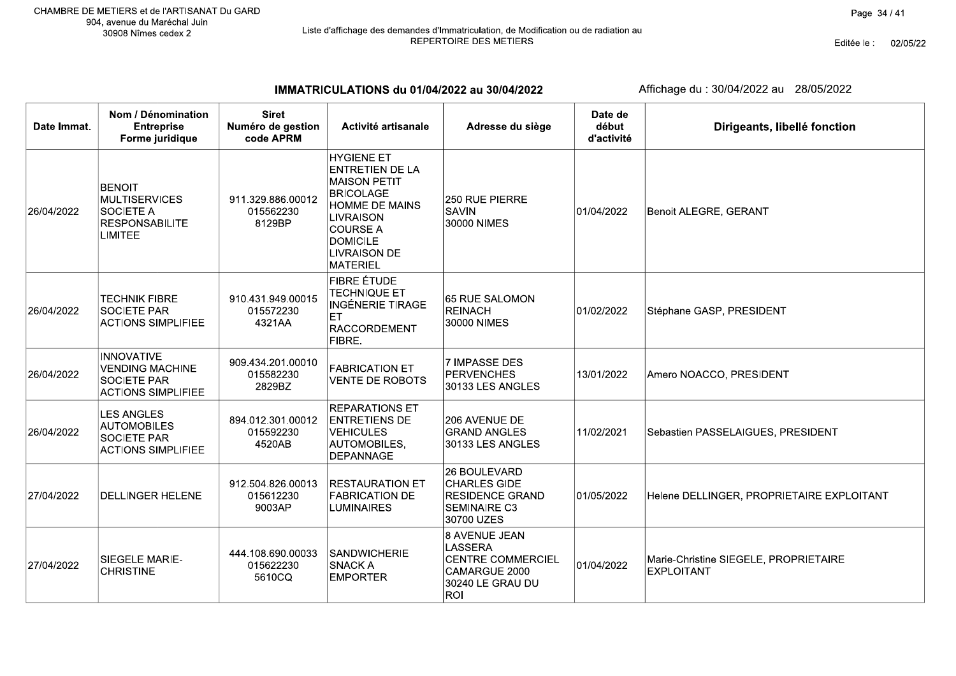# Liste d'affichage des demandes d'Immatriculation, de Modification ou de radiation au<br>REPERTOIRE DES METIERS

Editée le : 02/05/22

IMMATRICULATIONS du 01/04/2022 au 30/04/2022

| Date Immat. | Nom / Dénomination<br><b>Entreprise</b><br>Forme juridique                                           | <b>Siret</b><br>Numéro de gestion<br>code APRM | Activité artisanale                                                                                                                                                                                                 | Adresse du siège                                                                                        | Date de<br>début<br>d'activité | Dirigeants, libellé fonction                               |
|-------------|------------------------------------------------------------------------------------------------------|------------------------------------------------|---------------------------------------------------------------------------------------------------------------------------------------------------------------------------------------------------------------------|---------------------------------------------------------------------------------------------------------|--------------------------------|------------------------------------------------------------|
| 26/04/2022  | <b>BENOIT</b><br><b>MULTISERVICES</b><br><b>SOCIETE A</b><br><b>RESPONSABILITE</b><br><b>LIMITEE</b> | 911.329.886.00012<br>015562230<br>8129BP       | <b>HYGIENE ET</b><br><b>ENTRETIEN DE LA</b><br><b>MAISON PETIT</b><br><b>BRICOLAGE</b><br><b>HOMME DE MAINS</b><br><b>LIVRAISON</b><br><b>COURSE A</b><br><b>DOMICILE</b><br><b>LIVRAISON DE</b><br><b>MATERIEL</b> | 250 RUE PIERRE<br><b>SAVIN</b><br>30000 NIMES                                                           | 01/04/2022                     | Benoit ALEGRE, GERANT                                      |
| 26/04/2022  | <b>TECHNIK FIBRE</b><br><b>SOCIETE PAR</b><br><b>ACTIONS SIMPLIFIEE</b>                              | 910.431.949.00015<br>015572230<br>4321AA       | <b>FIBRE ÉTUDE</b><br><b>TECHNIQUE ET</b><br><b>INGÉNERIE TIRAGE</b><br><b>FT</b><br><b>RACCORDEMENT</b><br>FIBRE.                                                                                                  | 65 RUE SALOMON<br>REINACH<br>30000 NIMES                                                                | 01/02/2022                     | Stéphane GASP, PRESIDENT                                   |
| 26/04/2022  | <b>INNOVATIVE</b><br><b>VENDING MACHINE</b><br><b>SOCIETE PAR</b><br><b>ACTIONS SIMPLIFIEE</b>       | 909.434.201.00010<br>015582230<br>2829BZ       | <b>FABRICATION ET</b><br><b>VENTE DE ROBOTS</b>                                                                                                                                                                     | 7 IMPASSE DES<br>PERVENCHES<br>30133 LES ANGLES                                                         | 13/01/2022                     | Amero NOACCO, PRESIDENT                                    |
| 26/04/2022  | <b>LES ANGLES</b><br><b>AUTOMOBILES</b><br>SOCIETE PAR<br><b>ACTIONS SIMPLIFIEE</b>                  | 894.012.301.00012<br>015592230<br>4520AB       | <b>REPARATIONS ET</b><br><b>ENTRETIENS DE</b><br><b>VEHICULES</b><br>AUTOMOBILES,<br><b>DEPANNAGE</b>                                                                                                               | 206 AVENUE DE<br><b>GRAND ANGLES</b><br>30133 LES ANGLES                                                | 11/02/2021                     | Sebastien PASSELAIGUES, PRESIDENT                          |
| 27/04/2022  | <b>DELLINGER HELENE</b>                                                                              | 912.504.826.00013<br>015612230<br>9003AP       | <b>RESTAURATION ET</b><br><b>FABRICATION DE</b><br><b>LUMINAIRES</b>                                                                                                                                                | 26 BOULEVARD<br><b>CHARLES GIDE</b><br><b>RESIDENCE GRAND</b><br><b>SEMINAIRE C3</b><br>30700 UZES      | 01/05/2022                     | Helene DELLINGER, PROPRIETAIRE EXPLOITANT                  |
| 27/04/2022  | SIEGELE MARIE-<br><b>CHRISTINE</b>                                                                   | 444.108.690.00033<br>015622230<br>5610CQ       | SANDWICHERIE<br><b>SNACK A</b><br><b>EMPORTER</b>                                                                                                                                                                   | 8 AVENUE JEAN<br><b>LASSERA</b><br><b>CENTRE COMMERCIEL</b><br>CAMARGUE 2000<br>30240 LE GRAU DU<br>ROI | 01/04/2022                     | Marie-Christine SIEGELE, PROPRIETAIRE<br><b>EXPLOITANT</b> |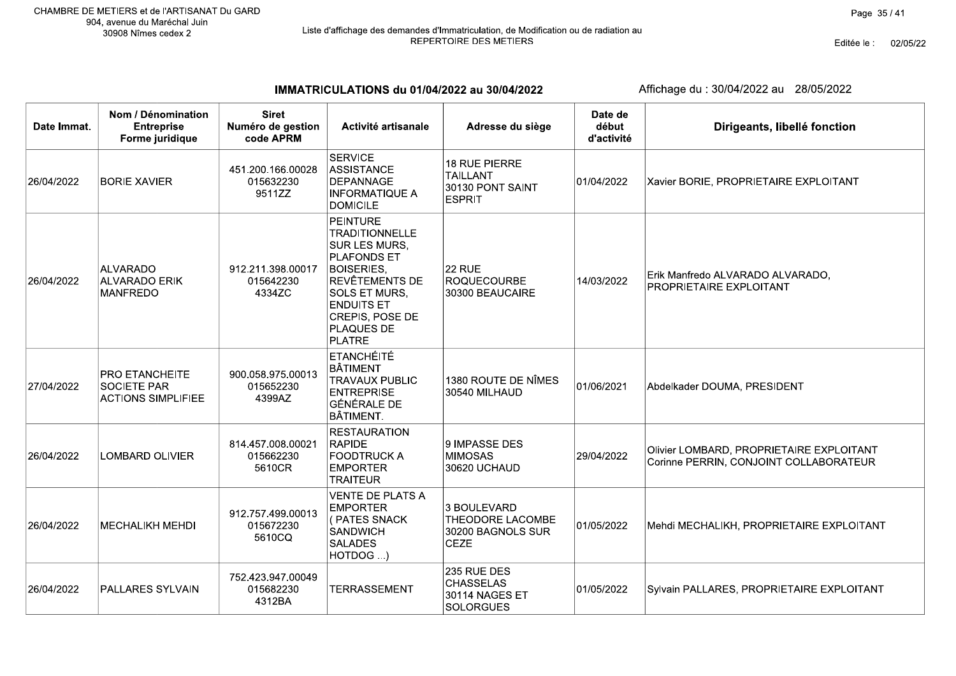Editée le : 02/05/22

IMMATRICULATIONS du 01/04/2022 au 30/04/2022

| Date Immat. | Nom / Dénomination<br><b>Entreprise</b><br>Forme juridique        | <b>Siret</b><br>Numéro de gestion<br>code APRM | Activité artisanale                                                                                                                                                                                                          | Adresse du siège                                                      | Date de<br>début<br>d'activité | Dirigeants, libellé fonction                                                       |
|-------------|-------------------------------------------------------------------|------------------------------------------------|------------------------------------------------------------------------------------------------------------------------------------------------------------------------------------------------------------------------------|-----------------------------------------------------------------------|--------------------------------|------------------------------------------------------------------------------------|
| 26/04/2022  | <b>BORIE XAVIER</b>                                               | 451.200.166.00028<br>015632230<br>9511ZZ       | <b>SERVICE</b><br>ASSISTANCE<br>DEPANNAGE<br><b>INFORMATIQUE A</b><br><b>DOMICILE</b>                                                                                                                                        | 18 RUE PIERRE<br><b>TAILLANT</b><br>30130 PONT SAINT<br><b>ESPRIT</b> | 01/04/2022                     | Xavier BORIE, PROPRIETAIRE EXPLOITANT                                              |
| 26/04/2022  | <b>ALVARADO</b><br><b>ALVARADO ERIK</b><br><b>MANFREDO</b>        | 912.211.398.00017<br>015642230<br>4334ZC       | <b>PEINTURE</b><br><b>TRADITIONNELLE</b><br>SUR LES MURS,<br><b>PLAFONDS ET</b><br><b>BOISERIES,</b><br><b>REVÊTEMENTS DE</b><br><b>SOLS ET MURS.</b><br><b>ENDUITS ET</b><br>CREPIS, POSE DE<br>PLAQUES DE<br><b>PLATRE</b> | <b>22 RUE</b><br>ROQUECOURBE<br>30300 BEAUCAIRE                       | 14/03/2022                     | Erik Manfredo ALVARADO ALVARADO,<br><b>PROPRIETAIRE EXPLOITANT</b>                 |
| 27/04/2022  | PRO ETANCHEITE<br><b>SOCIETE PAR</b><br><b>ACTIONS SIMPLIFIEE</b> | 900.058.975.00013<br>015652230<br>4399AZ       | <b>ETANCHÉITÉ</b><br>BÂTIMENT<br><b>TRAVAUX PUBLIC</b><br><b>ENTREPRISE</b><br><b>GÉNÉRALE DE</b><br><b>BÂTIMENT.</b>                                                                                                        | 1380 ROUTE DE NÎMES<br>30540 MILHAUD                                  | 01/06/2021                     | Abdelkader DOUMA, PRESIDENT                                                        |
| 26/04/2022  | <b>LOMBARD OLIVIER</b>                                            | 814.457.008.00021<br>015662230<br>5610CR       | <b>RESTAURATION</b><br><b>RAPIDE</b><br><b>FOODTRUCK A</b><br><b>EMPORTER</b><br><b>TRAITEUR</b>                                                                                                                             | 9 IMPASSE DES<br><b>MIMOSAS</b><br>30620 UCHAUD                       | 29/04/2022                     | Olivier LOMBARD, PROPRIETAIRE EXPLOITANT<br>Corinne PERRIN, CONJOINT COLLABORATEUR |
| 26/04/2022  | <b>MECHALIKH MEHDI</b>                                            | 912.757.499.00013<br>015672230<br>5610CQ       | <b>VENTE DE PLATS A</b><br><b>EMPORTER</b><br>(PATES SNACK<br><b>SANDWICH</b><br><b>SALADES</b><br>HOTDOG )                                                                                                                  | 3 BOULEVARD<br>THEODORE LACOMBE<br>30200 BAGNOLS SUR<br><b>CEZE</b>   | 01/05/2022                     | Mehdi MECHALIKH, PROPRIETAIRE EXPLOITANT                                           |
| 26/04/2022  | PALLARES SYLVAIN                                                  | 752.423.947.00049<br>015682230<br>4312BA       | <b>TERRASSEMENT</b>                                                                                                                                                                                                          | 235 RUE DES<br><b>CHASSELAS</b><br>30114 NAGES ET<br><b>SOLORGUES</b> | 01/05/2022                     | Sylvain PALLARES, PROPRIETAIRE EXPLOITANT                                          |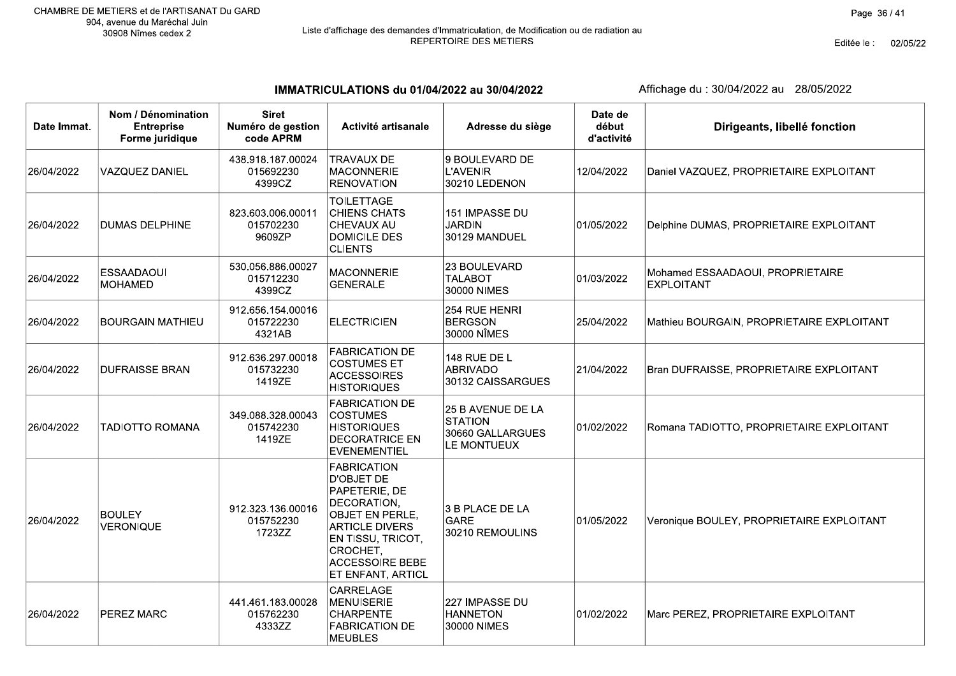Editée le : 02/05/22

IMMATRICULATIONS du 01/04/2022 au 30/04/2022

| Date Immat. | Nom / Dénomination<br><b>Entreprise</b><br>Forme juridique | <b>Siret</b><br>Numéro de gestion<br>code APRM | Activité artisanale                                                                                                                                                                          | Adresse du siège                                                       | Date de<br>début<br>d'activité | Dirigeants, libellé fonction                          |
|-------------|------------------------------------------------------------|------------------------------------------------|----------------------------------------------------------------------------------------------------------------------------------------------------------------------------------------------|------------------------------------------------------------------------|--------------------------------|-------------------------------------------------------|
| 26/04/2022  | <b>VAZQUEZ DANIEL</b>                                      | 438.918.187.00024<br>015692230<br>4399CZ       | <b>TRAVAUX DE</b><br><b>MACONNERIE</b><br><b>RENOVATION</b>                                                                                                                                  | 9 BOULEVARD DE<br><b>L'AVENIR</b><br>30210 LEDENON                     | 12/04/2022                     | Daniel VAZQUEZ, PROPRIETAIRE EXPLOITANT               |
| 26/04/2022  | <b>DUMAS DELPHINE</b>                                      | 823.603.006.00011<br>015702230<br>9609ZP       | <b>TOILETTAGE</b><br><b>CHIENS CHATS</b><br><b>CHEVAUX AU</b><br><b>DOMICILE DES</b><br><b>CLIENTS</b>                                                                                       | 151 IMPASSE DU<br><b>JARDIN</b><br>30129 MANDUEL                       | 01/05/2022                     | Delphine DUMAS, PROPRIETAIRE EXPLOITANT               |
| 26/04/2022  | <b>ESSAADAOUI</b><br><b>MOHAMED</b>                        | 530.056.886.00027<br>015712230<br>4399CZ       | <b>MACONNERIE</b><br><b>GENERALE</b>                                                                                                                                                         | 23 BOULEVARD<br><b>TALABOT</b><br>30000 NIMES                          | 01/03/2022                     | Mohamed ESSAADAOUI, PROPRIETAIRE<br><b>EXPLOITANT</b> |
| 26/04/2022  | <b>BOURGAIN MATHIEU</b>                                    | 912.656.154.00016<br>015722230<br>4321AB       | <b>ELECTRICIEN</b>                                                                                                                                                                           | 254 RUE HENRI<br><b>BERGSON</b><br>30000 NÎMES                         | 25/04/2022                     | Mathieu BOURGAIN, PROPRIETAIRE EXPLOITANT             |
| 26/04/2022  | <b>DUFRAISSE BRAN</b>                                      | 912.636.297.00018<br>015732230<br>1419ZE       | <b>FABRICATION DE</b><br><b>COSTUMES ET</b><br><b>ACCESSOIRES</b><br><b>HISTORIQUES</b>                                                                                                      | 148 RUE DE L<br><b>ABRIVADO</b><br>30132 CAISSARGUES                   | 21/04/2022                     | Bran DUFRAISSE, PROPRIETAIRE EXPLOITANT               |
| 26/04/2022  | <b>TADIOTTO ROMANA</b>                                     | 349.088.328.00043<br>015742230<br>1419ZE       | <b>FABRICATION DE</b><br><b>COSTUMES</b><br><b>HISTORIQUES</b><br><b>DECORATRICE EN</b><br><b>EVENEMENTIEL</b>                                                                               | 25 B AVENUE DE LA<br><b>STATION</b><br>30660 GALLARGUES<br>LE MONTUEUX | 01/02/2022                     | Romana TADIOTTO, PROPRIETAIRE EXPLOITANT              |
| 26/04/2022  | <b>BOULEY</b><br><b>VERONIQUE</b>                          | 912.323.136.00016<br>015752230<br>1723ZZ       | FABRICATION<br><b>D'OBJET DE</b><br>PAPETERIE, DE<br>DECORATION,<br>OBJET EN PERLE,<br><b>ARTICLE DIVERS</b><br>EN TISSU, TRICOT,<br>CROCHET,<br><b>ACCESSOIRE BEBE</b><br>ET ENFANT, ARTICL | 3 B PLACE DE LA<br><b>GARE</b><br>30210 REMOULINS                      | 01/05/2022                     | Veronique BOULEY, PROPRIETAIRE EXPLOITANT             |
| 26/04/2022  | PEREZ MARC                                                 | 441.461.183.00028<br>015762230<br>4333ZZ       | CARRELAGE<br><b>MENUISERIE</b><br><b>CHARPENTE</b><br><b>FABRICATION DE</b><br><b>MEUBLES</b>                                                                                                | 227 IMPASSE DU<br><b>HANNETON</b><br>30000 NIMES                       | 01/02/2022                     | Marc PEREZ, PROPRIETAIRE EXPLOITANT                   |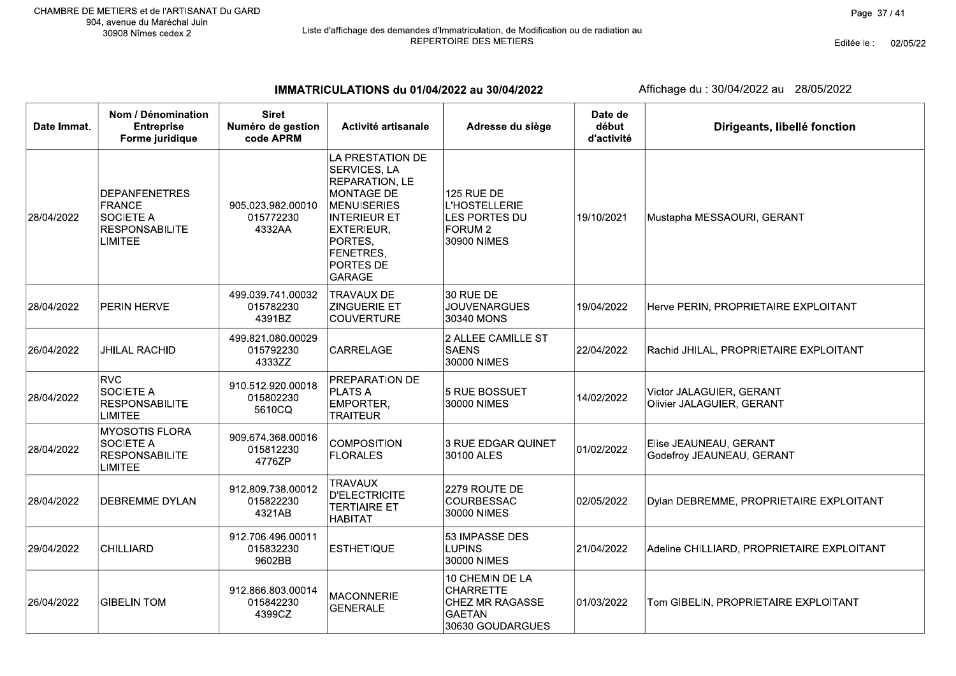Editée le : 02/05/22

IMMATRICULATIONS du 01/04/2022 au 30/04/2022

| Date Immat. | Nom / Dénomination<br><b>Entreprise</b><br>Forme juridique                                           | <b>Siret</b><br>Numéro de gestion<br>code APRM | Activité artisanale                                                                                                                                                                      | Adresse du siège                                                                                | Date de<br>début<br>d'activité | Dirigeants, libellé fonction                          |
|-------------|------------------------------------------------------------------------------------------------------|------------------------------------------------|------------------------------------------------------------------------------------------------------------------------------------------------------------------------------------------|-------------------------------------------------------------------------------------------------|--------------------------------|-------------------------------------------------------|
| 28/04/2022  | <b>DEPANFENETRES</b><br><b>FRANCE</b><br><b>SOCIETE A</b><br><b>RESPONSABILITE</b><br><b>LIMITEE</b> | 905.023.982.00010<br>015772230<br>4332AA       | LA PRESTATION DE<br>SERVICES, LA<br>REPARATION, LE<br>MONTAGE DE<br><b>MENUISERIES</b><br><b>INTERIEUR ET</b><br><b>EXTERIEUR,</b><br>PORTES,<br>FENETRES,<br>PORTES DE<br><b>GARAGE</b> | <b>125 RUE DE</b><br><b>L'HOSTELLERIE</b><br>LES PORTES DU<br>FORUM <sub>2</sub><br>30900 NIMES | 19/10/2021                     | Mustapha MESSAOURI, GERANT                            |
| 28/04/2022  | PERIN HERVE                                                                                          | 499.039.741.00032<br>015782230<br>4391BZ       | <b>TRAVAUX DE</b><br><b>ZINGUERIE ET</b><br><b>COUVERTURE</b>                                                                                                                            | 30 RUE DE<br><b>JOUVENARGUES</b><br>30340 MONS                                                  | 19/04/2022                     | Herve PERIN, PROPRIETAIRE EXPLOITANT                  |
| 26/04/2022  | <b>JHILAL RACHID</b>                                                                                 | 499.821.080.00029<br>015792230<br>4333ZZ       | CARRELAGE                                                                                                                                                                                | 2 ALLEE CAMILLE ST<br><b>SAENS</b><br>30000 NIMES                                               | 22/04/2022                     | Rachid JHILAL, PROPRIETAIRE EXPLOITANT                |
| 28/04/2022  | <b>RVC</b><br>SOCIETE A<br><b>RESPONSABILITE</b><br><b>LIMITEE</b>                                   | 910.512.920.00018<br>015802230<br>5610CQ       | PREPARATION DE<br><b>PLATS A</b><br>EMPORTER,<br><b>TRAITEUR</b>                                                                                                                         | 5 RUE BOSSUET<br>30000 NIMES                                                                    | 14/02/2022                     | Victor JALAGUIER, GERANT<br>Olivier JALAGUIER, GERANT |
| 28/04/2022  | <b>MYOSOTIS FLORA</b><br><b>SOCIETE A</b><br><b>RESPONSABILITE</b><br><b>LIMITEE</b>                 | 909.674.368.00016<br>015812230<br>4776ZP       | <b>COMPOSITION</b><br><b>FLORALES</b>                                                                                                                                                    | <b>3 RUE EDGAR QUINET</b><br>30100 ALES                                                         | 01/02/2022                     | Elise JEAUNEAU, GERANT<br>Godefroy JEAUNEAU, GERANT   |
| 28/04/2022  | DEBREMME DYLAN                                                                                       | 912.809.738.00012<br>015822230<br>4321AB       | <b>TRAVAUX</b><br><b>D'ELECTRICITE</b><br><b>TERTIAIRE ET</b><br><b>HABITAT</b>                                                                                                          | 2279 ROUTE DE<br>COURBESSAC<br>30000 NIMES                                                      | 02/05/2022                     | Dylan DEBREMME, PROPRIETAIRE EXPLOITANT               |
| 29/04/2022  | CHILLIARD                                                                                            | 912.706.496.00011<br>015832230<br>9602BB       | <b>ESTHETIQUE</b>                                                                                                                                                                        | 53 IMPASSE DES<br><b>LUPINS</b><br>30000 NIMES                                                  | 21/04/2022                     | Adeline CHILLIARD, PROPRIETAIRE EXPLOITANT            |
| 26/04/2022  | <b>GIBELIN TOM</b>                                                                                   | 912.866.803.00014<br>015842230<br>4399CZ       | <b>MACONNERIE</b><br><b>GENERALE</b>                                                                                                                                                     | 10 CHEMIN DE LA<br><b>CHARRETTE</b><br>CHEZ MR RAGASSE<br><b>GAETAN</b><br>30630 GOUDARGUES     | 01/03/2022                     | Tom GIBELIN, PROPRIETAIRE EXPLOITANT                  |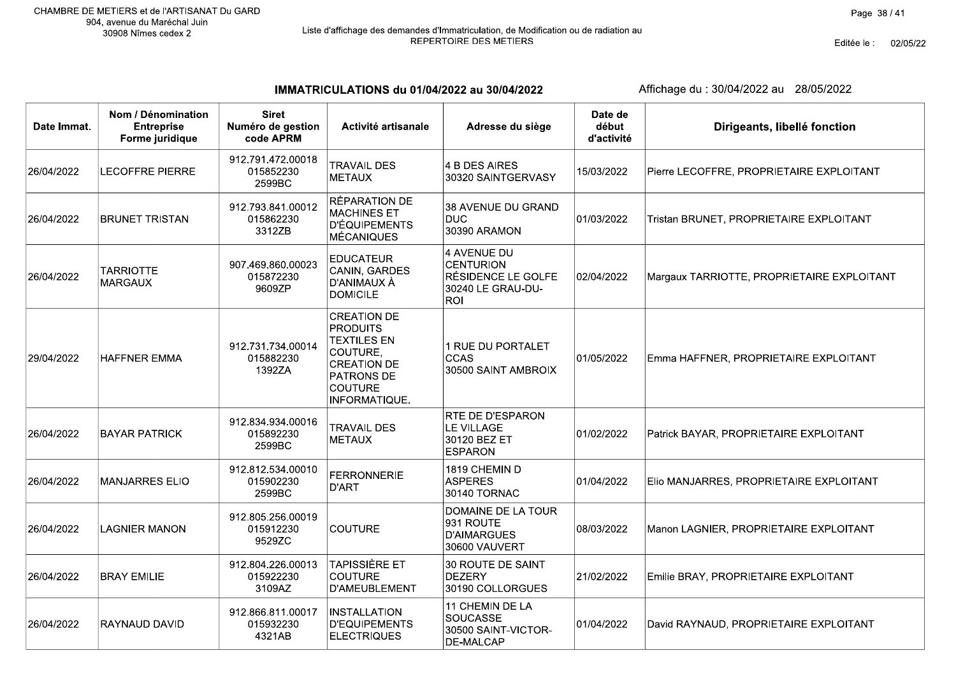Editée le : 02/05/22

IMMATRICULATIONS du 01/04/2022 au 30/04/2022

| Date Immat. | Nom / Dénomination<br><b>Entreprise</b><br>Forme juridique | <b>Siret</b><br>Numéro de gestion<br>code APRM | Activité artisanale                                                                                                                            | Adresse du siège                                                                         | Date de<br>début<br>d'activité | Dirigeants, libellé fonction               |
|-------------|------------------------------------------------------------|------------------------------------------------|------------------------------------------------------------------------------------------------------------------------------------------------|------------------------------------------------------------------------------------------|--------------------------------|--------------------------------------------|
| 26/04/2022  | <b>LECOFFRE PIERRE</b>                                     | 912.791.472.00018<br>015852230<br>2599BC       | <b>TRAVAIL DES</b><br><b>METAUX</b>                                                                                                            | 4 B DES AIRES<br>30320 SAINTGERVASY                                                      | 15/03/2022                     | Pierre LECOFFRE, PROPRIETAIRE EXPLOITANT   |
| 26/04/2022  | <b>BRUNET TRISTAN</b>                                      | 912.793.841.00012<br>015862230<br>3312ZB       | RÉPARATION DE<br><b>MACHINES ET</b><br><b>D'ÉQUIPEMENTS</b><br><b>MÉCANIQUES</b>                                                               | 38 AVENUE DU GRAND<br><b>DUC</b><br>30390 ARAMON                                         | 01/03/2022                     | Tristan BRUNET, PROPRIETAIRE EXPLOITANT    |
| 26/04/2022  | <b>TARRIOTTE</b><br><b>MARGAUX</b>                         | 907.469.860.00023<br>015872230<br>9609ZP       | <b>EDUCATEUR</b><br>CANIN, GARDES<br>D'ANIMAUX À<br><b>DOMICILE</b>                                                                            | 4 AVENUE DU<br><b>CENTURION</b><br>RÉSIDENCE LE GOLFE<br>30240 LE GRAU-DU-<br><b>ROI</b> | 02/04/2022                     | Margaux TARRIOTTE, PROPRIETAIRE EXPLOITANT |
| 29/04/2022  | <b>HAFFNER EMMA</b>                                        | 912.731.734.00014<br>015882230<br>1392ZA       | <b>CREATION DE</b><br><b>PRODUITS</b><br><b>TEXTILES EN</b><br>COUTURE,<br><b>CREATION DE</b><br>PATRONS DE<br><b>COUTURE</b><br>INFORMATIQUE. | 1 RUE DU PORTALET<br><b>CCAS</b><br>30500 SAINT AMBROIX                                  | 01/05/2022                     | Emma HAFFNER, PROPRIETAIRE EXPLOITANT      |
| 26/04/2022  | <b>BAYAR PATRICK</b>                                       | 912.834.934.00016<br>015892230<br>2599BC       | <b>TRAVAIL DES</b><br><b>METAUX</b>                                                                                                            | <b>RTE DE D'ESPARON</b><br>LE VILLAGE<br>30120 BEZ ET<br><b>ESPARON</b>                  | 01/02/2022                     | Patrick BAYAR, PROPRIETAIRE EXPLOITANT     |
| 26/04/2022  | <b>MANJARRES ELIO</b>                                      | 912.812.534.00010<br>015902230<br>2599BC       | <b>FERRONNERIE</b><br><b>D'ART</b>                                                                                                             | 1819 CHEMIN D<br><b>ASPERES</b><br>30140 TORNAC                                          | 01/04/2022                     | Elio MANJARRES, PROPRIETAIRE EXPLOITANT    |
| 26/04/2022  | <b>LAGNIER MANON</b>                                       | 912.805.256.00019<br>015912230<br>9529ZC       | <b>COUTURE</b>                                                                                                                                 | DOMAINE DE LA TOUR<br>931 ROUTE<br><b>D'AIMARGUES</b><br>30600 VAUVERT                   | 08/03/2022                     | Manon LAGNIER, PROPRIETAIRE EXPLOITANT     |
| 26/04/2022  | <b>BRAY EMILIE</b>                                         | 912.804.226.00013<br>015922230<br>3109AZ       | <b>TAPISSIÈRE ET</b><br><b>COUTURE</b><br>D'AMEUBLEMENT                                                                                        | 30 ROUTE DE SAINT<br>DEZERY<br>30190 COLLORGUES                                          | 21/02/2022                     | Emilie BRAY, PROPRIETAIRE EXPLOITANT       |
| 26/04/2022  | RAYNAUD DAVID                                              | 912.866.811.00017<br>015932230<br>4321AB       | INSTALLATION<br>D'EQUIPEMENTS<br><b>ELECTRIQUES</b>                                                                                            | 11 CHEMIN DE LA<br><b>SOUCASSE</b><br>30500 SAINT-VICTOR-<br>DE-MALCAP                   | 01/04/2022                     | David RAYNAUD, PROPRIETAIRE EXPLOITANT     |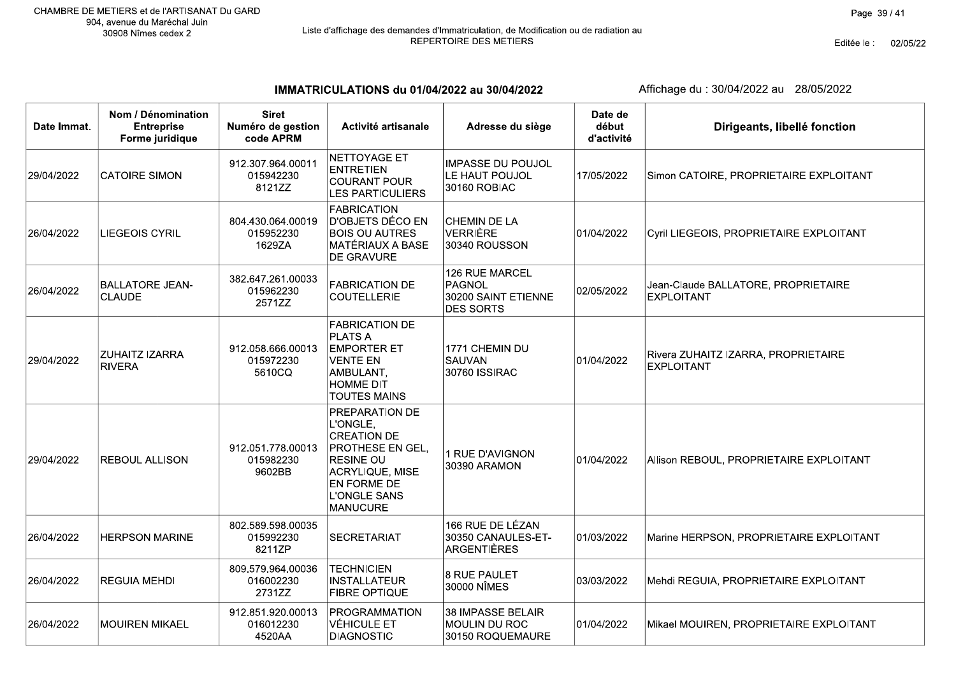Г

# Liste d'affichage des demandes d'Immatriculation, de Modification ou de radiation au<br>REPERTOIRE DES METIERS

Editée le : 02/05/22

IMMATRICULATIONS du 01/04/2022 au 30/04/2022

| Date Immat. | Nom / Dénomination<br><b>Entreprise</b><br>Forme juridique | <b>Siret</b><br>Numéro de gestion<br>code APRM | Activité artisanale                                                                                                                                           | Adresse du siège                                                    | Date de<br>début<br>d'activité | Dirigeants, libellé fonction                             |
|-------------|------------------------------------------------------------|------------------------------------------------|---------------------------------------------------------------------------------------------------------------------------------------------------------------|---------------------------------------------------------------------|--------------------------------|----------------------------------------------------------|
| 29/04/2022  | <b>CATOIRE SIMON</b>                                       | 912.307.964.00011<br>015942230<br>8121ZZ       | <b>NETTOYAGE ET</b><br><b>ENTRETIEN</b><br><b>COURANT POUR</b><br><b>LES PARTICULIERS</b>                                                                     | <b>IMPASSE DU POUJOL</b><br>LE HAUT POUJOL<br>30160 ROBIAC          | 17/05/2022                     | Simon CATOIRE, PROPRIETAIRE EXPLOITANT                   |
| 26/04/2022  | <b>LIEGEOIS CYRIL</b>                                      | 804.430.064.00019<br>015952230<br>1629ZA       | <b>FABRICATION</b><br>D'OBJETS DÉCO EN<br><b>BOIS OU AUTRES</b><br>MATÉRIAUX A BASE<br>DE GRAVURE                                                             | <b>CHEMIN DE LA</b><br><b>VERRIÈRE</b><br>30340 ROUSSON             | 01/04/2022                     | Cyril LIEGEOIS, PROPRIETAIRE EXPLOITANT                  |
| 26/04/2022  | <b>BALLATORE JEAN-</b><br><b>CLAUDE</b>                    | 382.647.261.00033<br>015962230<br>2571ZZ       | <b>FABRICATION DE</b><br><b>COUTELLERIE</b>                                                                                                                   | 126 RUE MARCEL<br>PAGNOL<br>30200 SAINT ETIENNE<br><b>DES SORTS</b> | 02/05/2022                     | Jean-Claude BALLATORE, PROPRIETAIRE<br><b>EXPLOITANT</b> |
| 29/04/2022  | <b>ZUHAITZ IZARRA</b><br><b>RIVERA</b>                     | 912.058.666.00013<br>015972230<br>5610CQ       | <b>FABRICATION DE</b><br><b>PLATS A</b><br><b>EMPORTER ET</b><br><b>VENTE EN</b><br>AMBULANT,<br><b>HOMME DIT</b><br>TOUTES MAINS                             | 1771 CHEMIN DU<br><b>SAUVAN</b><br>30760 ISSIRAC                    | 01/04/2022                     | Rivera ZUHAITZ IZARRA, PROPRIETAIRE<br><b>EXPLOITANT</b> |
| 29/04/2022  | REBOUL ALLISON                                             | 912.051.778.00013<br>015982230<br>9602BB       | PREPARATION DE<br>L'ONGLE,<br><b>CREATION DE</b><br>PROTHESE EN GEL,<br><b>RESINE OU</b><br>ACRYLIQUE, MISE<br>EN FORME DE<br>L'ONGLE SANS<br><b>MANUCURE</b> | 1 RUE D'AVIGNON<br>30390 ARAMON                                     | 01/04/2022                     | Allison REBOUL, PROPRIETAIRE EXPLOITANT                  |
| 26/04/2022  | <b>HERPSON MARINE</b>                                      | 802.589.598.00035<br>015992230<br>8211ZP       | <b>SECRETARIAT</b>                                                                                                                                            | 166 RUE DE LÉZAN<br>30350 CANAULES-ET-<br>ARGENTIÈRES               | 01/03/2022                     | Marine HERPSON, PROPRIETAIRE EXPLOITANT                  |
| 26/04/2022  | <b>REGUIA MEHDI</b>                                        | 809.579.964.00036<br>016002230<br>2731ZZ       | <b>TECHNICIEN</b><br><b>INSTALLATEUR</b><br><b>FIBRE OPTIQUE</b>                                                                                              | 8 RUE PAULET<br>30000 NÎMES                                         | 03/03/2022                     | Mehdi REGUIA, PROPRIETAIRE EXPLOITANT                    |
| 26/04/2022  | <b>MOUIREN MIKAEL</b>                                      | 912.851.920.00013<br>016012230<br>4520AA       | <b>PROGRAMMATION</b><br>VÉHICULE ET<br><b>DIAGNOSTIC</b>                                                                                                      | 38 IMPASSE BELAIR<br>MOULIN DU ROC<br>30150 ROQUEMAURE              | 01/04/2022                     | Mikael MOUIREN, PROPRIETAIRE EXPLOITANT                  |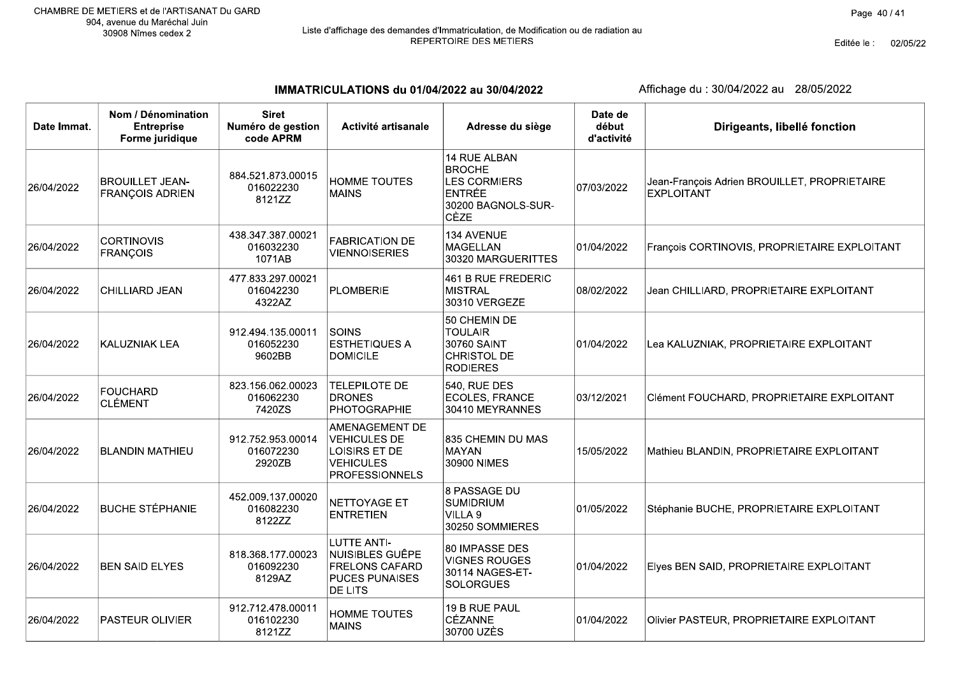IMMATRICULATIONS du 01/04/2022 au 30/04/2022

| Date Immat. | Nom / Dénomination<br><b>Entreprise</b><br>Forme juridique | <b>Siret</b><br>Numéro de gestion<br>code APRM | Activité artisanale                                                                                       | Adresse du siège                                                                                           | Date de<br>début<br>d'activité | Dirigeants, libellé fonction                                      |
|-------------|------------------------------------------------------------|------------------------------------------------|-----------------------------------------------------------------------------------------------------------|------------------------------------------------------------------------------------------------------------|--------------------------------|-------------------------------------------------------------------|
| 26/04/2022  | <b>BROUILLET JEAN-</b><br><b>FRANÇOIS ADRIEN</b>           | 884.521.873.00015<br>016022230<br>8121ZZ       | <b>HOMME TOUTES</b><br><b>MAINS</b>                                                                       | 14 RUE ALBAN<br><b>BROCHE</b><br><b>LES CORMIERS</b><br><b>ENTRÉE</b><br>30200 BAGNOLS-SUR-<br><b>CÈZE</b> | 07/03/2022                     | Jean-François Adrien BROUILLET, PROPRIETAIRE<br><b>EXPLOITANT</b> |
| 26/04/2022  | <b>CORTINOVIS</b><br><b>FRANÇOIS</b>                       | 438.347.387.00021<br>016032230<br>1071AB       | <b>FABRICATION DE</b><br><b>VIENNOISERIES</b>                                                             | 134 AVENUE<br><b>MAGELLAN</b><br>30320 MARGUERITTES                                                        | 01/04/2022                     | François CORTINOVIS, PROPRIETAIRE EXPLOITANT                      |
| 26/04/2022  | CHILLIARD JEAN                                             | 477.833.297.00021<br>016042230<br>4322AZ       | PLOMBERIE                                                                                                 | 461 B RUE FREDERIC<br><b>MISTRAL</b><br>30310 VERGEZE                                                      | 08/02/2022                     | Jean CHILLIARD, PROPRIETAIRE EXPLOITANT                           |
| 26/04/2022  | <b>KALUZNIAK LEA</b>                                       | 912.494.135.00011<br>016052230<br>9602BB       | <b>SOINS</b><br><b>ESTHETIQUES A</b><br><b>DOMICILE</b>                                                   | 50 CHEMIN DE<br><b>TOULAIR</b><br>30760 SAINT<br>CHRISTOL DE<br><b>RODIERES</b>                            | 01/04/2022                     | Lea KALUZNIAK, PROPRIETAIRE EXPLOITANT                            |
| 26/04/2022  | <b>FOUCHARD</b><br><b>CLÉMENT</b>                          | 823.156.062.00023<br>016062230<br>7420ZS       | <b>TELEPILOTE DE</b><br><b>DRONES</b><br><b>PHOTOGRAPHIE</b>                                              | <b>540, RUE DES</b><br><b>ECOLES, FRANCE</b><br>30410 MEYRANNES                                            | 03/12/2021                     | Clément FOUCHARD, PROPRIETAIRE EXPLOITANT                         |
| 26/04/2022  | <b>BLANDIN MATHIEU</b>                                     | 912.752.953.00014<br>016072230<br>2920ZB       | AMENAGEMENT DE<br><b>VEHICULES DE</b><br>LOISIRS ET DE<br><b>VEHICULES</b><br><b>PROFESSIONNELS</b>       | 835 CHEMIN DU MAS<br>MAYAN<br>30900 NIMES                                                                  | 15/05/2022                     | Mathieu BLANDIN, PROPRIETAIRE EXPLOITANT                          |
| 26/04/2022  | <b>BUCHE STÉPHANIE</b>                                     | 452.009.137.00020<br>016082230<br>8122ZZ       | NETTOYAGE ET<br><b>ENTRETIEN</b>                                                                          | 8 PASSAGE DU<br><b>SUMIDRIUM</b><br>VILLA 9<br>30250 SOMMIERES                                             | 01/05/2022                     | Stéphanie BUCHE, PROPRIETAIRE EXPLOITANT                          |
| 26/04/2022  | <b>BEN SAID ELYES</b>                                      | 818.368.177.00023<br>016092230<br>8129AZ       | <b>LUTTE ANTI-</b><br>NUISIBLES GUÊPE<br><b>FRELONS CAFARD</b><br><b>PUCES PUNAISES</b><br><b>DE LITS</b> | 80 IMPASSE DES<br><b>VIGNES ROUGES</b><br>30114 NAGES-ET-<br><b>SOLORGUES</b>                              | 01/04/2022                     | Elyes BEN SAID, PROPRIETAIRE EXPLOITANT                           |
| 26/04/2022  | PASTEUR OLIVIER                                            | 912.712.478.00011<br>016102230<br>8121ZZ       | HOMME TOUTES<br><b>MAINS</b>                                                                              | 19 B RUE PAUL<br><b>CÉZANNE</b><br>30700 UZÈS                                                              | 01/04/2022                     | Olivier PASTEUR, PROPRIETAIRE EXPLOITANT                          |